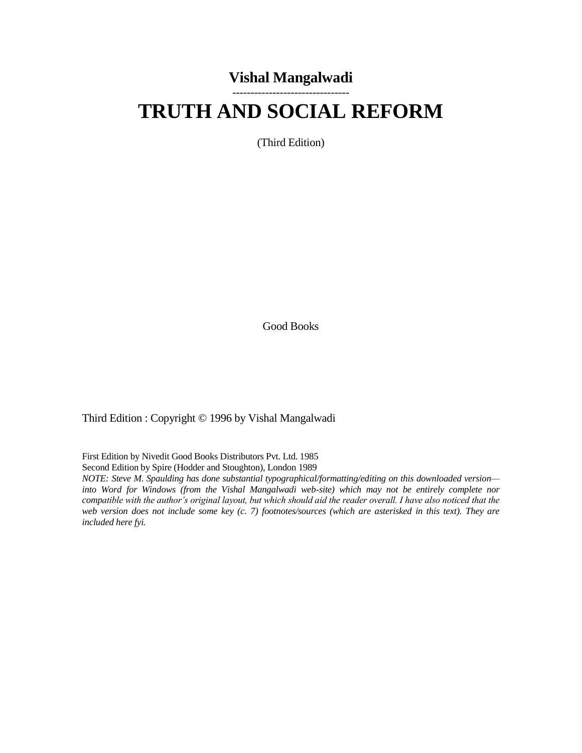## **Vishal Mangalwadi** --------------------------------

# **TRUTH AND SOCIAL REFORM**

(Third Edition)

Good Books

Third Edition : Copyright © 1996 by Vishal Mangalwadi

First Edition by Nivedit Good Books Distributors Pvt. Ltd. 1985

Second Edition by Spire (Hodder and Stoughton), London 1989

*NOTE: Steve M. Spaulding has done substantial typographical/formatting/editing on this downloaded version into Word for Windows (from the Vishal Mangalwadi web-site) which may not be entirely complete nor compatible with the author's original layout, but which should aid the reader overall. I have also noticed that the web version does not include some key (c. 7) footnotes/sources (which are asterisked in this text). They are included here fyi.*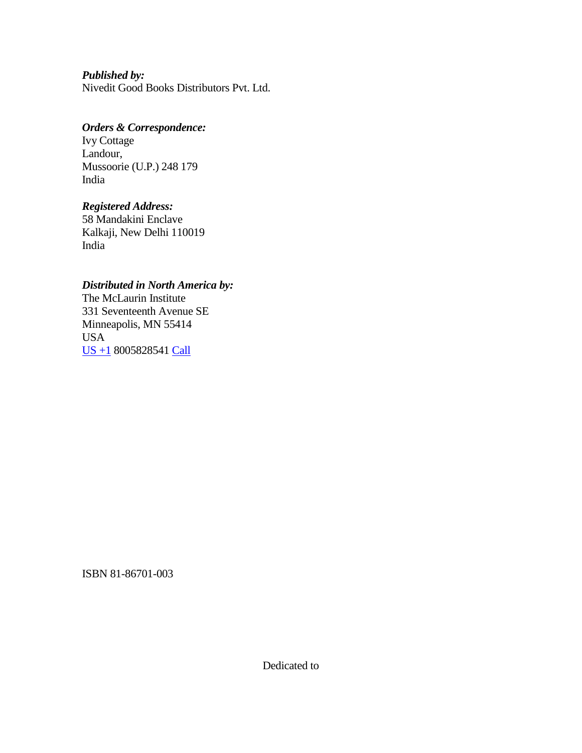*Published by:* Nivedit Good Books Distributors Pvt. Ltd.

#### *Orders & Correspondence:*

Ivy Cottage Landour, Mussoorie (U.P.) 248 179 India

#### *Registered Address:*

58 Mandakini Enclave Kalkaji, New Delhi 110019 India

#### *Distributed in North America by:*

The McLaurin Institute 331 Seventeenth Avenue SE Minneapolis, MN 55414 USA [US](javascript:void(0);) +1 8005828541 [Call](javascript:void(0);)

ISBN 81-86701-003

Dedicated to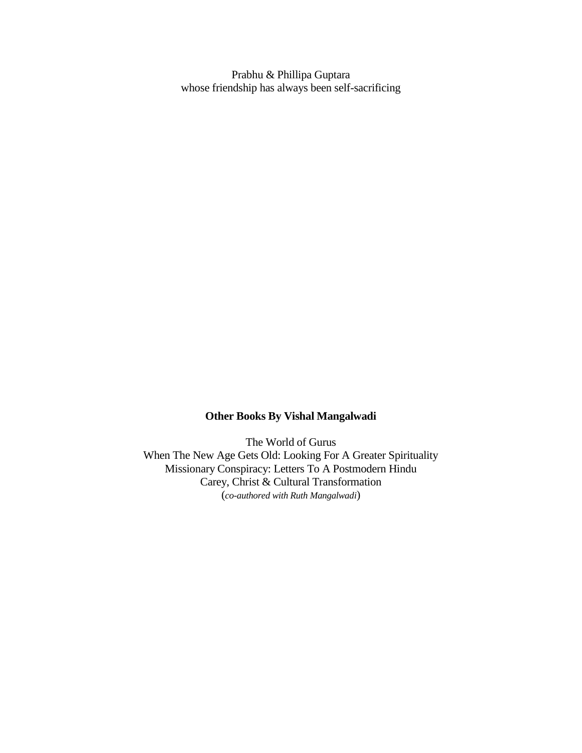Prabhu & Phillipa Guptara whose friendship has always been self-sacrificing

### **Other Books By Vishal Mangalwadi**

The World of Gurus When The New Age Gets Old: Looking For A Greater Spirituality Missionary Conspiracy: Letters To A Postmodern Hindu Carey, Christ & Cultural Transformation (*co-authored with Ruth Mangalwadi*)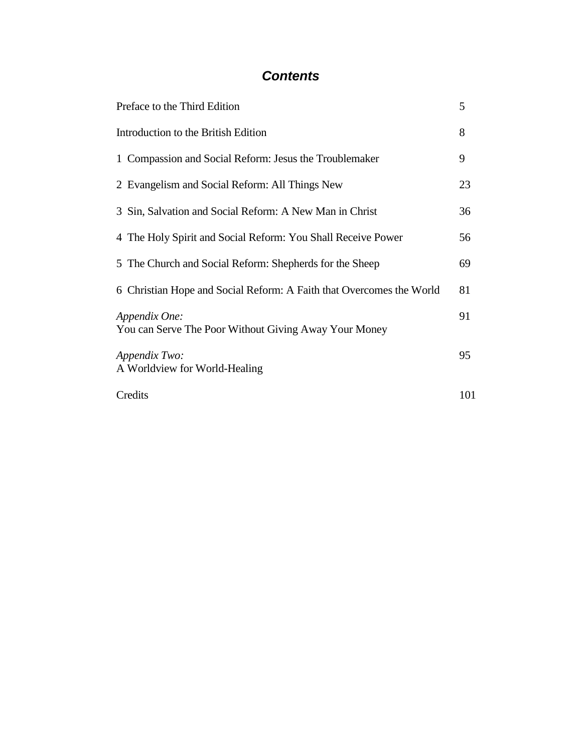# *Contents*

| Preface to the Third Edition                                           | 5   |
|------------------------------------------------------------------------|-----|
| Introduction to the British Edition                                    | 8   |
| 1 Compassion and Social Reform: Jesus the Troublemaker                 | 9   |
| 2 Evangelism and Social Reform: All Things New                         | 23  |
| 3 Sin, Salvation and Social Reform: A New Man in Christ                | 36  |
| 4 The Holy Spirit and Social Reform: You Shall Receive Power           | 56  |
| 5 The Church and Social Reform: Shepherds for the Sheep                | 69  |
| 6 Christian Hope and Social Reform: A Faith that Overcomes the World   | 81  |
| Appendix One:<br>You can Serve The Poor Without Giving Away Your Money | 91  |
| Appendix Two:<br>A Worldview for World-Healing                         | 95  |
| Credits                                                                | 101 |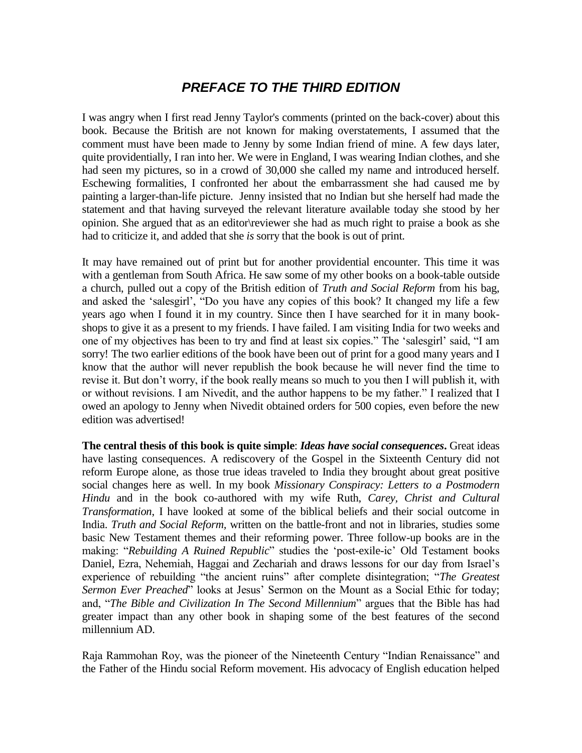# *PREFACE TO THE THIRD EDITION*

I was angry when I first read Jenny Taylor's comments (printed on the back-cover) about this book. Because the British are not known for making overstatements, I assumed that the comment must have been made to Jenny by some Indian friend of mine. A few days later, quite providentially, I ran into her. We were in England, I was wearing Indian clothes, and she had seen my pictures, so in a crowd of 30,000 she called my name and introduced herself. Eschewing formalities, I confronted her about the embarrassment she had caused me by painting a larger-than-life picture. Jenny insisted that no Indian but she herself had made the statement and that having surveyed the relevant literature available today she stood by her opinion. She argued that as an editor\reviewer she had as much right to praise a book as she had to criticize it, and added that she *is* sorry that the book is out of print.

It may have remained out of print but for another providential encounter. This time it was with a gentleman from South Africa. He saw some of my other books on a book-table outside a church, pulled out a copy of the British edition of *Truth and Social Reform* from his bag, and asked the "salesgirl", "Do you have any copies of this book? It changed my life a few years ago when I found it in my country. Since then I have searched for it in many bookshops to give it as a present to my friends. I have failed. I am visiting India for two weeks and one of my objectives has been to try and find at least six copies." The "salesgirl" said, "I am sorry! The two earlier editions of the book have been out of print for a good many years and I know that the author will never republish the book because he will never find the time to revise it. But don"t worry, if the book really means so much to you then I will publish it, with or without revisions. I am Nivedit, and the author happens to be my father." I realized that I owed an apology to Jenny when Nivedit obtained orders for 500 copies, even before the new edition was advertised!

**The central thesis of this book is quite simple**: *Ideas have social consequences***.** Great ideas have lasting consequences. A rediscovery of the Gospel in the Sixteenth Century did not reform Europe alone, as those true ideas traveled to India they brought about great positive social changes here as well. In my book *Missionary Conspiracy: Letters to a Postmodern Hindu* and in the book co-authored with my wife Ruth, *Carey, Christ and Cultural Transformation*, I have looked at some of the biblical beliefs and their social outcome in India. *Truth and Social Reform,* written on the battle-front and not in libraries, studies some basic New Testament themes and their reforming power. Three follow-up books are in the making: "*Rebuilding A Ruined Republic*" studies the "post-exile-ic" Old Testament books Daniel, Ezra, Nehemiah, Haggai and Zechariah and draws lessons for our day from Israel"s experience of rebuilding "the ancient ruins" after complete disintegration; "*The Greatest Sermon Ever Preached*" looks at Jesus' Sermon on the Mount as a Social Ethic for today; and, "*The Bible and Civilization In The Second Millennium*" argues that the Bible has had greater impact than any other book in shaping some of the best features of the second millennium AD.

Raja Rammohan Roy, was the pioneer of the Nineteenth Century "Indian Renaissance" and the Father of the Hindu social Reform movement. His advocacy of English education helped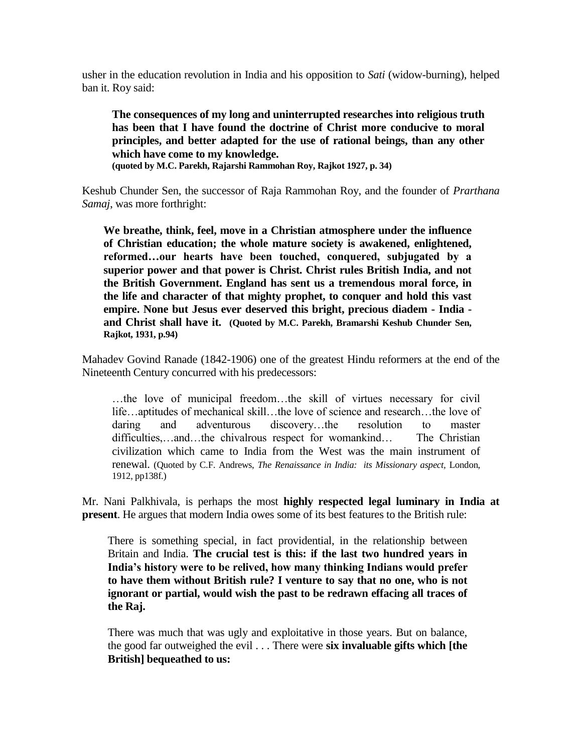usher in the education revolution in India and his opposition to *Sati* (widow-burning), helped ban it. Roy said:

**The consequences of my long and uninterrupted researches into religious truth has been that I have found the doctrine of Christ more conducive to moral principles, and better adapted for the use of rational beings, than any other which have come to my knowledge. (quoted by M.C. Parekh, Rajarshi Rammohan Roy, Rajkot 1927, p. 34)**

Keshub Chunder Sen, the successor of Raja Rammohan Roy, and the founder of *Prarthana Samaj*, was more forthright:

**We breathe, think, feel, move in a Christian atmosphere under the influence of Christian education; the whole mature society is awakened, enlightened, reformed…our hearts have been touched, conquered, subjugated by a superior power and that power is Christ. Christ rules British India, and not the British Government. England has sent us a tremendous moral force, in the life and character of that mighty prophet, to conquer and hold this vast empire. None but Jesus ever deserved this bright, precious diadem - India and Christ shall have it. (Quoted by M.C. Parekh, Bramarshi Keshub Chunder Sen, Rajkot, 1931, p.94)**

Mahadev Govind Ranade (1842-1906) one of the greatest Hindu reformers at the end of the Nineteenth Century concurred with his predecessors:

…the love of municipal freedom…the skill of virtues necessary for civil life…aptitudes of mechanical skill…the love of science and research…the love of daring and adventurous discovery…the resolution to master difficulties,…and…the chivalrous respect for womankind… The Christian civilization which came to India from the West was the main instrument of renewal. (Quoted by C.F. Andrews, *The Renaissance in India: its Missionary aspect,* London, 1912, pp138f.)

Mr. Nani Palkhivala, is perhaps the most **highly respected legal luminary in India at present**. He argues that modern India owes some of its best features to the British rule:

There is something special, in fact providential, in the relationship between Britain and India. **The crucial test is this: if the last two hundred years in India"s history were to be relived, how many thinking Indians would prefer to have them without British rule? I venture to say that no one, who is not ignorant or partial, would wish the past to be redrawn effacing all traces of the Raj.**

There was much that was ugly and exploitative in those years. But on balance, the good far outweighed the evil . . . There were **six invaluable gifts which [the British] bequeathed to us:**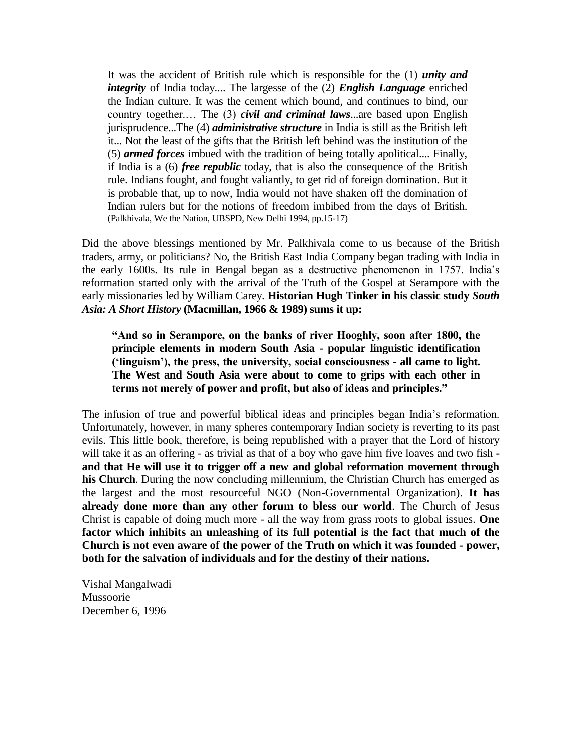It was the accident of British rule which is responsible for the (1) *unity and integrity* of India today.... The largesse of the (2) *English Language* enriched the Indian culture. It was the cement which bound, and continues to bind, our country together.… The (3) *civil and criminal laws*...are based upon English jurisprudence...The (4) *administrative structure* in India is still as the British left it... Not the least of the gifts that the British left behind was the institution of the (5) *armed forces* imbued with the tradition of being totally apolitical.... Finally, if India is a (6) *free republic* today, that is also the consequence of the British rule. Indians fought, and fought valiantly, to get rid of foreign domination. But it is probable that, up to now, India would not have shaken off the domination of Indian rulers but for the notions of freedom imbibed from the days of British. (Palkhivala, We the Nation, UBSPD, New Delhi 1994, pp.15-17)

Did the above blessings mentioned by Mr. Palkhivala come to us because of the British traders, army, or politicians? No, the British East India Company began trading with India in the early 1600s. Its rule in Bengal began as a destructive phenomenon in 1757. India"s reformation started only with the arrival of the Truth of the Gospel at Serampore with the early missionaries led by William Carey. **Historian Hugh Tinker in his classic study** *South Asia: A Short History* **(Macmillan, 1966 & 1989) sums it up:** 

**"And so in Serampore, on the banks of river Hooghly, soon after 1800, the principle elements in modern South Asia - popular linguistic identification ("linguism"), the press, the university, social consciousness - all came to light. The West and South Asia were about to come to grips with each other in terms not merely of power and profit, but also of ideas and principles."**

The infusion of true and powerful biblical ideas and principles began India"s reformation. Unfortunately, however, in many spheres contemporary Indian society is reverting to its past evils. This little book, therefore, is being republished with a prayer that the Lord of history will take it as an offering - as trivial as that of a boy who gave him five loaves and two fish  **and that He will use it to trigger off a new and global reformation movement through his Church**. During the now concluding millennium, the Christian Church has emerged as the largest and the most resourceful NGO (Non-Governmental Organization). **It has already done more than any other forum to bless our world**. The Church of Jesus Christ is capable of doing much more - all the way from grass roots to global issues. **One factor which inhibits an unleashing of its full potential is the fact that much of the Church is not even aware of the power of the Truth on which it was founded - power, both for the salvation of individuals and for the destiny of their nations.**

Vishal Mangalwadi Mussoorie December 6, 1996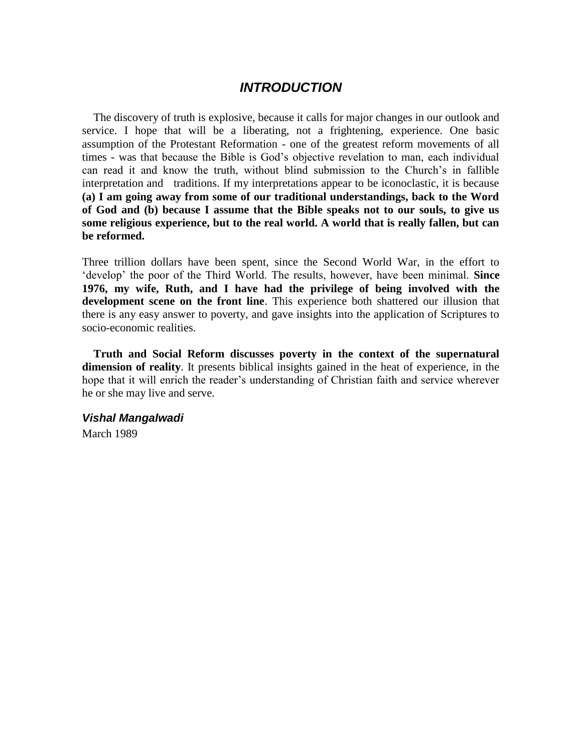## *INTRODUCTION*

The discovery of truth is explosive, because it calls for major changes in our outlook and service. I hope that will be a liberating, not a frightening, experience. One basic assumption of the Protestant Reformation - one of the greatest reform movements of all times - was that because the Bible is God's objective revelation to man, each individual can read it and know the truth, without blind submission to the Church"s in fallible interpretation and traditions. If my interpretations appear to be iconoclastic, it is because **(a) I am going away from some of our traditional understandings, back to the Word of God and (b) because I assume that the Bible speaks not to our souls, to give us some religious experience, but to the real world. A world that is really fallen, but can be reformed.**

Three trillion dollars have been spent, since the Second World War, in the effort to "develop" the poor of the Third World. The results, however, have been minimal. **Since 1976, my wife, Ruth, and I have had the privilege of being involved with the development scene on the front line**. This experience both shattered our illusion that there is any easy answer to poverty, and gave insights into the application of Scriptures to socio-economic realities.

**Truth and Social Reform discusses poverty in the context of the supernatural dimension of reality**. It presents biblical insights gained in the heat of experience, in the hope that it will enrich the reader"s understanding of Christian faith and service wherever he or she may live and serve.

#### *Vishal Mangalwadi*

March 1989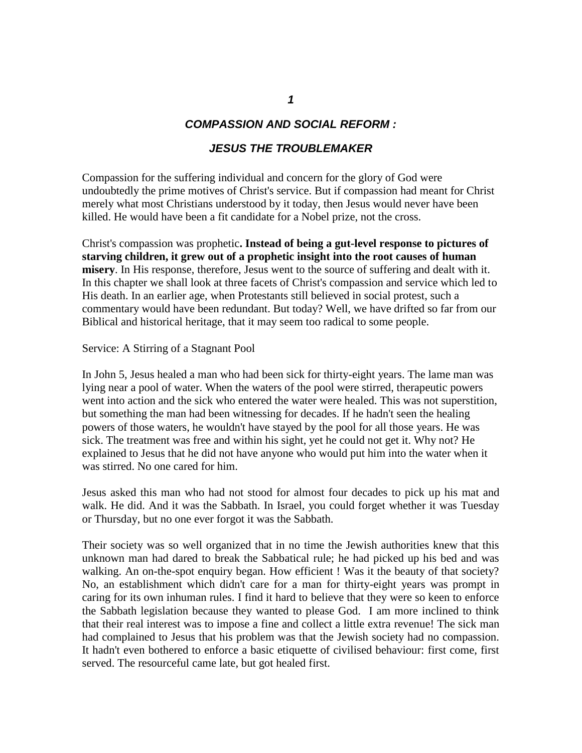#### *COMPASSION AND SOCIAL REFORM :*

#### *JESUS THE TROUBLEMAKER*

Compassion for the suffering individual and concern for the glory of God were undoubtedly the prime motives of Christ's service. But if compassion had meant for Christ merely what most Christians understood by it today, then Jesus would never have been killed. He would have been a fit candidate for a Nobel prize, not the cross.

Christ's compassion was prophetic**. Instead of being a gut-level response to pictures of starving children, it grew out of a prophetic insight into the root causes of human misery**. In His response, therefore, Jesus went to the source of suffering and dealt with it. In this chapter we shall look at three facets of Christ's compassion and service which led to His death. In an earlier age, when Protestants still believed in social protest, such a commentary would have been redundant. But today? Well, we have drifted so far from our Biblical and historical heritage, that it may seem too radical to some people.

Service: A Stirring of a Stagnant Pool

In John 5, Jesus healed a man who had been sick for thirty-eight years. The lame man was lying near a pool of water. When the waters of the pool were stirred, therapeutic powers went into action and the sick who entered the water were healed. This was not superstition, but something the man had been witnessing for decades. If he hadn't seen the healing powers of those waters, he wouldn't have stayed by the pool for all those years. He was sick. The treatment was free and within his sight, yet he could not get it. Why not? He explained to Jesus that he did not have anyone who would put him into the water when it was stirred. No one cared for him.

Jesus asked this man who had not stood for almost four decades to pick up his mat and walk. He did. And it was the Sabbath. In Israel, you could forget whether it was Tuesday or Thursday, but no one ever forgot it was the Sabbath.

Their society was so well organized that in no time the Jewish authorities knew that this unknown man had dared to break the Sabbatical rule; he had picked up his bed and was walking. An on-the-spot enquiry began. How efficient ! Was it the beauty of that society? No, an establishment which didn't care for a man for thirty-eight years was prompt in caring for its own inhuman rules. I find it hard to believe that they were so keen to enforce the Sabbath legislation because they wanted to please God. I am more inclined to think that their real interest was to impose a fine and collect a little extra revenue! The sick man had complained to Jesus that his problem was that the Jewish society had no compassion. It hadn't even bothered to enforce a basic etiquette of civilised behaviour: first come, first served. The resourceful came late, but got healed first.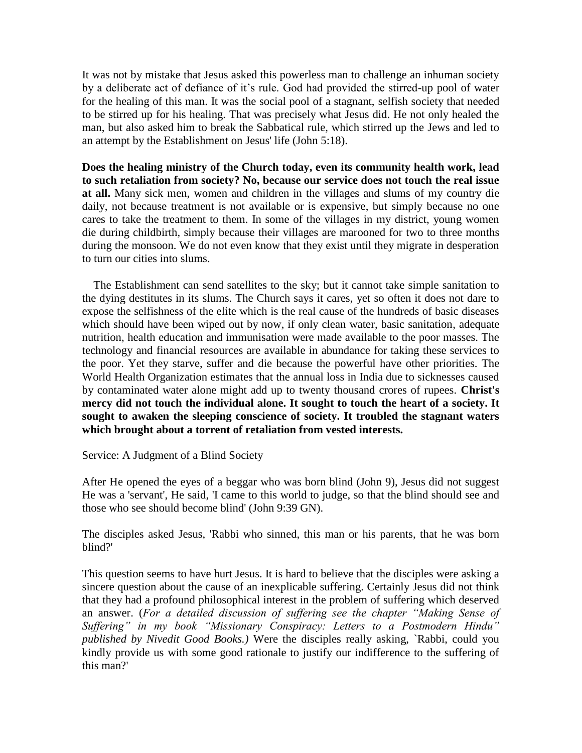It was not by mistake that Jesus asked this powerless man to challenge an inhuman society by a deliberate act of defiance of it"s rule. God had provided the stirred-up pool of water for the healing of this man. It was the social pool of a stagnant, selfish society that needed to be stirred up for his healing. That was precisely what Jesus did. He not only healed the man, but also asked him to break the Sabbatical rule, which stirred up the Jews and led to an attempt by the Establishment on Jesus' life (John 5:18).

**Does the healing ministry of the Church today, even its community health work, lead to such retaliation from society? No, because our service does not touch the real issue at all.** Many sick men, women and children in the villages and slums of my country die daily, not because treatment is not available or is expensive, but simply because no one cares to take the treatment to them. In some of the villages in my district, young women die during childbirth, simply because their villages are marooned for two to three months during the monsoon. We do not even know that they exist until they migrate in desperation to turn our cities into slums.

 The Establishment can send satellites to the sky; but it cannot take simple sanitation to the dying destitutes in its slums. The Church says it cares, yet so often it does not dare to expose the selfishness of the elite which is the real cause of the hundreds of basic diseases which should have been wiped out by now, if only clean water, basic sanitation, adequate nutrition, health education and immunisation were made available to the poor masses. The technology and financial resources are available in abundance for taking these services to the poor. Yet they starve, suffer and die because the powerful have other priorities. The World Health Organization estimates that the annual loss in India due to sicknesses caused by contaminated water alone might add up to twenty thousand crores of rupees. **Christ's mercy did not touch the individual alone. It sought to touch the heart of a society. It sought to awaken the sleeping conscience of society. It troubled the stagnant waters which brought about a torrent of retaliation from vested interests.**

Service: A Judgment of a Blind Society

After He opened the eyes of a beggar who was born blind (John 9), Jesus did not suggest He was a 'servant', He said, 'I came to this world to judge, so that the blind should see and those who see should become blind' (John 9:39 GN).

The disciples asked Jesus, 'Rabbi who sinned, this man or his parents, that he was born blind?'

This question seems to have hurt Jesus. It is hard to believe that the disciples were asking a sincere question about the cause of an inexplicable suffering. Certainly Jesus did not think that they had a profound philosophical interest in the problem of suffering which deserved an answer. (*For a detailed discussion of suffering see the chapter "Making Sense of Suffering‖ in my book ―Missionary Conspiracy: Letters to a Postmodern Hindu‖ published by Nivedit Good Books.)* Were the disciples really asking, `Rabbi, could you kindly provide us with some good rationale to justify our indifference to the suffering of this man?'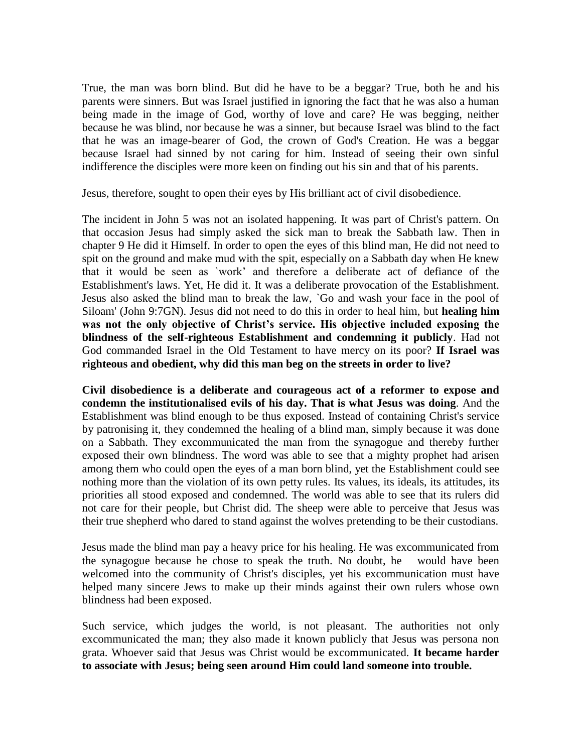True, the man was born blind. But did he have to be a beggar? True, both he and his parents were sinners. But was Israel justified in ignoring the fact that he was also a human being made in the image of God, worthy of love and care? He was begging, neither because he was blind, nor because he was a sinner, but because Israel was blind to the fact that he was an image-bearer of God, the crown of God's Creation. He was a beggar because Israel had sinned by not caring for him. Instead of seeing their own sinful indifference the disciples were more keen on finding out his sin and that of his parents.

Jesus, therefore, sought to open their eyes by His brilliant act of civil disobedience.

The incident in John 5 was not an isolated happening. It was part of Christ's pattern. On that occasion Jesus had simply asked the sick man to break the Sabbath law. Then in chapter 9 He did it Himself. In order to open the eyes of this blind man, He did not need to spit on the ground and make mud with the spit, especially on a Sabbath day when He knew that it would be seen as `work" and therefore a deliberate act of defiance of the Establishment's laws. Yet, He did it. It was a deliberate provocation of the Establishment. Jesus also asked the blind man to break the law, `Go and wash your face in the pool of Siloam' (John 9:7GN). Jesus did not need to do this in order to heal him, but **healing him**  was not the only objective of Christ's service. His objective included exposing the **blindness of the self-righteous Establishment and condemning it publicly**. Had not God commanded Israel in the Old Testament to have mercy on its poor? **If Israel was righteous and obedient, why did this man beg on the streets in order to live?**

**Civil disobedience is a deliberate and courageous act of a reformer to expose and condemn the institutionalised evils of his day. That is what Jesus was doing**. And the Establishment was blind enough to be thus exposed. Instead of containing Christ's service by patronising it, they condemned the healing of a blind man, simply because it was done on a Sabbath. They excommunicated the man from the synagogue and thereby further exposed their own blindness. The word was able to see that a mighty prophet had arisen among them who could open the eyes of a man born blind, yet the Establishment could see nothing more than the violation of its own petty rules. Its values, its ideals, its attitudes, its priorities all stood exposed and condemned. The world was able to see that its rulers did not care for their people, but Christ did. The sheep were able to perceive that Jesus was their true shepherd who dared to stand against the wolves pretending to be their custodians.

Jesus made the blind man pay a heavy price for his healing. He was excommunicated from the synagogue because he chose to speak the truth. No doubt, he would have been welcomed into the community of Christ's disciples, yet his excommunication must have helped many sincere Jews to make up their minds against their own rulers whose own blindness had been exposed.

Such service, which judges the world, is not pleasant. The authorities not only excommunicated the man; they also made it known publicly that Jesus was persona non grata. Whoever said that Jesus was Christ would be excommunicated. **It became harder to associate with Jesus; being seen around Him could land someone into trouble.**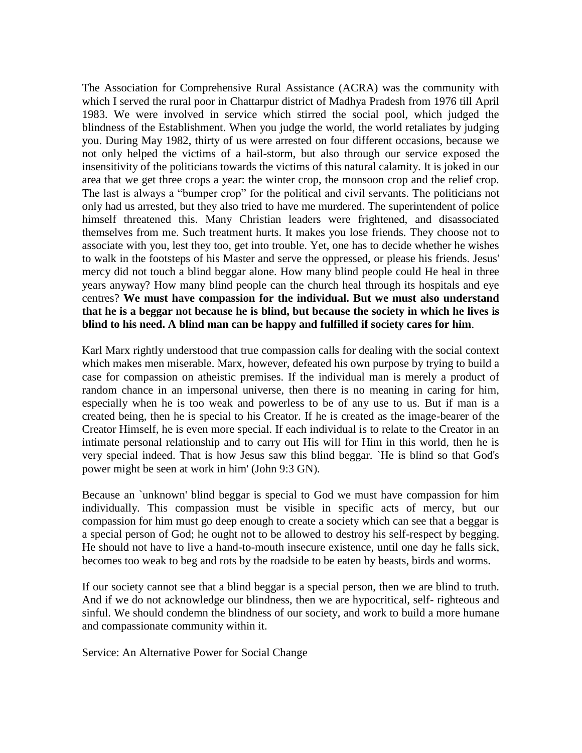The Association for Comprehensive Rural Assistance (ACRA) was the community with which I served the rural poor in Chattarpur district of Madhya Pradesh from 1976 till April 1983. We were involved in service which stirred the social pool, which judged the blindness of the Establishment. When you judge the world, the world retaliates by judging you. During May 1982, thirty of us were arrested on four different occasions, because we not only helped the victims of a hail-storm, but also through our service exposed the insensitivity of the politicians towards the victims of this natural calamity. It is joked in our area that we get three crops a year: the winter crop, the monsoon crop and the relief crop. The last is always a "bumper crop" for the political and civil servants. The politicians not only had us arrested, but they also tried to have me murdered. The superintendent of police himself threatened this. Many Christian leaders were frightened, and disassociated themselves from me. Such treatment hurts. It makes you lose friends. They choose not to associate with you, lest they too, get into trouble. Yet, one has to decide whether he wishes to walk in the footsteps of his Master and serve the oppressed, or please his friends. Jesus' mercy did not touch a blind beggar alone. How many blind people could He heal in three years anyway? How many blind people can the church heal through its hospitals and eye centres? **We must have compassion for the individual. But we must also understand that he is a beggar not because he is blind, but because the society in which he lives is blind to his need. A blind man can be happy and fulfilled if society cares for him**.

Karl Marx rightly understood that true compassion calls for dealing with the social context which makes men miserable. Marx, however, defeated his own purpose by trying to build a case for compassion on atheistic premises. If the individual man is merely a product of random chance in an impersonal universe, then there is no meaning in caring for him, especially when he is too weak and powerless to be of any use to us. But if man is a created being, then he is special to his Creator. If he is created as the image-bearer of the Creator Himself, he is even more special. If each individual is to relate to the Creator in an intimate personal relationship and to carry out His will for Him in this world, then he is very special indeed. That is how Jesus saw this blind beggar. `He is blind so that God's power might be seen at work in him' (John 9:3 GN).

Because an `unknown' blind beggar is special to God we must have compassion for him individually. This compassion must be visible in specific acts of mercy, but our compassion for him must go deep enough to create a society which can see that a beggar is a special person of God; he ought not to be allowed to destroy his self-respect by begging. He should not have to live a hand-to-mouth insecure existence, until one day he falls sick, becomes too weak to beg and rots by the roadside to be eaten by beasts, birds and worms.

If our society cannot see that a blind beggar is a special person, then we are blind to truth. And if we do not acknowledge our blindness, then we are hypocritical, self- righteous and sinful. We should condemn the blindness of our society, and work to build a more humane and compassionate community within it.

Service: An Alternative Power for Social Change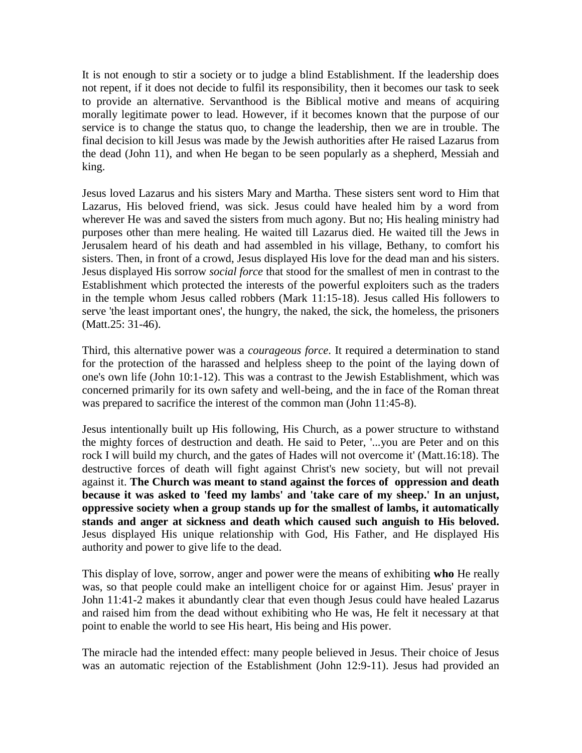It is not enough to stir a society or to judge a blind Establishment. If the leadership does not repent, if it does not decide to fulfil its responsibility, then it becomes our task to seek to provide an alternative. Servanthood is the Biblical motive and means of acquiring morally legitimate power to lead. However, if it becomes known that the purpose of our service is to change the status quo, to change the leadership, then we are in trouble. The final decision to kill Jesus was made by the Jewish authorities after He raised Lazarus from the dead (John 11), and when He began to be seen popularly as a shepherd, Messiah and king.

Jesus loved Lazarus and his sisters Mary and Martha. These sisters sent word to Him that Lazarus, His beloved friend, was sick. Jesus could have healed him by a word from wherever He was and saved the sisters from much agony. But no; His healing ministry had purposes other than mere healing. He waited till Lazarus died. He waited till the Jews in Jerusalem heard of his death and had assembled in his village, Bethany, to comfort his sisters. Then, in front of a crowd, Jesus displayed His love for the dead man and his sisters. Jesus displayed His sorrow *social force* that stood for the smallest of men in contrast to the Establishment which protected the interests of the powerful exploiters such as the traders in the temple whom Jesus called robbers (Mark 11:15-18). Jesus called His followers to serve 'the least important ones', the hungry, the naked, the sick, the homeless, the prisoners (Matt.25: 31-46).

Third, this alternative power was a *courageous force*. It required a determination to stand for the protection of the harassed and helpless sheep to the point of the laying down of one's own life (John 10:1-12). This was a contrast to the Jewish Establishment, which was concerned primarily for its own safety and well-being, and the in face of the Roman threat was prepared to sacrifice the interest of the common man (John 11:45-8).

Jesus intentionally built up His following, His Church, as a power structure to withstand the mighty forces of destruction and death. He said to Peter, '...you are Peter and on this rock I will build my church, and the gates of Hades will not overcome it' (Matt.16:18). The destructive forces of death will fight against Christ's new society, but will not prevail against it. **The Church was meant to stand against the forces of oppression and death because it was asked to 'feed my lambs' and 'take care of my sheep.' In an unjust, oppressive society when a group stands up for the smallest of lambs, it automatically stands and anger at sickness and death which caused such anguish to His beloved.**  Jesus displayed His unique relationship with God, His Father, and He displayed His authority and power to give life to the dead.

This display of love, sorrow, anger and power were the means of exhibiting **who** He really was, so that people could make an intelligent choice for or against Him. Jesus' prayer in John 11:41-2 makes it abundantly clear that even though Jesus could have healed Lazarus and raised him from the dead without exhibiting who He was, He felt it necessary at that point to enable the world to see His heart, His being and His power.

The miracle had the intended effect: many people believed in Jesus. Their choice of Jesus was an automatic rejection of the Establishment (John 12:9-11). Jesus had provided an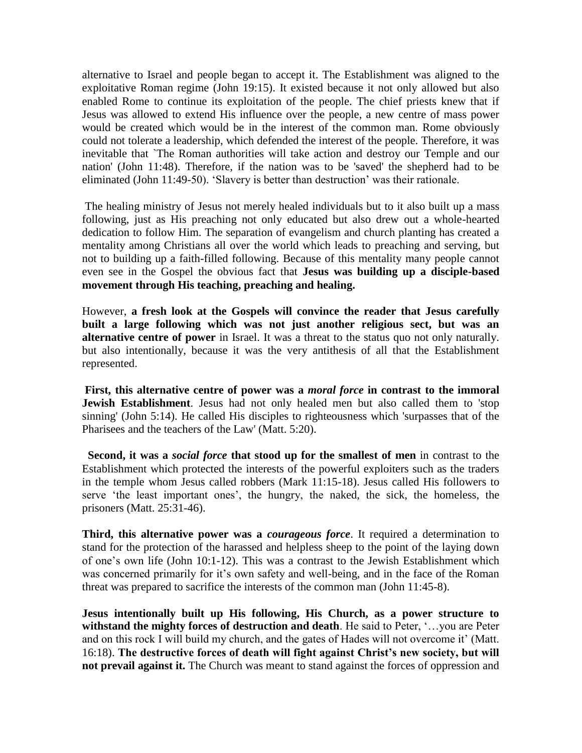alternative to Israel and people began to accept it. The Establishment was aligned to the exploitative Roman regime (John 19:15). It existed because it not only allowed but also enabled Rome to continue its exploitation of the people. The chief priests knew that if Jesus was allowed to extend His influence over the people, a new centre of mass power would be created which would be in the interest of the common man. Rome obviously could not tolerate a leadership, which defended the interest of the people. Therefore, it was inevitable that `The Roman authorities will take action and destroy our Temple and our nation' (John 11:48). Therefore, if the nation was to be 'saved' the shepherd had to be eliminated (John 11:49-50). "Slavery is better than destruction" was their rationale.

The healing ministry of Jesus not merely healed individuals but to it also built up a mass following, just as His preaching not only educated but also drew out a whole-hearted dedication to follow Him. The separation of evangelism and church planting has created a mentality among Christians all over the world which leads to preaching and serving, but not to building up a faith-filled following. Because of this mentality many people cannot even see in the Gospel the obvious fact that **Jesus was building up a disciple-based movement through His teaching, preaching and healing.** 

However, **a fresh look at the Gospels will convince the reader that Jesus carefully built a large following which was not just another religious sect, but was an alternative centre of power** in Israel. It was a threat to the status quo not only naturally. but also intentionally, because it was the very antithesis of all that the Establishment represented.

**First, this alternative centre of power was a** *moral force* **in contrast to the immoral Jewish Establishment**. Jesus had not only healed men but also called them to 'stop sinning' (John 5:14). He called His disciples to righteousness which 'surpasses that of the Pharisees and the teachers of the Law' (Matt. 5:20).

 **Second, it was a** *social force* **that stood up for the smallest of men** in contrast to the Establishment which protected the interests of the powerful exploiters such as the traders in the temple whom Jesus called robbers (Mark 11:15-18). Jesus called His followers to serve 'the least important ones', the hungry, the naked, the sick, the homeless, the prisoners (Matt. 25:31-46).

**Third, this alternative power was a** *courageous force*. It required a determination to stand for the protection of the harassed and helpless sheep to the point of the laying down of one"s own life (John 10:1-12). This was a contrast to the Jewish Establishment which was concerned primarily for it's own safety and well-being, and in the face of the Roman threat was prepared to sacrifice the interests of the common man (John 11:45-8).

**Jesus intentionally built up His following, His Church, as a power structure to withstand the mighty forces of destruction and death**. He said to Peter, "…you are Peter and on this rock I will build my church, and the gates of Hades will not overcome it' (Matt. 16:18). The destructive forces of death will fight against Christ's new society, but will **not prevail against it.** The Church was meant to stand against the forces of oppression and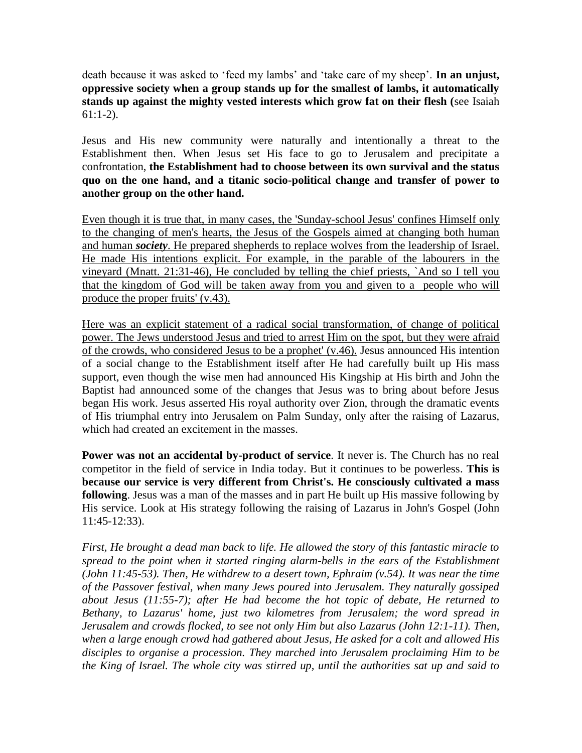death because it was asked to "feed my lambs" and "take care of my sheep". **In an unjust, oppressive society when a group stands up for the smallest of lambs, it automatically stands up against the mighty vested interests which grow fat on their flesh (**see Isaiah 61:1-2).

Jesus and His new community were naturally and intentionally a threat to the Establishment then. When Jesus set His face to go to Jerusalem and precipitate a confrontation, **the Establishment had to choose between its own survival and the status quo on the one hand, and a titanic socio-political change and transfer of power to another group on the other hand.**

Even though it is true that, in many cases, the 'Sunday-school Jesus' confines Himself only to the changing of men's hearts, the Jesus of the Gospels aimed at changing both human and human *society*. He prepared shepherds to replace wolves from the leadership of Israel. He made His intentions explicit. For example, in the parable of the labourers in the vineyard (Mnatt. 21:31-46), He concluded by telling the chief priests, `And so I tell you that the kingdom of God will be taken away from you and given to a people who will produce the proper fruits' (v.43).

Here was an explicit statement of a radical social transformation, of change of political power. The Jews understood Jesus and tried to arrest Him on the spot, but they were afraid of the crowds, who considered Jesus to be a prophet' (v.46). Jesus announced His intention of a social change to the Establishment itself after He had carefully built up His mass support, even though the wise men had announced His Kingship at His birth and John the Baptist had announced some of the changes that Jesus was to bring about before Jesus began His work. Jesus asserted His royal authority over Zion, through the dramatic events of His triumphal entry into Jerusalem on Palm Sunday, only after the raising of Lazarus, which had created an excitement in the masses.

**Power was not an accidental by-product of service**. It never is. The Church has no real competitor in the field of service in India today. But it continues to be powerless. **This is because our service is very different from Christ's. He consciously cultivated a mass following**. Jesus was a man of the masses and in part He built up His massive following by His service. Look at His strategy following the raising of Lazarus in John's Gospel (John 11:45-12:33).

*First, He brought a dead man back to life. He allowed the story of this fantastic miracle to spread to the point when it started ringing alarm-bells in the ears of the Establishment (John 11:45-53). Then, He withdrew to a desert town, Ephraim (v.54). It was near the time of the Passover festival, when many Jews poured into Jerusalem. They naturally gossiped about Jesus (11:55-7); after He had become the hot topic of debate, He returned to Bethany, to Lazarus' home, just two kilometres from Jerusalem; the word spread in Jerusalem and crowds flocked, to see not only Him but also Lazarus (John 12:1-11). Then, when a large enough crowd had gathered about Jesus, He asked for a colt and allowed His disciples to organise a procession. They marched into Jerusalem proclaiming Him to be the King of Israel. The whole city was stirred up, until the authorities sat up and said to*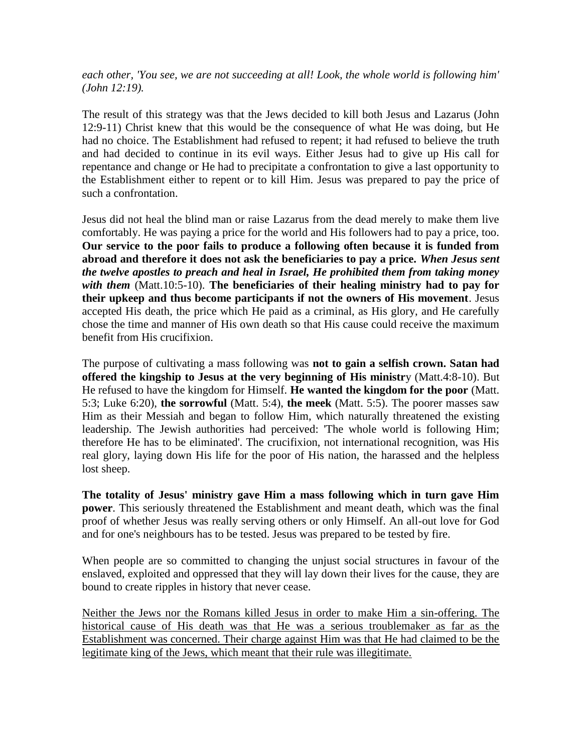*each other, 'You see, we are not succeeding at all! Look, the whole world is following him' (John 12:19).*

The result of this strategy was that the Jews decided to kill both Jesus and Lazarus (John 12:9-11) Christ knew that this would be the consequence of what He was doing, but He had no choice. The Establishment had refused to repent; it had refused to believe the truth and had decided to continue in its evil ways. Either Jesus had to give up His call for repentance and change or He had to precipitate a confrontation to give a last opportunity to the Establishment either to repent or to kill Him. Jesus was prepared to pay the price of such a confrontation.

Jesus did not heal the blind man or raise Lazarus from the dead merely to make them live comfortably. He was paying a price for the world and His followers had to pay a price, too. **Our service to the poor fails to produce a following often because it is funded from abroad and therefore it does not ask the beneficiaries to pay a price.** *When Jesus sent the twelve apostles to preach and heal in Israel, He prohibited them from taking money with them* (Matt.10:5-10). **The beneficiaries of their healing ministry had to pay for their upkeep and thus become participants if not the owners of His movement**. Jesus accepted His death, the price which He paid as a criminal, as His glory, and He carefully chose the time and manner of His own death so that His cause could receive the maximum benefit from His crucifixion.

The purpose of cultivating a mass following was **not to gain a selfish crown. Satan had offered the kingship to Jesus at the very beginning of His ministr**y (Matt.4:8-10). But He refused to have the kingdom for Himself. **He wanted the kingdom for the poor** (Matt. 5:3; Luke 6:20), **the sorrowful** (Matt. 5:4), **the meek** (Matt. 5:5). The poorer masses saw Him as their Messiah and began to follow Him, which naturally threatened the existing leadership. The Jewish authorities had perceived: 'The whole world is following Him; therefore He has to be eliminated'. The crucifixion, not international recognition, was His real glory, laying down His life for the poor of His nation, the harassed and the helpless lost sheep.

**The totality of Jesus' ministry gave Him a mass following which in turn gave Him power**. This seriously threatened the Establishment and meant death, which was the final proof of whether Jesus was really serving others or only Himself. An all-out love for God and for one's neighbours has to be tested. Jesus was prepared to be tested by fire.

When people are so committed to changing the unjust social structures in favour of the enslaved, exploited and oppressed that they will lay down their lives for the cause, they are bound to create ripples in history that never cease.

Neither the Jews nor the Romans killed Jesus in order to make Him a sin-offering. The historical cause of His death was that He was a serious troublemaker as far as the Establishment was concerned. Their charge against Him was that He had claimed to be the legitimate king of the Jews, which meant that their rule was illegitimate.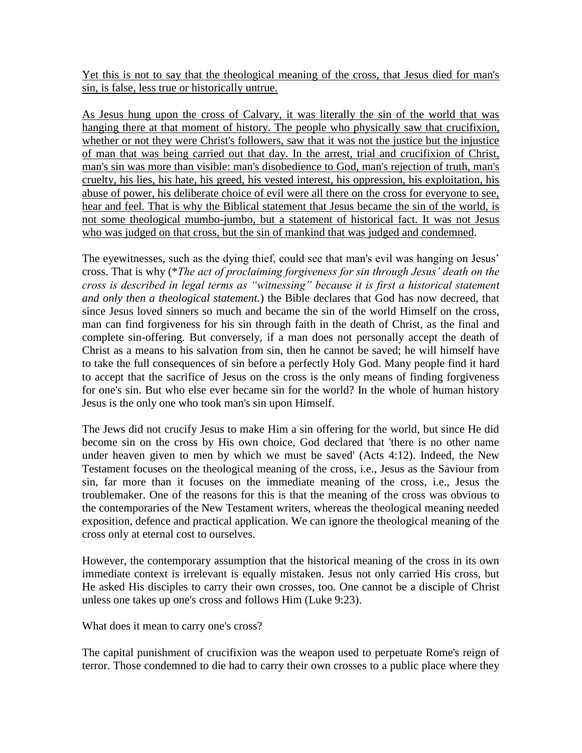Yet this is not to say that the theological meaning of the cross, that Jesus died for man's sin, is false, less true or historically untrue.

As Jesus hung upon the cross of Calvary, it was literally the sin of the world that was hanging there at that moment of history. The people who physically saw that crucifixion, whether or not they were Christ's followers, saw that it was not the justice but the injustice of man that was being carried out that day. In the arrest, trial and crucifixion of Christ, man's sin was more than visible: man's disobedience to God, man's rejection of truth, man's cruelty, his lies, his hate, his greed, his vested interest, his oppression, his exploitation, his abuse of power, his deliberate choice of evil were all there on the cross for everyone to see, hear and feel. That is why the Biblical statement that Jesus became the sin of the world, is not some theological mumbo-jumbo, but a statement of historical fact. It was not Jesus who was judged on that cross, but the sin of mankind that was judged and condemned.

The eyewitnesses, such as the dying thief, could see that man's evil was hanging on Jesus' cross. That is why (\**The act of proclaiming forgiveness for sin through Jesus' death on the cross is described in legal terms as ―witnessing‖ because it is first a historical statement and only then a theological statement.*) the Bible declares that God has now decreed, that since Jesus loved sinners so much and became the sin of the world Himself on the cross, man can find forgiveness for his sin through faith in the death of Christ, as the final and complete sin-offering. But conversely, if a man does not personally accept the death of Christ as a means to his salvation from sin, then he cannot be saved; he will himself have to take the full consequences of sin before a perfectly Holy God. Many people find it hard to accept that the sacrifice of Jesus on the cross is the only means of finding forgiveness for one's sin. But who else ever became sin for the world? In the whole of human history Jesus is the only one who took man's sin upon Himself.

The Jews did not crucify Jesus to make Him a sin offering for the world, but since He did become sin on the cross by His own choice, God declared that 'there is no other name under heaven given to men by which we must be saved' (Acts 4:12). Indeed, the New Testament focuses on the theological meaning of the cross, i.e., Jesus as the Saviour from sin, far more than it focuses on the immediate meaning of the cross, i.e., Jesus the troublemaker. One of the reasons for this is that the meaning of the cross was obvious to the contemporaries of the New Testament writers, whereas the theological meaning needed exposition, defence and practical application. We can ignore the theological meaning of the cross only at eternal cost to ourselves.

However, the contemporary assumption that the historical meaning of the cross in its own immediate context is irrelevant is equally mistaken. Jesus not only carried His cross, but He asked His disciples to carry their own crosses, too. One cannot be a disciple of Christ unless one takes up one's cross and follows Him (Luke 9:23).

What does it mean to carry one's cross?

The capital punishment of crucifixion was the weapon used to perpetuate Rome's reign of terror. Those condemned to die had to carry their own crosses to a public place where they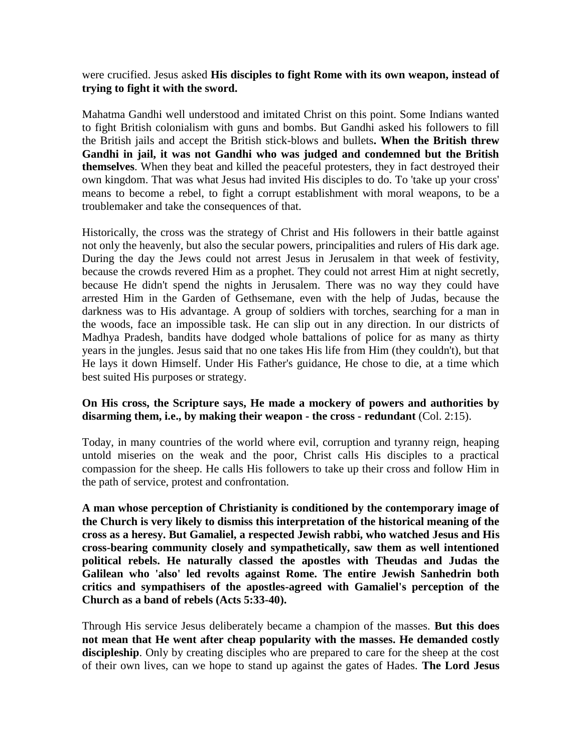were crucified. Jesus asked **His disciples to fight Rome with its own weapon, instead of trying to fight it with the sword.**

Mahatma Gandhi well understood and imitated Christ on this point. Some Indians wanted to fight British colonialism with guns and bombs. But Gandhi asked his followers to fill the British jails and accept the British stick-blows and bullets**. When the British threw Gandhi in jail, it was not Gandhi who was judged and condemned but the British themselves**. When they beat and killed the peaceful protesters, they in fact destroyed their own kingdom. That was what Jesus had invited His disciples to do. To 'take up your cross' means to become a rebel, to fight a corrupt establishment with moral weapons, to be a troublemaker and take the consequences of that.

Historically, the cross was the strategy of Christ and His followers in their battle against not only the heavenly, but also the secular powers, principalities and rulers of His dark age. During the day the Jews could not arrest Jesus in Jerusalem in that week of festivity, because the crowds revered Him as a prophet. They could not arrest Him at night secretly, because He didn't spend the nights in Jerusalem. There was no way they could have arrested Him in the Garden of Gethsemane, even with the help of Judas, because the darkness was to His advantage. A group of soldiers with torches, searching for a man in the woods, face an impossible task. He can slip out in any direction. In our districts of Madhya Pradesh, bandits have dodged whole battalions of police for as many as thirty years in the jungles. Jesus said that no one takes His life from Him (they couldn't), but that He lays it down Himself. Under His Father's guidance, He chose to die, at a time which best suited His purposes or strategy.

#### **On His cross, the Scripture says, He made a mockery of powers and authorities by disarming them, i.e., by making their weapon - the cross - redundant** (Col. 2:15).

Today, in many countries of the world where evil, corruption and tyranny reign, heaping untold miseries on the weak and the poor, Christ calls His disciples to a practical compassion for the sheep. He calls His followers to take up their cross and follow Him in the path of service, protest and confrontation.

**A man whose perception of Christianity is conditioned by the contemporary image of the Church is very likely to dismiss this interpretation of the historical meaning of the cross as a heresy. But Gamaliel, a respected Jewish rabbi, who watched Jesus and His cross-bearing community closely and sympathetically, saw them as well intentioned political rebels. He naturally classed the apostles with Theudas and Judas the Galilean who 'also' led revolts against Rome. The entire Jewish Sanhedrin both critics and sympathisers of the apostles-agreed with Gamaliel's perception of the Church as a band of rebels (Acts 5:33-40).** 

Through His service Jesus deliberately became a champion of the masses. **But this does not mean that He went after cheap popularity with the masses. He demanded costly**  discipleship. Only by creating disciples who are prepared to care for the sheep at the cost of their own lives, can we hope to stand up against the gates of Hades. **The Lord Jesus**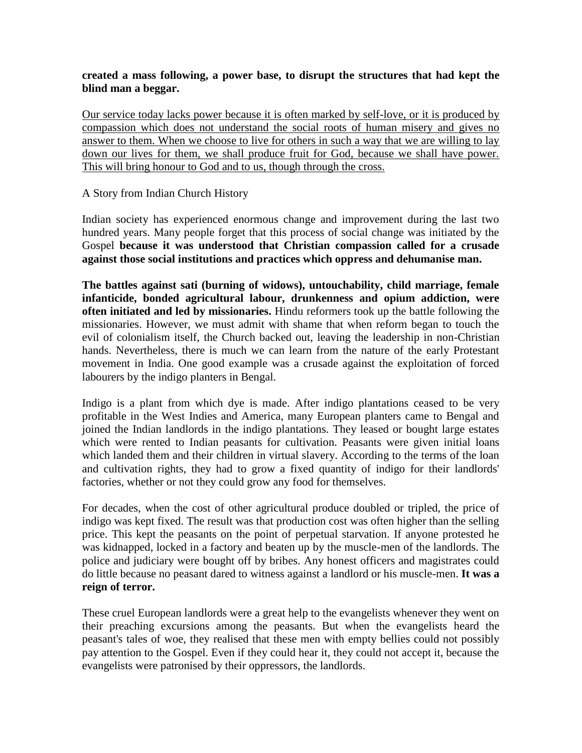#### **created a mass following, a power base, to disrupt the structures that had kept the blind man a beggar.**

Our service today lacks power because it is often marked by self-love, or it is produced by compassion which does not understand the social roots of human misery and gives no answer to them. When we choose to live for others in such a way that we are willing to lay down our lives for them, we shall produce fruit for God, because we shall have power. This will bring honour to God and to us, though through the cross.

#### A Story from Indian Church History

Indian society has experienced enormous change and improvement during the last two hundred years. Many people forget that this process of social change was initiated by the Gospel **because it was understood that Christian compassion called for a crusade against those social institutions and practices which oppress and dehumanise man.**

**The battles against sati (burning of widows), untouchability, child marriage, female infanticide, bonded agricultural labour, drunkenness and opium addiction, were often initiated and led by missionaries.** Hindu reformers took up the battle following the missionaries. However, we must admit with shame that when reform began to touch the evil of colonialism itself, the Church backed out, leaving the leadership in non-Christian hands. Nevertheless, there is much we can learn from the nature of the early Protestant movement in India. One good example was a crusade against the exploitation of forced labourers by the indigo planters in Bengal.

Indigo is a plant from which dye is made. After indigo plantations ceased to be very profitable in the West Indies and America, many European planters came to Bengal and joined the Indian landlords in the indigo plantations. They leased or bought large estates which were rented to Indian peasants for cultivation. Peasants were given initial loans which landed them and their children in virtual slavery. According to the terms of the loan and cultivation rights, they had to grow a fixed quantity of indigo for their landlords' factories, whether or not they could grow any food for themselves.

For decades, when the cost of other agricultural produce doubled or tripled, the price of indigo was kept fixed. The result was that production cost was often higher than the selling price. This kept the peasants on the point of perpetual starvation. If anyone protested he was kidnapped, locked in a factory and beaten up by the muscle-men of the landlords. The police and judiciary were bought off by bribes. Any honest officers and magistrates could do little because no peasant dared to witness against a landlord or his muscle-men. **It was a reign of terror.**

These cruel European landlords were a great help to the evangelists whenever they went on their preaching excursions among the peasants. But when the evangelists heard the peasant's tales of woe, they realised that these men with empty bellies could not possibly pay attention to the Gospel. Even if they could hear it, they could not accept it, because the evangelists were patronised by their oppressors, the landlords.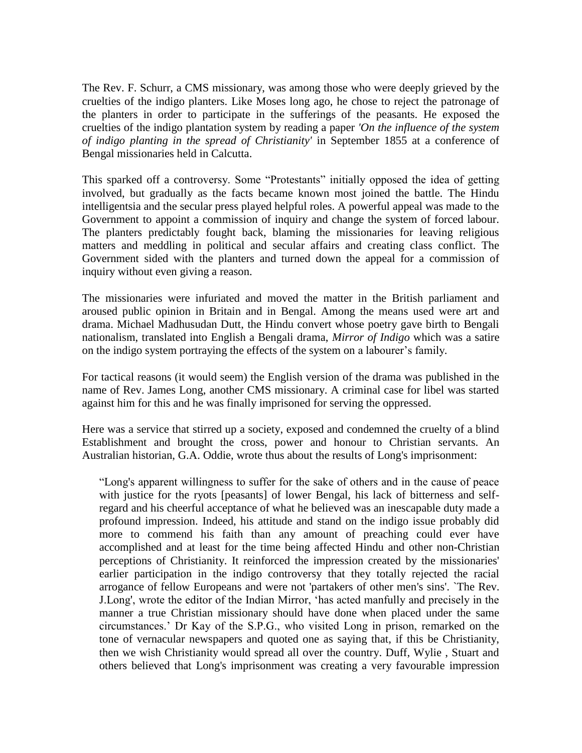The Rev. F. Schurr, a CMS missionary, was among those who were deeply grieved by the cruelties of the indigo planters. Like Moses long ago, he chose to reject the patronage of the planters in order to participate in the sufferings of the peasants. He exposed the cruelties of the indigo plantation system by reading a paper *'On the influence of the system of indigo planting in the spread of Christianity'* in September 1855 at a conference of Bengal missionaries held in Calcutta.

This sparked off a controversy. Some "Protestants" initially opposed the idea of getting involved, but gradually as the facts became known most joined the battle. The Hindu intelligentsia and the secular press played helpful roles. A powerful appeal was made to the Government to appoint a commission of inquiry and change the system of forced labour. The planters predictably fought back, blaming the missionaries for leaving religious matters and meddling in political and secular affairs and creating class conflict. The Government sided with the planters and turned down the appeal for a commission of inquiry without even giving a reason.

The missionaries were infuriated and moved the matter in the British parliament and aroused public opinion in Britain and in Bengal. Among the means used were art and drama. Michael Madhusudan Dutt, the Hindu convert whose poetry gave birth to Bengali nationalism, translated into English a Bengali drama, *Mirror of Indigo* which was a satire on the indigo system portraying the effects of the system on a labourer"s family*.* 

For tactical reasons (it would seem) the English version of the drama was published in the name of Rev. James Long, another CMS missionary. A criminal case for libel was started against him for this and he was finally imprisoned for serving the oppressed.

Here was a service that stirred up a society, exposed and condemned the cruelty of a blind Establishment and brought the cross, power and honour to Christian servants. An Australian historian, G.A. Oddie, wrote thus about the results of Long's imprisonment:

"Long's apparent willingness to suffer for the sake of others and in the cause of peace with justice for the ryots [peasants] of lower Bengal, his lack of bitterness and selfregard and his cheerful acceptance of what he believed was an inescapable duty made a profound impression. Indeed, his attitude and stand on the indigo issue probably did more to commend his faith than any amount of preaching could ever have accomplished and at least for the time being affected Hindu and other non-Christian perceptions of Christianity. It reinforced the impression created by the missionaries' earlier participation in the indigo controversy that they totally rejected the racial arrogance of fellow Europeans and were not 'partakers of other men's sins'. `The Rev. J.Long', wrote the editor of the Indian Mirror, "has acted manfully and precisely in the manner a true Christian missionary should have done when placed under the same circumstances." Dr Kay of the S.P.G., who visited Long in prison, remarked on the tone of vernacular newspapers and quoted one as saying that, if this be Christianity, then we wish Christianity would spread all over the country. Duff, Wylie , Stuart and others believed that Long's imprisonment was creating a very favourable impression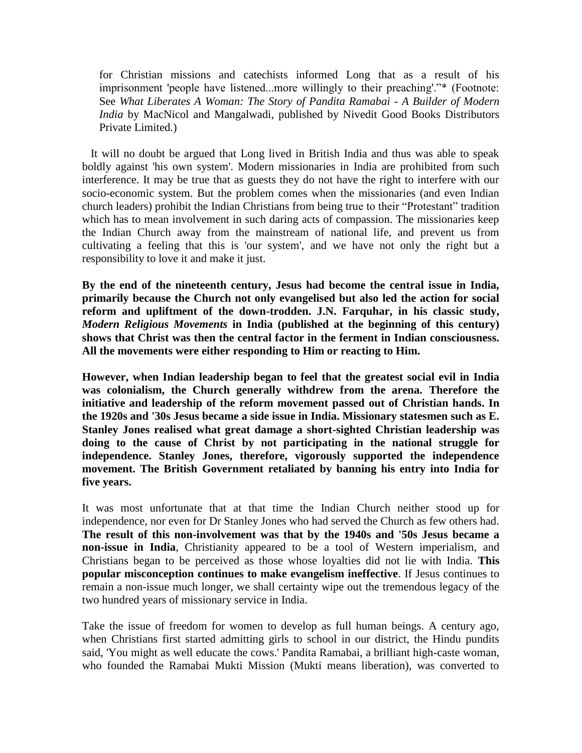for Christian missions and catechists informed Long that as a result of his imprisonment 'people have listened...more willingly to their preaching'."\* (Footnote: See *What Liberates A Woman: The Story of Pandita Ramabai - A Builder of Modern India* by MacNicol and Mangalwadi, published by Nivedit Good Books Distributors Private Limited.)

 It will no doubt be argued that Long lived in British India and thus was able to speak boldly against 'his own system'. Modern missionaries in India are prohibited from such interference. It may be true that as guests they do not have the right to interfere with our socio-economic system. But the problem comes when the missionaries (and even Indian church leaders) prohibit the Indian Christians from being true to their "Protestant" tradition which has to mean involvement in such daring acts of compassion. The missionaries keep the Indian Church away from the mainstream of national life, and prevent us from cultivating a feeling that this is 'our system', and we have not only the right but a responsibility to love it and make it just.

**By the end of the nineteenth century, Jesus had become the central issue in India, primarily because the Church not only evangelised but also led the action for social reform and upliftment of the down-trodden. J.N. Farquhar, in his classic study,**  *Modern Religious Movements* **in India (published at the beginning of this century) shows that Christ was then the central factor in the ferment in Indian consciousness. All the movements were either responding to Him or reacting to Him.** 

**However, when Indian leadership began to feel that the greatest social evil in India was colonialism, the Church generally withdrew from the arena. Therefore the initiative and leadership of the reform movement passed out of Christian hands. In the 1920s and '30s Jesus became a side issue in India. Missionary statesmen such as E. Stanley Jones realised what great damage a short-sighted Christian leadership was doing to the cause of Christ by not participating in the national struggle for independence. Stanley Jones, therefore, vigorously supported the independence movement. The British Government retaliated by banning his entry into India for five years.** 

It was most unfortunate that at that time the Indian Church neither stood up for independence, nor even for Dr Stanley Jones who had served the Church as few others had. **The result of this non-involvement was that by the 1940s and '50s Jesus became a non-issue in India**, Christianity appeared to be a tool of Western imperialism, and Christians began to be perceived as those whose loyalties did not lie with India. **This popular misconception continues to make evangelism ineffective**. If Jesus continues to remain a non-issue much longer, we shall certainty wipe out the tremendous legacy of the two hundred years of missionary service in India.

Take the issue of freedom for women to develop as full human beings. A century ago, when Christians first started admitting girls to school in our district, the Hindu pundits said, 'You might as well educate the cows.' Pandita Ramabai, a brilliant high-caste woman, who founded the Ramabai Mukti Mission (Mukti means liberation), was converted to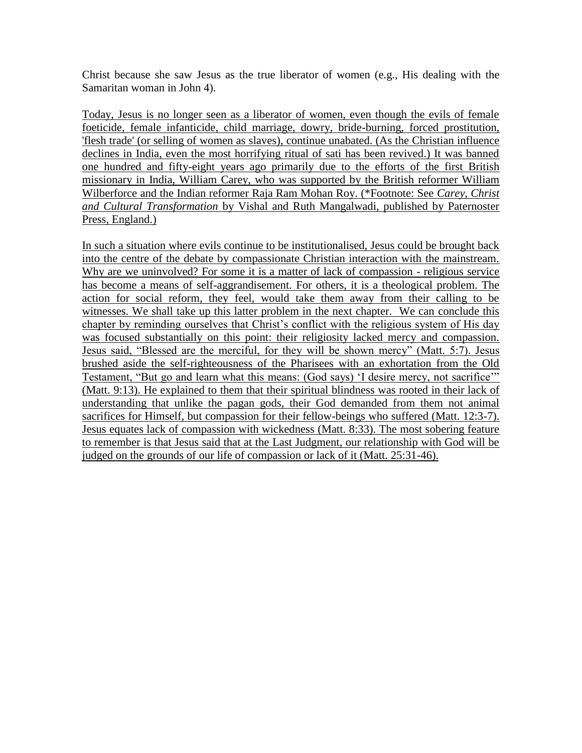Christ because she saw Jesus as the true liberator of women (e.g., His dealing with the Samaritan woman in John 4).

Today, Jesus is no longer seen as a liberator of women, even though the evils of female foeticide, female infanticide, child marriage, dowry, bride-burning, forced prostitution, 'flesh trade' (or selling of women as slaves), continue unabated. (As the Christian influence declines in India, even the most horrifying ritual of sati has been revived.) It was banned one hundred and fifty-eight years ago primarily due to the efforts of the first British missionary in India, William Carey, who was supported by the British reformer William Wilberforce and the Indian reformer Raja Ram Mohan Roy. (\*Footnote: See *Carey, Christ and Cultural Transformation* by Vishal and Ruth Mangalwadi, published by Paternoster Press, England.)

In such a situation where evils continue to be institutionalised, Jesus could be brought back into the centre of the debate by compassionate Christian interaction with the mainstream. Why are we uninvolved? For some it is a matter of lack of compassion - religious service has become a means of self-aggrandisement. For others, it is a theological problem. The action for social reform, they feel, would take them away from their calling to be witnesses. We shall take up this latter problem in the next chapter. We can conclude this chapter by reminding ourselves that Christ's conflict with the religious system of His day was focused substantially on this point: their religiosity lacked mercy and compassion. Jesus said, "Blessed are the merciful, for they will be shown mercy" (Matt. 5:7). Jesus brushed aside the self-righteousness of the Pharisees with an exhortation from the Old Testament, "But go and learn what this means: (God says) "I desire mercy, not sacrifice"" (Matt. 9:13). He explained to them that their spiritual blindness was rooted in their lack of understanding that unlike the pagan gods, their God demanded from them not animal sacrifices for Himself, but compassion for their fellow-beings who suffered (Matt. 12:3-7). Jesus equates lack of compassion with wickedness (Matt. 8:33). The most sobering feature to remember is that Jesus said that at the Last Judgment, our relationship with God will be judged on the grounds of our life of compassion or lack of it (Matt. 25:31-46).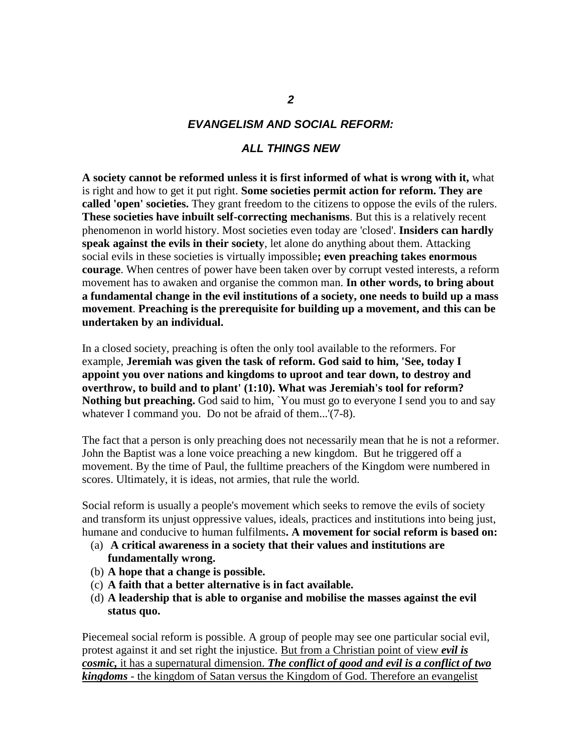#### *EVANGELISM AND SOCIAL REFORM:*

#### *ALL THINGS NEW*

**A society cannot be reformed unless it is first informed of what is wrong with it,** what is right and how to get it put right. **Some societies permit action for reform. They are called 'open' societies.** They grant freedom to the citizens to oppose the evils of the rulers. **These societies have inbuilt self-correcting mechanisms**. But this is a relatively recent phenomenon in world history. Most societies even today are 'closed'. **Insiders can hardly speak against the evils in their society**, let alone do anything about them. Attacking social evils in these societies is virtually impossible**; even preaching takes enormous courage**. When centres of power have been taken over by corrupt vested interests, a reform movement has to awaken and organise the common man. **In other words, to bring about a fundamental change in the evil institutions of a society, one needs to build up a mass movement**. **Preaching is the prerequisite for building up a movement, and this can be undertaken by an individual.** 

In a closed society, preaching is often the only tool available to the reformers. For example, **Jeremiah was given the task of reform. God said to him, 'See, today I appoint you over nations and kingdoms to uproot and tear down, to destroy and overthrow, to build and to plant' (1:10). What was Jeremiah's tool for reform? Nothing but preaching.** God said to him, `You must go to everyone I send you to and say whatever I command you. Do not be afraid of them...'(7-8).

The fact that a person is only preaching does not necessarily mean that he is not a reformer. John the Baptist was a lone voice preaching a new kingdom. But he triggered off a movement. By the time of Paul, the fulltime preachers of the Kingdom were numbered in scores. Ultimately, it is ideas, not armies, that rule the world.

Social reform is usually a people's movement which seeks to remove the evils of society and transform its unjust oppressive values, ideals, practices and institutions into being just, humane and conducive to human fulfilments**. A movement for social reform is based on:**

- (a) **A critical awareness in a society that their values and institutions are fundamentally wrong.**
- (b) **A hope that a change is possible.**
- (c) **A faith that a better alternative is in fact available.**
- (d) **A leadership that is able to organise and mobilise the masses against the evil status quo.**

Piecemeal social reform is possible. A group of people may see one particular social evil, protest against it and set right the injustice. But from a Christian point of view *evil is cosmic,* it has a supernatural dimension. *The conflict of good and evil is a conflict of two kingdoms* - the kingdom of Satan versus the Kingdom of God. Therefore an evangelist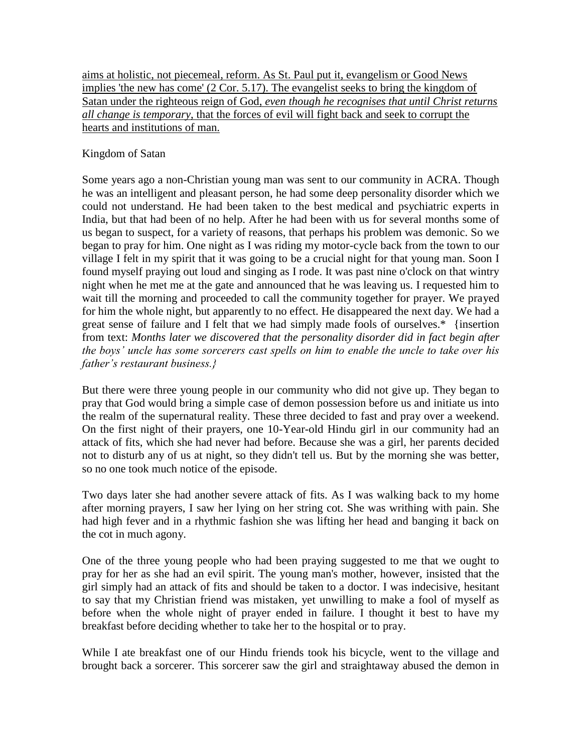aims at holistic, not piecemeal, reform. As St. Paul put it, evangelism or Good News implies 'the new has come' (2 Cor. 5.17). The evangelist seeks to bring the kingdom of Satan under the righteous reign of God, *even though he recognises that until Christ returns all change is temporary*, that the forces of evil will fight back and seek to corrupt the hearts and institutions of man.

#### Kingdom of Satan

Some years ago a non-Christian young man was sent to our community in ACRA. Though he was an intelligent and pleasant person, he had some deep personality disorder which we could not understand. He had been taken to the best medical and psychiatric experts in India, but that had been of no help. After he had been with us for several months some of us began to suspect, for a variety of reasons, that perhaps his problem was demonic. So we began to pray for him. One night as I was riding my motor-cycle back from the town to our village I felt in my spirit that it was going to be a crucial night for that young man. Soon I found myself praying out loud and singing as I rode. It was past nine o'clock on that wintry night when he met me at the gate and announced that he was leaving us. I requested him to wait till the morning and proceeded to call the community together for prayer. We prayed for him the whole night, but apparently to no effect. He disappeared the next day. We had a great sense of failure and I felt that we had simply made fools of ourselves.\* {insertion from text: *Months later we discovered that the personality disorder did in fact begin after the boys' uncle has some sorcerers cast spells on him to enable the uncle to take over his father's restaurant business.}*

But there were three young people in our community who did not give up. They began to pray that God would bring a simple case of demon possession before us and initiate us into the realm of the supernatural reality. These three decided to fast and pray over a weekend. On the first night of their prayers, one 10-Year-old Hindu girl in our community had an attack of fits, which she had never had before. Because she was a girl, her parents decided not to disturb any of us at night, so they didn't tell us. But by the morning she was better, so no one took much notice of the episode.

Two days later she had another severe attack of fits. As I was walking back to my home after morning prayers, I saw her lying on her string cot. She was writhing with pain. She had high fever and in a rhythmic fashion she was lifting her head and banging it back on the cot in much agony.

One of the three young people who had been praying suggested to me that we ought to pray for her as she had an evil spirit. The young man's mother, however, insisted that the girl simply had an attack of fits and should be taken to a doctor. I was indecisive, hesitant to say that my Christian friend was mistaken, yet unwilling to make a fool of myself as before when the whole night of prayer ended in failure. I thought it best to have my breakfast before deciding whether to take her to the hospital or to pray.

While I ate breakfast one of our Hindu friends took his bicycle, went to the village and brought back a sorcerer. This sorcerer saw the girl and straightaway abused the demon in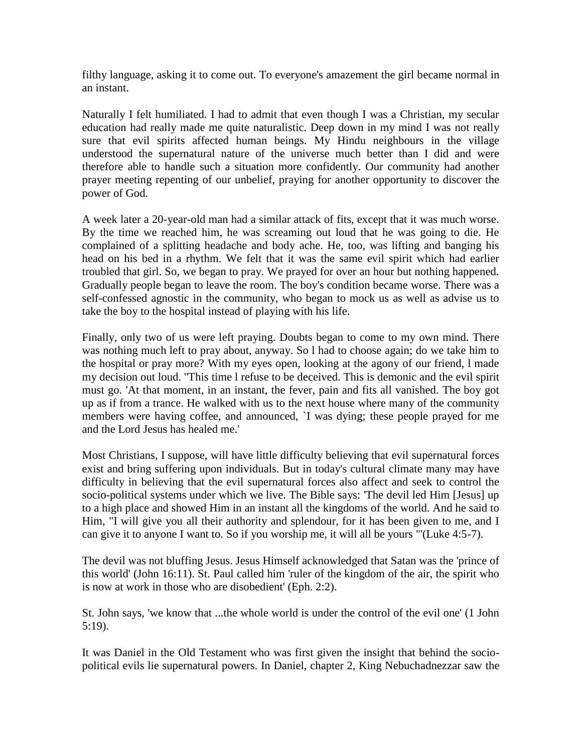filthy language, asking it to come out. To everyone's amazement the girl became normal in an instant.

Naturally I felt humiliated. I had to admit that even though I was a Christian, my secular education had really made me quite naturalistic. Deep down in my mind I was not really sure that evil spirits affected human beings. My Hindu neighbours in the village understood the supernatural nature of the universe much better than I did and were therefore able to handle such a situation more confidently. Our community had another prayer meeting repenting of our unbelief, praying for another opportunity to discover the power of God.

A week later a 20-year-old man had a similar attack of fits, except that it was much worse. By the time we reached him, he was screaming out loud that he was going to die. He complained of a splitting headache and body ache. He, too, was lifting and banging his head on his bed in a rhythm. We felt that it was the same evil spirit which had earlier troubled that girl. So, we began to pray. We prayed for over an hour but nothing happened. Gradually people began to leave the room. The boy's condition became worse. There was a self-confessed agnostic in the community, who began to mock us as well as advise us to take the boy to the hospital instead of playing with his life.

Finally, only two of us were left praying. Doubts began to come to my own mind. There was nothing much left to pray about, anyway. So l had to choose again; do we take him to the hospital or pray more? With my eyes open, looking at the agony of our friend, l made my decision out loud. ''This time l refuse to be deceived. This is demonic and the evil spirit must go. 'At that moment, in an instant, the fever, pain and fits all vanished. The boy got up as if from a trance. He walked with us to the next house where many of the community members were having coffee, and announced, `I was dying; these people prayed for me and the Lord Jesus has healed me.'

Most Christians, I suppose, will have little difficulty believing that evil supernatural forces exist and bring suffering upon individuals. But in today's cultural climate many may have difficulty in believing that the evil supernatural forces also affect and seek to control the socio-political systems under which we live. The Bible says: 'The devil led Him [Jesus] up to a high place and showed Him in an instant all the kingdoms of the world. And he said to Him, "I will give you all their authority and splendour, for it has been given to me, and I can give it to anyone I want to. So if you worship me, it will all be yours "'(Luke 4:5-7).

The devil was not bluffing Jesus. Jesus Himself acknowledged that Satan was the 'prince of this world' (John 16:11). St. Paul called him 'ruler of the kingdom of the air, the spirit who is now at work in those who are disobedient' (Eph. 2:2).

St. John says, 'we know that ...the whole world is under the control of the evil one' (1 John 5:19).

It was Daniel in the Old Testament who was first given the insight that behind the sociopolitical evils lie supernatural powers. In Daniel, chapter 2, King Nebuchadnezzar saw the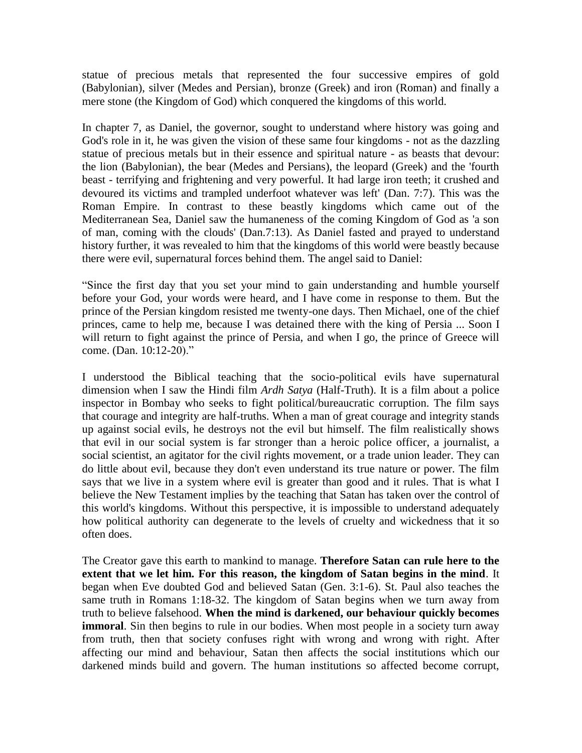statue of precious metals that represented the four successive empires of gold (Babylonian), silver (Medes and Persian), bronze (Greek) and iron (Roman) and finally a mere stone (the Kingdom of God) which conquered the kingdoms of this world.

In chapter 7, as Daniel, the governor, sought to understand where history was going and God's role in it, he was given the vision of these same four kingdoms - not as the dazzling statue of precious metals but in their essence and spiritual nature - as beasts that devour: the lion (Babylonian), the bear (Medes and Persians), the leopard (Greek) and the 'fourth beast - terrifying and frightening and very powerful. It had large iron teeth; it crushed and devoured its victims and trampled underfoot whatever was left' (Dan. 7:7). This was the Roman Empire. In contrast to these beastly kingdoms which came out of the Mediterranean Sea, Daniel saw the humaneness of the coming Kingdom of God as 'a son of man, coming with the clouds' (Dan.7:13). As Daniel fasted and prayed to understand history further, it was revealed to him that the kingdoms of this world were beastly because there were evil, supernatural forces behind them. The angel said to Daniel:

"Since the first day that you set your mind to gain understanding and humble yourself before your God, your words were heard, and I have come in response to them. But the prince of the Persian kingdom resisted me twenty-one days. Then Michael, one of the chief princes, came to help me, because I was detained there with the king of Persia ... Soon I will return to fight against the prince of Persia, and when I go, the prince of Greece will come. (Dan. 10:12-20)."

I understood the Biblical teaching that the socio-political evils have supernatural dimension when I saw the Hindi film *Ardh Satya* (Half-Truth). It is a film about a police inspector in Bombay who seeks to fight political/bureaucratic corruption. The film says that courage and integrity are half-truths. When a man of great courage and integrity stands up against social evils, he destroys not the evil but himself. The film realistically shows that evil in our social system is far stronger than a heroic police officer, a journalist, a social scientist, an agitator for the civil rights movement, or a trade union leader. They can do little about evil, because they don't even understand its true nature or power. The film says that we live in a system where evil is greater than good and it rules. That is what I believe the New Testament implies by the teaching that Satan has taken over the control of this world's kingdoms. Without this perspective, it is impossible to understand adequately how political authority can degenerate to the levels of cruelty and wickedness that it so often does.

The Creator gave this earth to mankind to manage. **Therefore Satan can rule here to the extent that we let him. For this reason, the kingdom of Satan begins in the mind**. It began when Eve doubted God and believed Satan (Gen. 3:1-6). St. Paul also teaches the same truth in Romans 1:18-32. The kingdom of Satan begins when we turn away from truth to believe falsehood. **When the mind is darkened, our behaviour quickly becomes immoral**. Sin then begins to rule in our bodies. When most people in a society turn away from truth, then that society confuses right with wrong and wrong with right. After affecting our mind and behaviour, Satan then affects the social institutions which our darkened minds build and govern. The human institutions so affected become corrupt,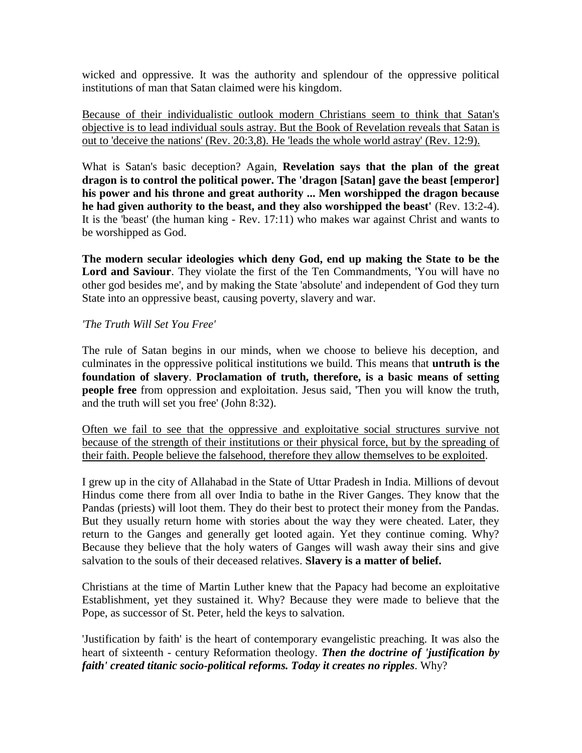wicked and oppressive. It was the authority and splendour of the oppressive political institutions of man that Satan claimed were his kingdom.

Because of their individualistic outlook modern Christians seem to think that Satan's objective is to lead individual souls astray. But the Book of Revelation reveals that Satan is out to 'deceive the nations' (Rev. 20:3,8). He 'leads the whole world astray' (Rev. 12:9).

What is Satan's basic deception? Again, **Revelation says that the plan of the great dragon is to control the political power. The 'dragon [Satan] gave the beast [emperor] his power and his throne and great authority ... Men worshipped the dragon because**  he had given authority to the beast, and they also worshipped the beast' (Rev. 13:2-4). It is the 'beast' (the human king - Rev. 17:11) who makes war against Christ and wants to be worshipped as God.

**The modern secular ideologies which deny God, end up making the State to be the Lord and Saviour**. They violate the first of the Ten Commandments, 'You will have no other god besides me', and by making the State 'absolute' and independent of God they turn State into an oppressive beast, causing poverty, slavery and war.

#### *'The Truth Will Set You Free'*

The rule of Satan begins in our minds, when we choose to believe his deception, and culminates in the oppressive political institutions we build. This means that **untruth is the foundation of slavery**. **Proclamation of truth, therefore, is a basic means of setting people free** from oppression and exploitation. Jesus said, 'Then you will know the truth, and the truth will set you free' (John 8:32).

Often we fail to see that the oppressive and exploitative social structures survive not because of the strength of their institutions or their physical force, but by the spreading of their faith. People believe the falsehood, therefore they allow themselves to be exploited.

I grew up in the city of Allahabad in the State of Uttar Pradesh in India. Millions of devout Hindus come there from all over India to bathe in the River Ganges. They know that the Pandas (priests) will loot them. They do their best to protect their money from the Pandas. But they usually return home with stories about the way they were cheated. Later, they return to the Ganges and generally get looted again. Yet they continue coming. Why? Because they believe that the holy waters of Ganges will wash away their sins and give salvation to the souls of their deceased relatives. **Slavery is a matter of belief.**

Christians at the time of Martin Luther knew that the Papacy had become an exploitative Establishment, yet they sustained it. Why? Because they were made to believe that the Pope, as successor of St. Peter, held the keys to salvation.

'Justification by faith' is the heart of contemporary evangelistic preaching. It was also the heart of sixteenth - century Reformation theology. *Then the doctrine of 'justification by faith' created titanic socio-political reforms. Today it creates no ripples*. Why?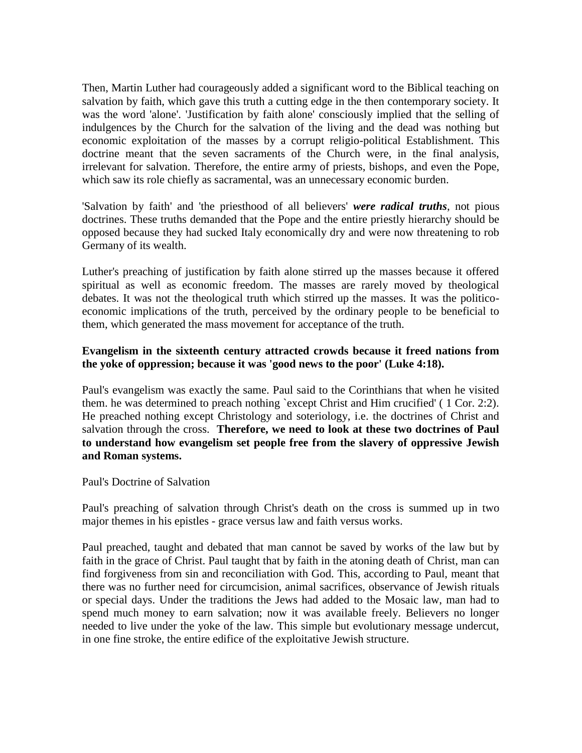Then, Martin Luther had courageously added a significant word to the Biblical teaching on salvation by faith, which gave this truth a cutting edge in the then contemporary society. It was the word 'alone'. 'Justification by faith alone' consciously implied that the selling of indulgences by the Church for the salvation of the living and the dead was nothing but economic exploitation of the masses by a corrupt religio-political Establishment. This doctrine meant that the seven sacraments of the Church were, in the final analysis, irrelevant for salvation. Therefore, the entire army of priests, bishops, and even the Pope, which saw its role chiefly as sacramental, was an unnecessary economic burden.

'Salvation by faith' and 'the priesthood of all believers' *were radical truths*, not pious doctrines. These truths demanded that the Pope and the entire priestly hierarchy should be opposed because they had sucked Italy economically dry and were now threatening to rob Germany of its wealth.

Luther's preaching of justification by faith alone stirred up the masses because it offered spiritual as well as economic freedom. The masses are rarely moved by theological debates. It was not the theological truth which stirred up the masses. It was the politicoeconomic implications of the truth, perceived by the ordinary people to be beneficial to them, which generated the mass movement for acceptance of the truth.

#### **Evangelism in the sixteenth century attracted crowds because it freed nations from the yoke of oppression; because it was 'good news to the poor' (Luke 4:18).**

Paul's evangelism was exactly the same. Paul said to the Corinthians that when he visited them. he was determined to preach nothing `except Christ and Him crucified' ( 1 Cor. 2:2). He preached nothing except Christology and soteriology, i.e. the doctrines of Christ and salvation through the cross. **Therefore, we need to look at these two doctrines of Paul to understand how evangelism set people free from the slavery of oppressive Jewish and Roman systems.**

Paul's Doctrine of Salvation

Paul's preaching of salvation through Christ's death on the cross is summed up in two major themes in his epistles - grace versus law and faith versus works.

Paul preached, taught and debated that man cannot be saved by works of the law but by faith in the grace of Christ. Paul taught that by faith in the atoning death of Christ, man can find forgiveness from sin and reconciliation with God. This, according to Paul, meant that there was no further need for circumcision, animal sacrifices, observance of Jewish rituals or special days. Under the traditions the Jews had added to the Mosaic law, man had to spend much money to earn salvation; now it was available freely. Believers no longer needed to live under the yoke of the law. This simple but evolutionary message undercut, in one fine stroke, the entire edifice of the exploitative Jewish structure.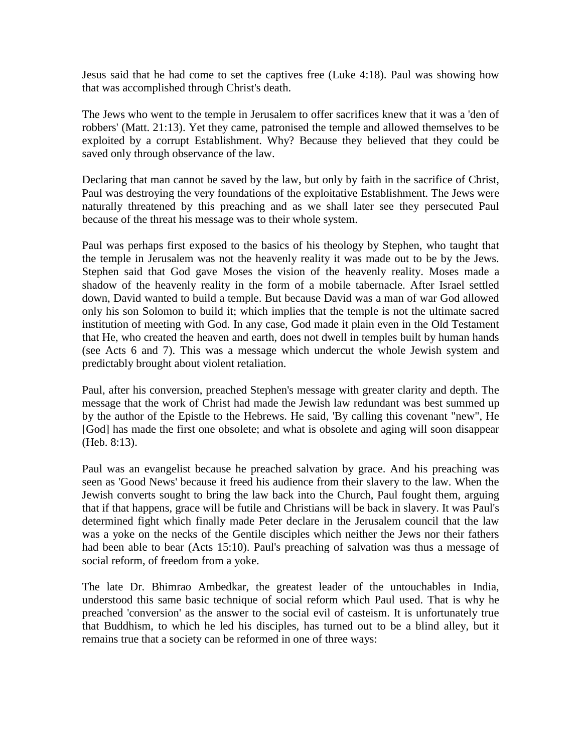Jesus said that he had come to set the captives free (Luke 4:18). Paul was showing how that was accomplished through Christ's death.

The Jews who went to the temple in Jerusalem to offer sacrifices knew that it was a 'den of robbers' (Matt. 21:13). Yet they came, patronised the temple and allowed themselves to be exploited by a corrupt Establishment. Why? Because they believed that they could be saved only through observance of the law.

Declaring that man cannot be saved by the law, but only by faith in the sacrifice of Christ, Paul was destroying the very foundations of the exploitative Establishment. The Jews were naturally threatened by this preaching and as we shall later see they persecuted Paul because of the threat his message was to their whole system.

Paul was perhaps first exposed to the basics of his theology by Stephen, who taught that the temple in Jerusalem was not the heavenly reality it was made out to be by the Jews. Stephen said that God gave Moses the vision of the heavenly reality. Moses made a shadow of the heavenly reality in the form of a mobile tabernacle. After Israel settled down, David wanted to build a temple. But because David was a man of war God allowed only his son Solomon to build it; which implies that the temple is not the ultimate sacred institution of meeting with God. In any case, God made it plain even in the Old Testament that He, who created the heaven and earth, does not dwell in temples built by human hands (see Acts 6 and 7). This was a message which undercut the whole Jewish system and predictably brought about violent retaliation.

Paul, after his conversion, preached Stephen's message with greater clarity and depth. The message that the work of Christ had made the Jewish law redundant was best summed up by the author of the Epistle to the Hebrews. He said, 'By calling this covenant "new", He [God] has made the first one obsolete; and what is obsolete and aging will soon disappear (Heb. 8:13).

Paul was an evangelist because he preached salvation by grace. And his preaching was seen as 'Good News' because it freed his audience from their slavery to the law. When the Jewish converts sought to bring the law back into the Church, Paul fought them, arguing that if that happens, grace will be futile and Christians will be back in slavery. It was Paul's determined fight which finally made Peter declare in the Jerusalem council that the law was a yoke on the necks of the Gentile disciples which neither the Jews nor their fathers had been able to bear (Acts 15:10). Paul's preaching of salvation was thus a message of social reform, of freedom from a yoke.

The late Dr. Bhimrao Ambedkar, the greatest leader of the untouchables in India, understood this same basic technique of social reform which Paul used. That is why he preached 'conversion' as the answer to the social evil of casteism. It is unfortunately true that Buddhism, to which he led his disciples, has turned out to be a blind alley, but it remains true that a society can be reformed in one of three ways: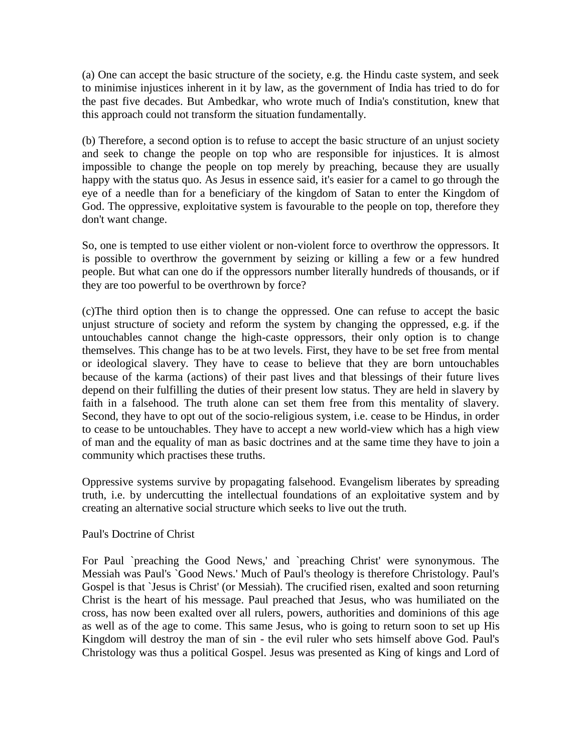(a) One can accept the basic structure of the society, e.g. the Hindu caste system, and seek to minimise injustices inherent in it by law, as the government of India has tried to do for the past five decades. But Ambedkar, who wrote much of India's constitution, knew that this approach could not transform the situation fundamentally.

(b) Therefore, a second option is to refuse to accept the basic structure of an unjust society and seek to change the people on top who are responsible for injustices. It is almost impossible to change the people on top merely by preaching, because they are usually happy with the status quo. As Jesus in essence said, it's easier for a camel to go through the eye of a needle than for a beneficiary of the kingdom of Satan to enter the Kingdom of God. The oppressive, exploitative system is favourable to the people on top, therefore they don't want change.

So, one is tempted to use either violent or non-violent force to overthrow the oppressors. It is possible to overthrow the government by seizing or killing a few or a few hundred people. But what can one do if the oppressors number literally hundreds of thousands, or if they are too powerful to be overthrown by force?

(c)The third option then is to change the oppressed. One can refuse to accept the basic unjust structure of society and reform the system by changing the oppressed, e.g. if the untouchables cannot change the high-caste oppressors, their only option is to change themselves. This change has to be at two levels. First, they have to be set free from mental or ideological slavery. They have to cease to believe that they are born untouchables because of the karma (actions) of their past lives and that blessings of their future lives depend on their fulfilling the duties of their present low status. They are held in slavery by faith in a falsehood. The truth alone can set them free from this mentality of slavery. Second, they have to opt out of the socio-religious system, i.e. cease to be Hindus, in order to cease to be untouchables. They have to accept a new world-view which has a high view of man and the equality of man as basic doctrines and at the same time they have to join a community which practises these truths.

Oppressive systems survive by propagating falsehood. Evangelism liberates by spreading truth, i.e. by undercutting the intellectual foundations of an exploitative system and by creating an alternative social structure which seeks to live out the truth.

#### Paul's Doctrine of Christ

For Paul `preaching the Good News,' and `preaching Christ' were synonymous. The Messiah was Paul's `Good News.' Much of Paul's theology is therefore Christology. Paul's Gospel is that `Jesus is Christ' (or Messiah). The crucified risen, exalted and soon returning Christ is the heart of his message. Paul preached that Jesus, who was humiliated on the cross, has now been exalted over all rulers, powers, authorities and dominions of this age as well as of the age to come. This same Jesus, who is going to return soon to set up His Kingdom will destroy the man of sin - the evil ruler who sets himself above God. Paul's Christology was thus a political Gospel. Jesus was presented as King of kings and Lord of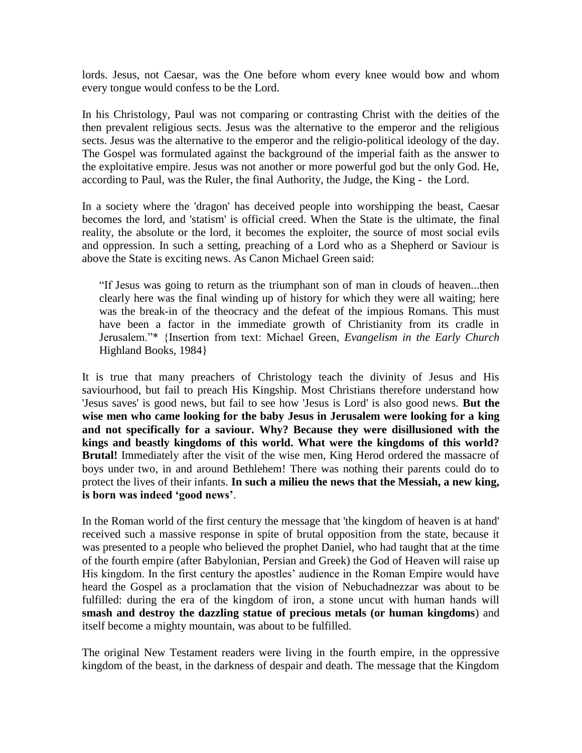lords. Jesus, not Caesar, was the One before whom every knee would bow and whom every tongue would confess to be the Lord.

In his Christology, Paul was not comparing or contrasting Christ with the deities of the then prevalent religious sects. Jesus was the alternative to the emperor and the religious sects. Jesus was the alternative to the emperor and the religio-political ideology of the day. The Gospel was formulated against the background of the imperial faith as the answer to the exploitative empire. Jesus was not another or more powerful god but the only God. He, according to Paul, was the Ruler, the final Authority, the Judge, the King - the Lord.

In a society where the 'dragon' has deceived people into worshipping the beast, Caesar becomes the lord, and 'statism' is official creed. When the State is the ultimate, the final reality, the absolute or the lord, it becomes the exploiter, the source of most social evils and oppression. In such a setting, preaching of a Lord who as a Shepherd or Saviour is above the State is exciting news. As Canon Michael Green said:

"If Jesus was going to return as the triumphant son of man in clouds of heaven...then clearly here was the final winding up of history for which they were all waiting; here was the break-in of the theocracy and the defeat of the impious Romans. This must have been a factor in the immediate growth of Christianity from its cradle in Jerusalem."\* {Insertion from text: Michael Green, *Evangelism in the Early Church* Highland Books, 1984}

It is true that many preachers of Christology teach the divinity of Jesus and His saviourhood, but fail to preach His Kingship. Most Christians therefore understand how 'Jesus saves' is good news, but fail to see how 'Jesus is Lord' is also good news. **But the wise men who came looking for the baby Jesus in Jerusalem were looking for a king and not specifically for a saviour. Why? Because they were disillusioned with the kings and beastly kingdoms of this world. What were the kingdoms of this world? Brutal!** Immediately after the visit of the wise men, King Herod ordered the massacre of boys under two, in and around Bethlehem! There was nothing their parents could do to protect the lives of their infants. **In such a milieu the news that the Messiah, a new king, is born was indeed "good news"**.

In the Roman world of the first century the message that 'the kingdom of heaven is at hand' received such a massive response in spite of brutal opposition from the state, because it was presented to a people who believed the prophet Daniel, who had taught that at the time of the fourth empire (after Babylonian, Persian and Greek) the God of Heaven will raise up His kingdom. In the first century the apostles' audience in the Roman Empire would have heard the Gospel as a proclamation that the vision of Nebuchadnezzar was about to be fulfilled: during the era of the kingdom of iron, a stone uncut with human hands will **smash and destroy the dazzling statue of precious metals (or human kingdoms**) and itself become a mighty mountain, was about to be fulfilled.

The original New Testament readers were living in the fourth empire, in the oppressive kingdom of the beast, in the darkness of despair and death. The message that the Kingdom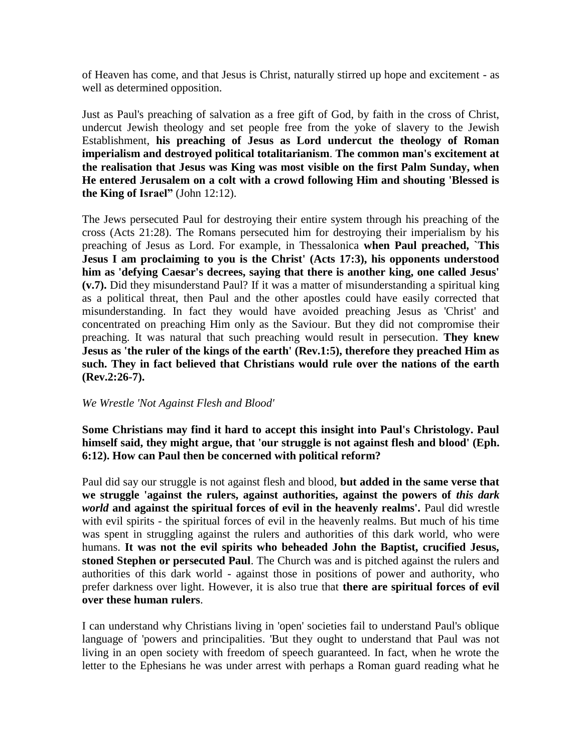of Heaven has come, and that Jesus is Christ, naturally stirred up hope and excitement - as well as determined opposition.

Just as Paul's preaching of salvation as a free gift of God, by faith in the cross of Christ, undercut Jewish theology and set people free from the yoke of slavery to the Jewish Establishment, **his preaching of Jesus as Lord undercut the theology of Roman imperialism and destroyed political totalitarianism**. **The common man's excitement at the realisation that Jesus was King was most visible on the first Palm Sunday, when He entered Jerusalem on a colt with a crowd following Him and shouting 'Blessed is the King of Israel"** (John 12:12).

The Jews persecuted Paul for destroying their entire system through his preaching of the cross (Acts 21:28). The Romans persecuted him for destroying their imperialism by his preaching of Jesus as Lord. For example, in Thessalonica **when Paul preached, `This Jesus I am proclaiming to you is the Christ' (Acts 17:3), his opponents understood him as 'defying Caesar's decrees, saying that there is another king, one called Jesus' (v.7).** Did they misunderstand Paul? If it was a matter of misunderstanding a spiritual king as a political threat, then Paul and the other apostles could have easily corrected that misunderstanding. In fact they would have avoided preaching Jesus as 'Christ' and concentrated on preaching Him only as the Saviour. But they did not compromise their preaching. It was natural that such preaching would result in persecution. **They knew Jesus as 'the ruler of the kings of the earth' (Rev.1:5), therefore they preached Him as such. They in fact believed that Christians would rule over the nations of the earth (Rev.2:26-7).**

#### *We Wrestle 'Not Against Flesh and Blood'*

**Some Christians may find it hard to accept this insight into Paul's Christology. Paul himself said, they might argue, that 'our struggle is not against flesh and blood' (Eph. 6:12). How can Paul then be concerned with political reform?**

Paul did say our struggle is not against flesh and blood, **but added in the same verse that we struggle 'against the rulers, against authorities, against the powers of** *this dark world* **and against the spiritual forces of evil in the heavenly realms'.** Paul did wrestle with evil spirits - the spiritual forces of evil in the heavenly realms. But much of his time was spent in struggling against the rulers and authorities of this dark world, who were humans. **It was not the evil spirits who beheaded John the Baptist, crucified Jesus, stoned Stephen or persecuted Paul**. The Church was and is pitched against the rulers and authorities of this dark world - against those in positions of power and authority, who prefer darkness over light. However, it is also true that **there are spiritual forces of evil over these human rulers**.

I can understand why Christians living in 'open' societies fail to understand Paul's oblique language of 'powers and principalities. 'But they ought to understand that Paul was not living in an open society with freedom of speech guaranteed. In fact, when he wrote the letter to the Ephesians he was under arrest with perhaps a Roman guard reading what he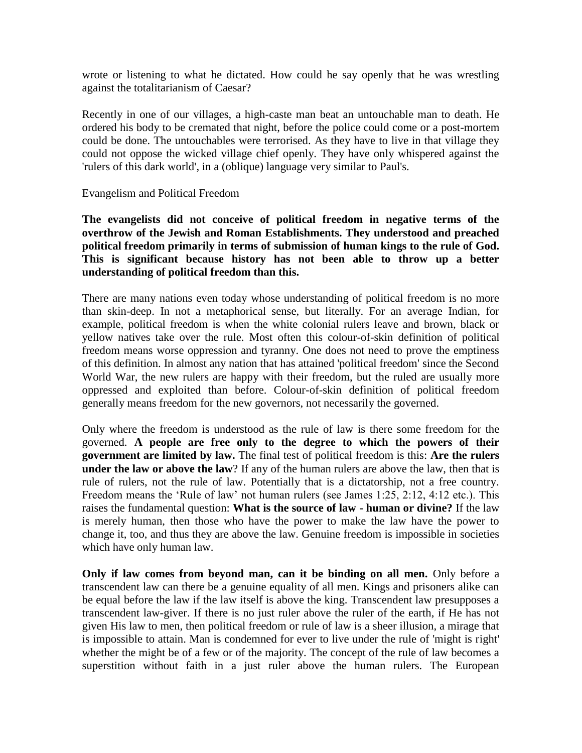wrote or listening to what he dictated. How could he say openly that he was wrestling against the totalitarianism of Caesar?

Recently in one of our villages, a high-caste man beat an untouchable man to death. He ordered his body to be cremated that night, before the police could come or a post-mortem could be done. The untouchables were terrorised. As they have to live in that village they could not oppose the wicked village chief openly. They have only whispered against the 'rulers of this dark world', in a (oblique) language very similar to Paul's.

Evangelism and Political Freedom

**The evangelists did not conceive of political freedom in negative terms of the overthrow of the Jewish and Roman Establishments. They understood and preached political freedom primarily in terms of submission of human kings to the rule of God. This is significant because history has not been able to throw up a better understanding of political freedom than this.**

There are many nations even today whose understanding of political freedom is no more than skin-deep. In not a metaphorical sense, but literally. For an average Indian, for example, political freedom is when the white colonial rulers leave and brown, black or yellow natives take over the rule. Most often this colour-of-skin definition of political freedom means worse oppression and tyranny. One does not need to prove the emptiness of this definition. In almost any nation that has attained 'political freedom' since the Second World War, the new rulers are happy with their freedom, but the ruled are usually more oppressed and exploited than before. Colour-of-skin definition of political freedom generally means freedom for the new governors, not necessarily the governed.

Only where the freedom is understood as the rule of law is there some freedom for the governed. **A people are free only to the degree to which the powers of their government are limited by law.** The final test of political freedom is this: **Are the rulers under the law or above the law**? If any of the human rulers are above the law, then that is rule of rulers, not the rule of law. Potentially that is a dictatorship, not a free country. Freedom means the 'Rule of law' not human rulers (see James 1:25, 2:12, 4:12 etc.). This raises the fundamental question: **What is the source of law - human or divine?** If the law is merely human, then those who have the power to make the law have the power to change it, too, and thus they are above the law. Genuine freedom is impossible in societies which have only human law.

**Only if law comes from beyond man, can it be binding on all men.** Only before a transcendent law can there be a genuine equality of all men. Kings and prisoners alike can be equal before the law if the law itself is above the king. Transcendent law presupposes a transcendent law-giver. If there is no just ruler above the ruler of the earth, if He has not given His law to men, then political freedom or rule of law is a sheer illusion, a mirage that is impossible to attain. Man is condemned for ever to live under the rule of 'might is right' whether the might be of a few or of the majority. The concept of the rule of law becomes a superstition without faith in a just ruler above the human rulers. The European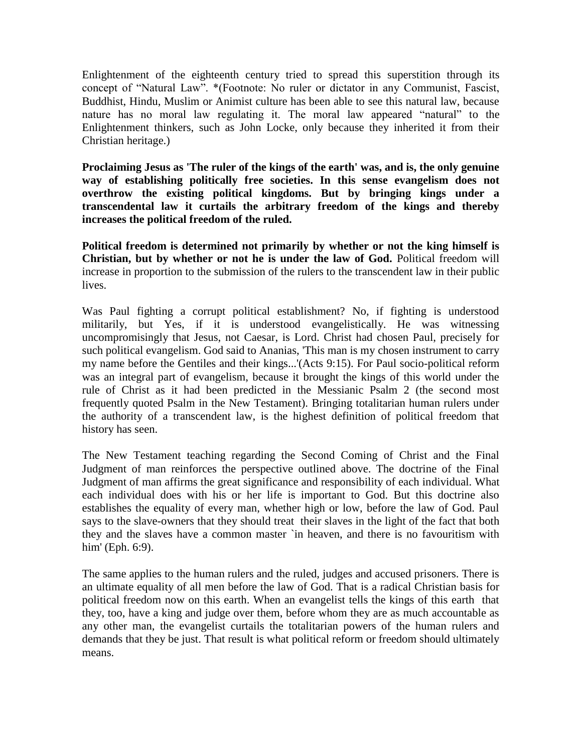Enlightenment of the eighteenth century tried to spread this superstition through its concept of "Natural Law". \*(Footnote: No ruler or dictator in any Communist, Fascist, Buddhist, Hindu, Muslim or Animist culture has been able to see this natural law, because nature has no moral law regulating it. The moral law appeared "natural" to the Enlightenment thinkers, such as John Locke, only because they inherited it from their Christian heritage.)

**Proclaiming Jesus as 'The ruler of the kings of the earth' was, and is, the only genuine way of establishing politically free societies. In this sense evangelism does not overthrow the existing political kingdoms. But by bringing kings under a transcendental law it curtails the arbitrary freedom of the kings and thereby increases the political freedom of the ruled.**

**Political freedom is determined not primarily by whether or not the king himself is Christian, but by whether or not he is under the law of God.** Political freedom will increase in proportion to the submission of the rulers to the transcendent law in their public lives.

Was Paul fighting a corrupt political establishment? No, if fighting is understood militarily, but Yes, if it is understood evangelistically. He was witnessing uncompromisingly that Jesus, not Caesar, is Lord. Christ had chosen Paul, precisely for such political evangelism. God said to Ananias, 'This man is my chosen instrument to carry my name before the Gentiles and their kings...'(Acts 9:15). For Paul socio-political reform was an integral part of evangelism, because it brought the kings of this world under the rule of Christ as it had been predicted in the Messianic Psalm 2 (the second most frequently quoted Psalm in the New Testament). Bringing totalitarian human rulers under the authority of a transcendent law, is the highest definition of political freedom that history has seen.

The New Testament teaching regarding the Second Coming of Christ and the Final Judgment of man reinforces the perspective outlined above. The doctrine of the Final Judgment of man affirms the great significance and responsibility of each individual. What each individual does with his or her life is important to God. But this doctrine also establishes the equality of every man, whether high or low, before the law of God. Paul says to the slave-owners that they should treat their slaves in the light of the fact that both they and the slaves have a common master `in heaven, and there is no favouritism with him' (Eph. 6:9).

The same applies to the human rulers and the ruled, judges and accused prisoners. There is an ultimate equality of all men before the law of God. That is a radical Christian basis for political freedom now on this earth. When an evangelist tells the kings of this earth that they, too, have a king and judge over them, before whom they are as much accountable as any other man, the evangelist curtails the totalitarian powers of the human rulers and demands that they be just. That result is what political reform or freedom should ultimately means.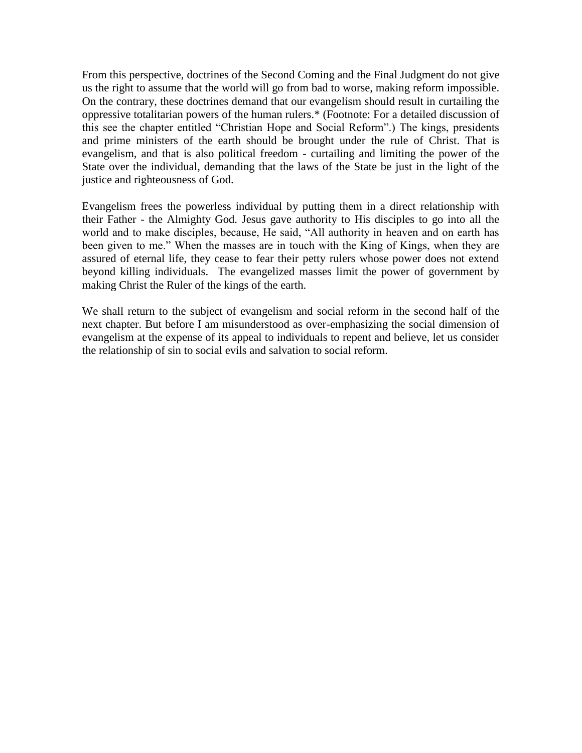From this perspective, doctrines of the Second Coming and the Final Judgment do not give us the right to assume that the world will go from bad to worse, making reform impossible. On the contrary, these doctrines demand that our evangelism should result in curtailing the oppressive totalitarian powers of the human rulers.\* (Footnote: For a detailed discussion of this see the chapter entitled "Christian Hope and Social Reform".) The kings, presidents and prime ministers of the earth should be brought under the rule of Christ. That is evangelism, and that is also political freedom - curtailing and limiting the power of the State over the individual, demanding that the laws of the State be just in the light of the justice and righteousness of God.

Evangelism frees the powerless individual by putting them in a direct relationship with their Father - the Almighty God. Jesus gave authority to His disciples to go into all the world and to make disciples, because, He said, "All authority in heaven and on earth has been given to me." When the masses are in touch with the King of Kings, when they are assured of eternal life, they cease to fear their petty rulers whose power does not extend beyond killing individuals. The evangelized masses limit the power of government by making Christ the Ruler of the kings of the earth.

We shall return to the subject of evangelism and social reform in the second half of the next chapter. But before I am misunderstood as over-emphasizing the social dimension of evangelism at the expense of its appeal to individuals to repent and believe, let us consider the relationship of sin to social evils and salvation to social reform.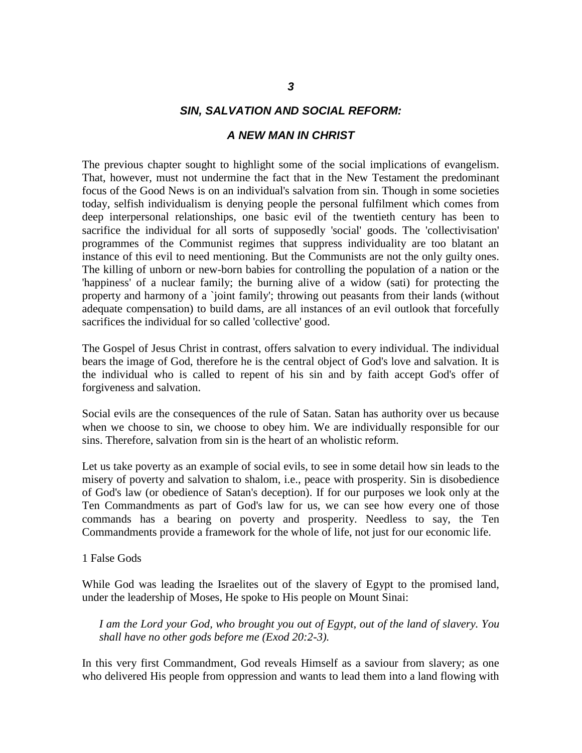#### *SIN, SALVATION AND SOCIAL REFORM:*

#### *A NEW MAN IN CHRIST*

The previous chapter sought to highlight some of the social implications of evangelism. That, however, must not undermine the fact that in the New Testament the predominant focus of the Good News is on an individual's salvation from sin. Though in some societies today, selfish individualism is denying people the personal fulfilment which comes from deep interpersonal relationships, one basic evil of the twentieth century has been to sacrifice the individual for all sorts of supposedly 'social' goods. The 'collectivisation' programmes of the Communist regimes that suppress individuality are too blatant an instance of this evil to need mentioning. But the Communists are not the only guilty ones. The killing of unborn or new-born babies for controlling the population of a nation or the 'happiness' of a nuclear family; the burning alive of a widow (sati) for protecting the property and harmony of a 'joint family'; throwing out peasants from their lands (without adequate compensation) to build dams, are all instances of an evil outlook that forcefully sacrifices the individual for so called 'collective' good.

The Gospel of Jesus Christ in contrast, offers salvation to every individual. The individual bears the image of God, therefore he is the central object of God's love and salvation. It is the individual who is called to repent of his sin and by faith accept God's offer of forgiveness and salvation.

Social evils are the consequences of the rule of Satan. Satan has authority over us because when we choose to sin, we choose to obey him. We are individually responsible for our sins. Therefore, salvation from sin is the heart of an wholistic reform.

Let us take poverty as an example of social evils, to see in some detail how sin leads to the misery of poverty and salvation to shalom, i.e., peace with prosperity. Sin is disobedience of God's law (or obedience of Satan's deception). If for our purposes we look only at the Ten Commandments as part of God's law for us, we can see how every one of those commands has a bearing on poverty and prosperity. Needless to say, the Ten Commandments provide a framework for the whole of life, not just for our economic life.

1 False Gods

While God was leading the Israelites out of the slavery of Egypt to the promised land, under the leadership of Moses, He spoke to His people on Mount Sinai:

*I am the Lord your God, who brought you out of Egypt, out of the land of slavery. You shall have no other gods before me (Exod 20:2-3).*

In this very first Commandment, God reveals Himself as a saviour from slavery; as one who delivered His people from oppression and wants to lead them into a land flowing with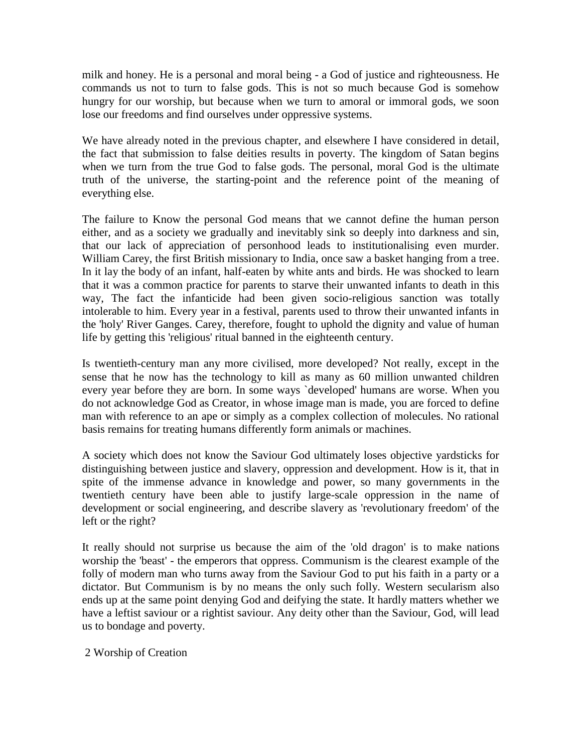milk and honey. He is a personal and moral being - a God of justice and righteousness. He commands us not to turn to false gods. This is not so much because God is somehow hungry for our worship, but because when we turn to amoral or immoral gods, we soon lose our freedoms and find ourselves under oppressive systems.

We have already noted in the previous chapter, and elsewhere I have considered in detail, the fact that submission to false deities results in poverty. The kingdom of Satan begins when we turn from the true God to false gods. The personal, moral God is the ultimate truth of the universe, the starting-point and the reference point of the meaning of everything else.

The failure to Know the personal God means that we cannot define the human person either, and as a society we gradually and inevitably sink so deeply into darkness and sin, that our lack of appreciation of personhood leads to institutionalising even murder. William Carey, the first British missionary to India, once saw a basket hanging from a tree. In it lay the body of an infant, half-eaten by white ants and birds. He was shocked to learn that it was a common practice for parents to starve their unwanted infants to death in this way, The fact the infanticide had been given socio-religious sanction was totally intolerable to him. Every year in a festival, parents used to throw their unwanted infants in the 'holy' River Ganges. Carey, therefore, fought to uphold the dignity and value of human life by getting this 'religious' ritual banned in the eighteenth century.

Is twentieth-century man any more civilised, more developed? Not really, except in the sense that he now has the technology to kill as many as 60 million unwanted children every year before they are born. In some ways `developed' humans are worse. When you do not acknowledge God as Creator, in whose image man is made, you are forced to define man with reference to an ape or simply as a complex collection of molecules. No rational basis remains for treating humans differently form animals or machines.

A society which does not know the Saviour God ultimately loses objective yardsticks for distinguishing between justice and slavery, oppression and development. How is it, that in spite of the immense advance in knowledge and power, so many governments in the twentieth century have been able to justify large-scale oppression in the name of development or social engineering, and describe slavery as 'revolutionary freedom' of the left or the right?

It really should not surprise us because the aim of the 'old dragon' is to make nations worship the 'beast' - the emperors that oppress. Communism is the clearest example of the folly of modern man who turns away from the Saviour God to put his faith in a party or a dictator. But Communism is by no means the only such folly. Western secularism also ends up at the same point denying God and deifying the state. It hardly matters whether we have a leftist saviour or a rightist saviour. Any deity other than the Saviour, God, will lead us to bondage and poverty.

2 Worship of Creation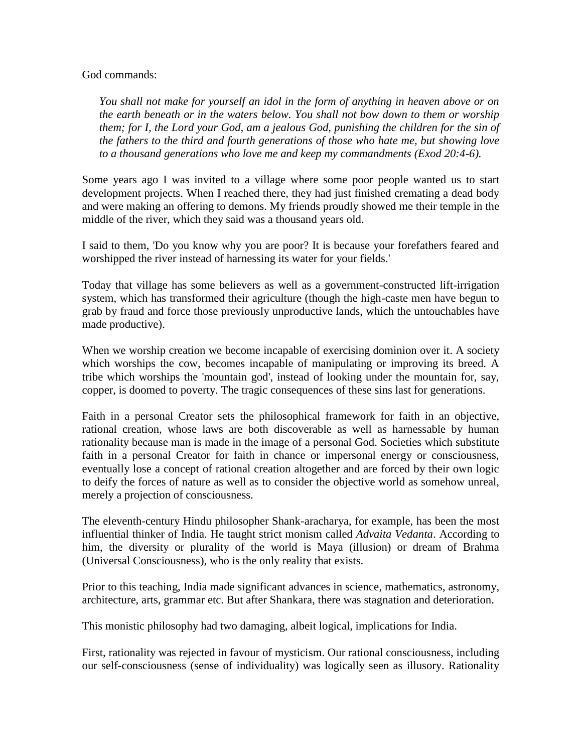#### God commands:

*You shall not make for yourself an idol in the form of anything in heaven above or on the earth beneath or in the waters below. You shall not bow down to them or worship them; for I, the Lord your God, am a jealous God, punishing the children for the sin of the fathers to the third and fourth generations of those who hate me, but showing love to a thousand generations who love me and keep my commandments (Exod 20:4-6).*

Some years ago I was invited to a village where some poor people wanted us to start development projects. When I reached there, they had just finished cremating a dead body and were making an offering to demons. My friends proudly showed me their temple in the middle of the river, which they said was a thousand years old.

I said to them, 'Do you know why you are poor? It is because your forefathers feared and worshipped the river instead of harnessing its water for your fields.'

Today that village has some believers as well as a government-constructed lift-irrigation system, which has transformed their agriculture (though the high-caste men have begun to grab by fraud and force those previously unproductive lands, which the untouchables have made productive).

When we worship creation we become incapable of exercising dominion over it. A society which worships the cow, becomes incapable of manipulating or improving its breed. A tribe which worships the 'mountain god', instead of looking under the mountain for, say, copper, is doomed to poverty. The tragic consequences of these sins last for generations.

Faith in a personal Creator sets the philosophical framework for faith in an objective, rational creation, whose laws are both discoverable as well as harnessable by human rationality because man is made in the image of a personal God. Societies which substitute faith in a personal Creator for faith in chance or impersonal energy or consciousness, eventually lose a concept of rational creation altogether and are forced by their own logic to deify the forces of nature as well as to consider the objective world as somehow unreal, merely a projection of consciousness.

The eleventh-century Hindu philosopher Shank-aracharya, for example, has been the most influential thinker of India. He taught strict monism called *Advaita Vedanta*. According to him, the diversity or plurality of the world is Maya (illusion) or dream of Brahma (Universal Consciousness), who is the only reality that exists.

Prior to this teaching, India made significant advances in science, mathematics, astronomy, architecture, arts, grammar etc. But after Shankara, there was stagnation and deterioration.

This monistic philosophy had two damaging, albeit logical, implications for India.

First, rationality was rejected in favour of mysticism. Our rational consciousness, including our self-consciousness (sense of individuality) was logically seen as illusory. Rationality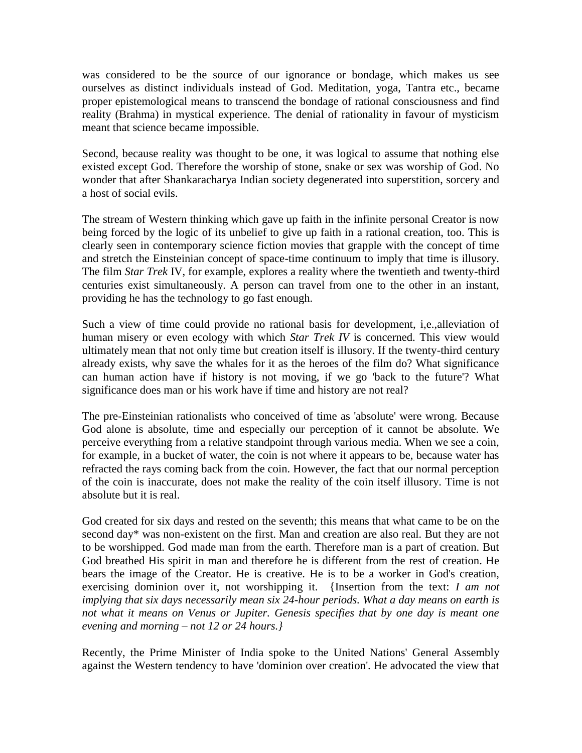was considered to be the source of our ignorance or bondage, which makes us see ourselves as distinct individuals instead of God. Meditation, yoga, Tantra etc., became proper epistemological means to transcend the bondage of rational consciousness and find reality (Brahma) in mystical experience. The denial of rationality in favour of mysticism meant that science became impossible.

Second, because reality was thought to be one, it was logical to assume that nothing else existed except God. Therefore the worship of stone, snake or sex was worship of God. No wonder that after Shankaracharya Indian society degenerated into superstition, sorcery and a host of social evils.

The stream of Western thinking which gave up faith in the infinite personal Creator is now being forced by the logic of its unbelief to give up faith in a rational creation, too. This is clearly seen in contemporary science fiction movies that grapple with the concept of time and stretch the Einsteinian concept of space-time continuum to imply that time is illusory. The film *Star Trek* IV, for example, explores a reality where the twentieth and twenty-third centuries exist simultaneously. A person can travel from one to the other in an instant, providing he has the technology to go fast enough.

Such a view of time could provide no rational basis for development, i,e.,alleviation of human misery or even ecology with which *Star Trek IV* is concerned. This view would ultimately mean that not only time but creation itself is illusory. If the twenty-third century already exists, why save the whales for it as the heroes of the film do? What significance can human action have if history is not moving, if we go 'back to the future'? What significance does man or his work have if time and history are not real?

The pre-Einsteinian rationalists who conceived of time as 'absolute' were wrong. Because God alone is absolute, time and especially our perception of it cannot be absolute. We perceive everything from a relative standpoint through various media. When we see a coin, for example, in a bucket of water, the coin is not where it appears to be, because water has refracted the rays coming back from the coin. However, the fact that our normal perception of the coin is inaccurate, does not make the reality of the coin itself illusory. Time is not absolute but it is real.

God created for six days and rested on the seventh; this means that what came to be on the second day\* was non-existent on the first. Man and creation are also real. But they are not to be worshipped. God made man from the earth. Therefore man is a part of creation. But God breathed His spirit in man and therefore he is different from the rest of creation. He bears the image of the Creator. He is creative. He is to be a worker in God's creation, exercising dominion over it, not worshipping it. {Insertion from the text: *I am not implying that six days necessarily mean six 24-hour periods. What a day means on earth is not what it means on Venus or Jupiter. Genesis specifies that by one day is meant one evening and morning – not 12 or 24 hours.}*

Recently, the Prime Minister of India spoke to the United Nations' General Assembly against the Western tendency to have 'dominion over creation'. He advocated the view that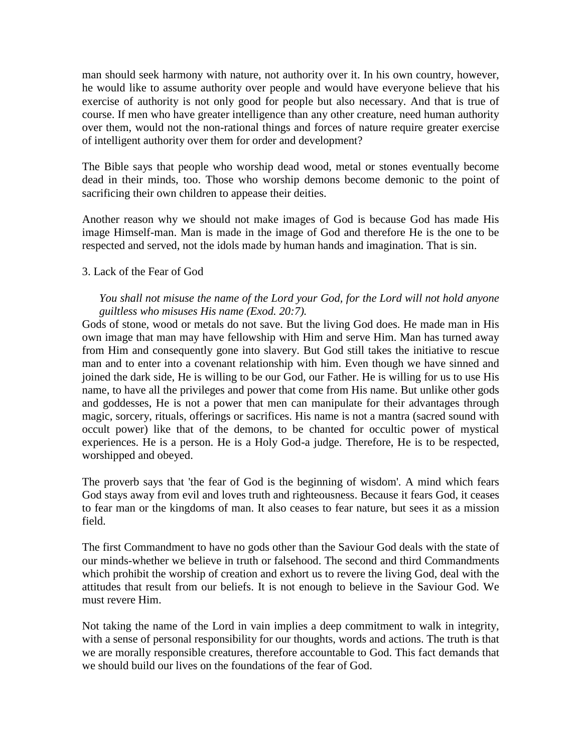man should seek harmony with nature, not authority over it. In his own country, however, he would like to assume authority over people and would have everyone believe that his exercise of authority is not only good for people but also necessary. And that is true of course. If men who have greater intelligence than any other creature, need human authority over them, would not the non-rational things and forces of nature require greater exercise of intelligent authority over them for order and development?

The Bible says that people who worship dead wood, metal or stones eventually become dead in their minds, too. Those who worship demons become demonic to the point of sacrificing their own children to appease their deities.

Another reason why we should not make images of God is because God has made His image Himself-man. Man is made in the image of God and therefore He is the one to be respected and served, not the idols made by human hands and imagination. That is sin.

## 3. Lack of the Fear of God

# *You shall not misuse the name of the Lord your God, for the Lord will not hold anyone guiltless who misuses His name (Exod. 20:7).*

Gods of stone, wood or metals do not save. But the living God does. He made man in His own image that man may have fellowship with Him and serve Him. Man has turned away from Him and consequently gone into slavery. But God still takes the initiative to rescue man and to enter into a covenant relationship with him. Even though we have sinned and joined the dark side, He is willing to be our God, our Father. He is willing for us to use His name, to have all the privileges and power that come from His name. But unlike other gods and goddesses, He is not a power that men can manipulate for their advantages through magic, sorcery, rituals, offerings or sacrifices. His name is not a mantra (sacred sound with occult power) like that of the demons, to be chanted for occultic power of mystical experiences. He is a person. He is a Holy God-a judge. Therefore, He is to be respected, worshipped and obeyed.

The proverb says that 'the fear of God is the beginning of wisdom'. A mind which fears God stays away from evil and loves truth and righteousness. Because it fears God, it ceases to fear man or the kingdoms of man. It also ceases to fear nature, but sees it as a mission field.

The first Commandment to have no gods other than the Saviour God deals with the state of our minds-whether we believe in truth or falsehood. The second and third Commandments which prohibit the worship of creation and exhort us to revere the living God, deal with the attitudes that result from our beliefs. It is not enough to believe in the Saviour God. We must revere Him.

Not taking the name of the Lord in vain implies a deep commitment to walk in integrity, with a sense of personal responsibility for our thoughts, words and actions. The truth is that we are morally responsible creatures, therefore accountable to God. This fact demands that we should build our lives on the foundations of the fear of God.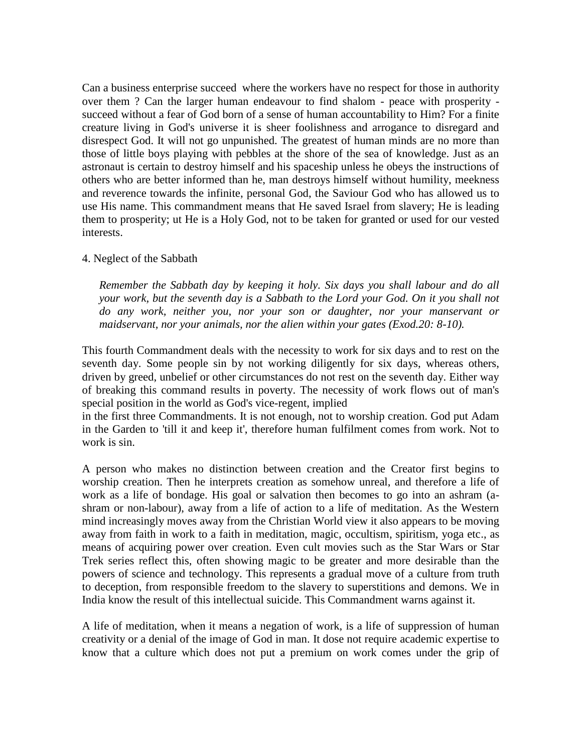Can a business enterprise succeed where the workers have no respect for those in authority over them ? Can the larger human endeavour to find shalom - peace with prosperity succeed without a fear of God born of a sense of human accountability to Him? For a finite creature living in God's universe it is sheer foolishness and arrogance to disregard and disrespect God. It will not go unpunished. The greatest of human minds are no more than those of little boys playing with pebbles at the shore of the sea of knowledge. Just as an astronaut is certain to destroy himself and his spaceship unless he obeys the instructions of others who are better informed than he, man destroys himself without humility, meekness and reverence towards the infinite, personal God, the Saviour God who has allowed us to use His name. This commandment means that He saved Israel from slavery; He is leading them to prosperity; ut He is a Holy God, not to be taken for granted or used for our vested interests.

#### 4. Neglect of the Sabbath

*Remember the Sabbath day by keeping it holy. Six days you shall labour and do all your work, but the seventh day is a Sabbath to the Lord your God. On it you shall not do any work, neither you, nor your son or daughter, nor your manservant or maidservant, nor your animals, nor the alien within your gates (Exod.20: 8-10).*

This fourth Commandment deals with the necessity to work for six days and to rest on the seventh day. Some people sin by not working diligently for six days, whereas others, driven by greed, unbelief or other circumstances do not rest on the seventh day. Either way of breaking this command results in poverty. The necessity of work flows out of man's special position in the world as God's vice-regent, implied

in the first three Commandments. It is not enough, not to worship creation. God put Adam in the Garden to 'till it and keep it', therefore human fulfilment comes from work. Not to work is sin.

A person who makes no distinction between creation and the Creator first begins to worship creation. Then he interprets creation as somehow unreal, and therefore a life of work as a life of bondage. His goal or salvation then becomes to go into an ashram (ashram or non-labour), away from a life of action to a life of meditation. As the Western mind increasingly moves away from the Christian World view it also appears to be moving away from faith in work to a faith in meditation, magic, occultism, spiritism, yoga etc., as means of acquiring power over creation. Even cult movies such as the Star Wars or Star Trek series reflect this, often showing magic to be greater and more desirable than the powers of science and technology. This represents a gradual move of a culture from truth to deception, from responsible freedom to the slavery to superstitions and demons. We in India know the result of this intellectual suicide. This Commandment warns against it.

A life of meditation, when it means a negation of work, is a life of suppression of human creativity or a denial of the image of God in man. It dose not require academic expertise to know that a culture which does not put a premium on work comes under the grip of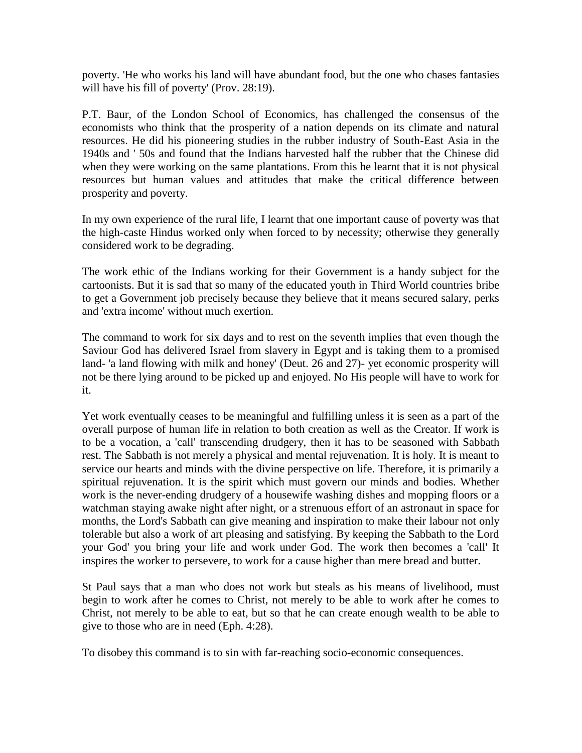poverty. 'He who works his land will have abundant food, but the one who chases fantasies will have his fill of poverty' (Prov. 28:19).

P.T. Baur, of the London School of Economics, has challenged the consensus of the economists who think that the prosperity of a nation depends on its climate and natural resources. He did his pioneering studies in the rubber industry of South-East Asia in the 1940s and ' 50s and found that the Indians harvested half the rubber that the Chinese did when they were working on the same plantations. From this he learnt that it is not physical resources but human values and attitudes that make the critical difference between prosperity and poverty.

In my own experience of the rural life, I learnt that one important cause of poverty was that the high-caste Hindus worked only when forced to by necessity; otherwise they generally considered work to be degrading.

The work ethic of the Indians working for their Government is a handy subject for the cartoonists. But it is sad that so many of the educated youth in Third World countries bribe to get a Government job precisely because they believe that it means secured salary, perks and 'extra income' without much exertion.

The command to work for six days and to rest on the seventh implies that even though the Saviour God has delivered Israel from slavery in Egypt and is taking them to a promised land- 'a land flowing with milk and honey' (Deut. 26 and 27)- yet economic prosperity will not be there lying around to be picked up and enjoyed. No His people will have to work for it.

Yet work eventually ceases to be meaningful and fulfilling unless it is seen as a part of the overall purpose of human life in relation to both creation as well as the Creator. If work is to be a vocation, a 'call' transcending drudgery, then it has to be seasoned with Sabbath rest. The Sabbath is not merely a physical and mental rejuvenation. It is holy. It is meant to service our hearts and minds with the divine perspective on life. Therefore, it is primarily a spiritual rejuvenation. It is the spirit which must govern our minds and bodies. Whether work is the never-ending drudgery of a housewife washing dishes and mopping floors or a watchman staying awake night after night, or a strenuous effort of an astronaut in space for months, the Lord's Sabbath can give meaning and inspiration to make their labour not only tolerable but also a work of art pleasing and satisfying. By keeping the Sabbath to the Lord your God' you bring your life and work under God. The work then becomes a 'call' It inspires the worker to persevere, to work for a cause higher than mere bread and butter.

St Paul says that a man who does not work but steals as his means of livelihood, must begin to work after he comes to Christ, not merely to be able to work after he comes to Christ, not merely to be able to eat, but so that he can create enough wealth to be able to give to those who are in need (Eph. 4:28).

To disobey this command is to sin with far-reaching socio-economic consequences.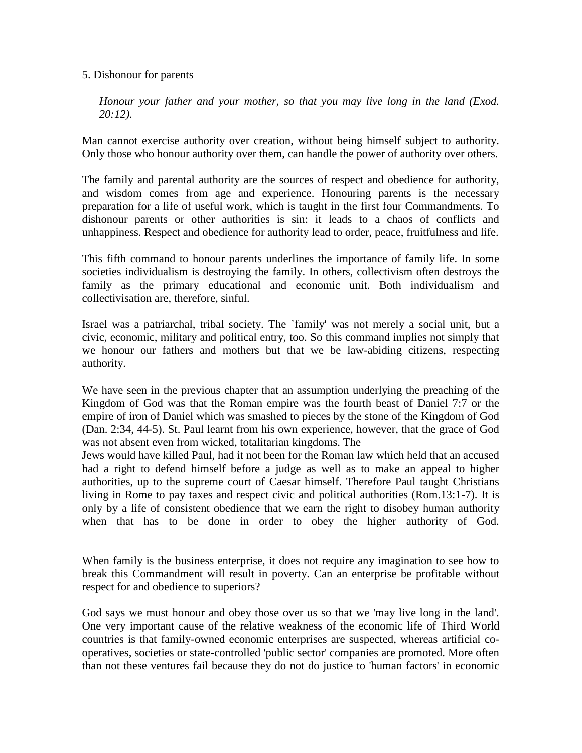#### 5. Dishonour for parents

*Honour your father and your mother, so that you may live long in the land (Exod. 20:12).*

Man cannot exercise authority over creation, without being himself subject to authority. Only those who honour authority over them, can handle the power of authority over others.

The family and parental authority are the sources of respect and obedience for authority, and wisdom comes from age and experience. Honouring parents is the necessary preparation for a life of useful work, which is taught in the first four Commandments. To dishonour parents or other authorities is sin: it leads to a chaos of conflicts and unhappiness. Respect and obedience for authority lead to order, peace, fruitfulness and life.

This fifth command to honour parents underlines the importance of family life. In some societies individualism is destroying the family. In others, collectivism often destroys the family as the primary educational and economic unit. Both individualism and collectivisation are, therefore, sinful.

Israel was a patriarchal, tribal society. The `family' was not merely a social unit, but a civic, economic, military and political entry, too. So this command implies not simply that we honour our fathers and mothers but that we be law-abiding citizens, respecting authority.

We have seen in the previous chapter that an assumption underlying the preaching of the Kingdom of God was that the Roman empire was the fourth beast of Daniel 7:7 or the empire of iron of Daniel which was smashed to pieces by the stone of the Kingdom of God (Dan. 2:34, 44-5). St. Paul learnt from his own experience, however, that the grace of God was not absent even from wicked, totalitarian kingdoms. The

Jews would have killed Paul, had it not been for the Roman law which held that an accused had a right to defend himself before a judge as well as to make an appeal to higher authorities, up to the supreme court of Caesar himself. Therefore Paul taught Christians living in Rome to pay taxes and respect civic and political authorities (Rom.13:1-7). It is only by a life of consistent obedience that we earn the right to disobey human authority when that has to be done in order to obey the higher authority of God.

When family is the business enterprise, it does not require any imagination to see how to break this Commandment will result in poverty. Can an enterprise be profitable without respect for and obedience to superiors?

God says we must honour and obey those over us so that we 'may live long in the land'. One very important cause of the relative weakness of the economic life of Third World countries is that family-owned economic enterprises are suspected, whereas artificial cooperatives, societies or state-controlled 'public sector' companies are promoted. More often than not these ventures fail because they do not do justice to 'human factors' in economic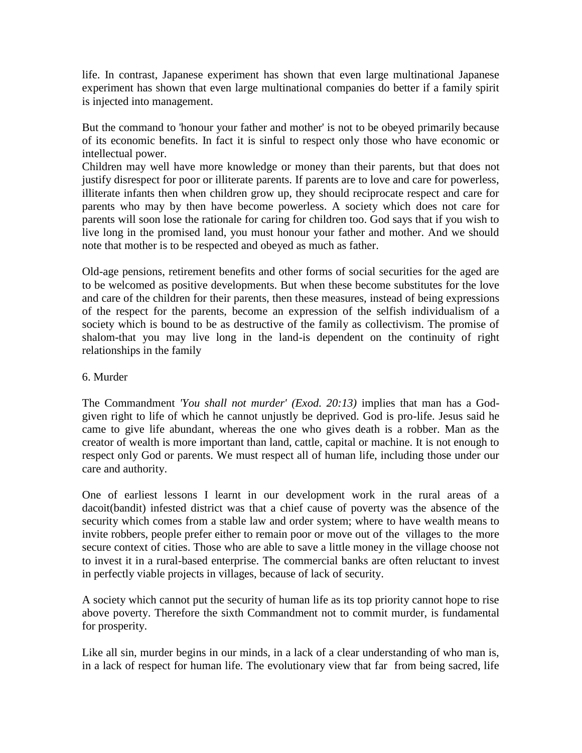life. In contrast, Japanese experiment has shown that even large multinational Japanese experiment has shown that even large multinational companies do better if a family spirit is injected into management.

But the command to 'honour your father and mother' is not to be obeyed primarily because of its economic benefits. In fact it is sinful to respect only those who have economic or intellectual power.

Children may well have more knowledge or money than their parents, but that does not justify disrespect for poor or illiterate parents. If parents are to love and care for powerless, illiterate infants then when children grow up, they should reciprocate respect and care for parents who may by then have become powerless. A society which does not care for parents will soon lose the rationale for caring for children too. God says that if you wish to live long in the promised land, you must honour your father and mother. And we should note that mother is to be respected and obeyed as much as father.

Old-age pensions, retirement benefits and other forms of social securities for the aged are to be welcomed as positive developments. But when these become substitutes for the love and care of the children for their parents, then these measures, instead of being expressions of the respect for the parents, become an expression of the selfish individualism of a society which is bound to be as destructive of the family as collectivism. The promise of shalom-that you may live long in the land-is dependent on the continuity of right relationships in the family

## 6. Murder

The Commandment *'You shall not murder' (Exod. 20:13)* implies that man has a Godgiven right to life of which he cannot unjustly be deprived. God is pro-life. Jesus said he came to give life abundant, whereas the one who gives death is a robber. Man as the creator of wealth is more important than land, cattle, capital or machine. It is not enough to respect only God or parents. We must respect all of human life, including those under our care and authority.

One of earliest lessons I learnt in our development work in the rural areas of a dacoit(bandit) infested district was that a chief cause of poverty was the absence of the security which comes from a stable law and order system; where to have wealth means to invite robbers, people prefer either to remain poor or move out of the villages to the more secure context of cities. Those who are able to save a little money in the village choose not to invest it in a rural-based enterprise. The commercial banks are often reluctant to invest in perfectly viable projects in villages, because of lack of security.

A society which cannot put the security of human life as its top priority cannot hope to rise above poverty. Therefore the sixth Commandment not to commit murder, is fundamental for prosperity.

Like all sin, murder begins in our minds, in a lack of a clear understanding of who man is, in a lack of respect for human life. The evolutionary view that far from being sacred, life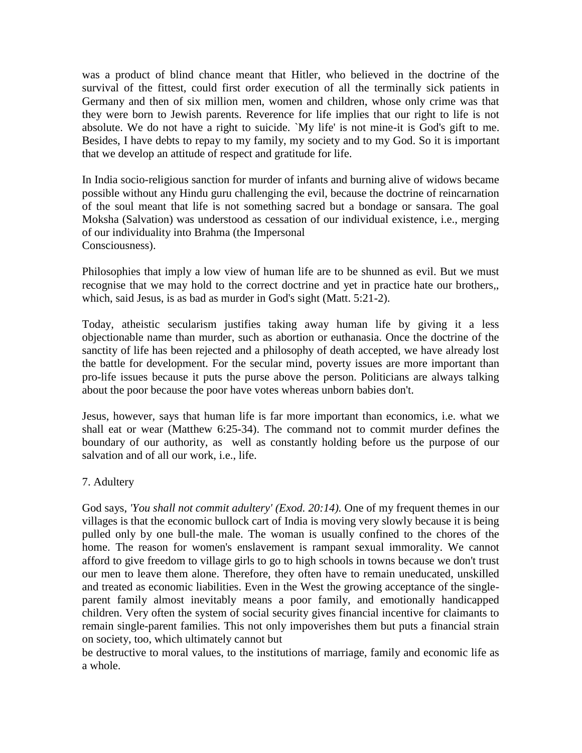was a product of blind chance meant that Hitler, who believed in the doctrine of the survival of the fittest, could first order execution of all the terminally sick patients in Germany and then of six million men, women and children, whose only crime was that they were born to Jewish parents. Reverence for life implies that our right to life is not absolute. We do not have a right to suicide. `My life' is not mine-it is God's gift to me. Besides, I have debts to repay to my family, my society and to my God. So it is important that we develop an attitude of respect and gratitude for life.

In India socio-religious sanction for murder of infants and burning alive of widows became possible without any Hindu guru challenging the evil, because the doctrine of reincarnation of the soul meant that life is not something sacred but a bondage or sansara. The goal Moksha (Salvation) was understood as cessation of our individual existence, i.e., merging of our individuality into Brahma (the Impersonal Consciousness).

Philosophies that imply a low view of human life are to be shunned as evil. But we must recognise that we may hold to the correct doctrine and yet in practice hate our brothers,, which, said Jesus, is as bad as murder in God's sight (Matt. 5:21-2).

Today, atheistic secularism justifies taking away human life by giving it a less objectionable name than murder, such as abortion or euthanasia. Once the doctrine of the sanctity of life has been rejected and a philosophy of death accepted, we have already lost the battle for development. For the secular mind, poverty issues are more important than pro-life issues because it puts the purse above the person. Politicians are always talking about the poor because the poor have votes whereas unborn babies don't.

Jesus, however, says that human life is far more important than economics, i.e. what we shall eat or wear (Matthew 6:25-34). The command not to commit murder defines the boundary of our authority, as well as constantly holding before us the purpose of our salvation and of all our work, i.e., life.

## 7. Adultery

God says, *'You shall not commit adultery' (Exod. 20:14).* One of my frequent themes in our villages is that the economic bullock cart of India is moving very slowly because it is being pulled only by one bull-the male. The woman is usually confined to the chores of the home. The reason for women's enslavement is rampant sexual immorality. We cannot afford to give freedom to village girls to go to high schools in towns because we don't trust our men to leave them alone. Therefore, they often have to remain uneducated, unskilled and treated as economic liabilities. Even in the West the growing acceptance of the singleparent family almost inevitably means a poor family, and emotionally handicapped children. Very often the system of social security gives financial incentive for claimants to remain single-parent families. This not only impoverishes them but puts a financial strain on society, too, which ultimately cannot but

be destructive to moral values, to the institutions of marriage, family and economic life as a whole.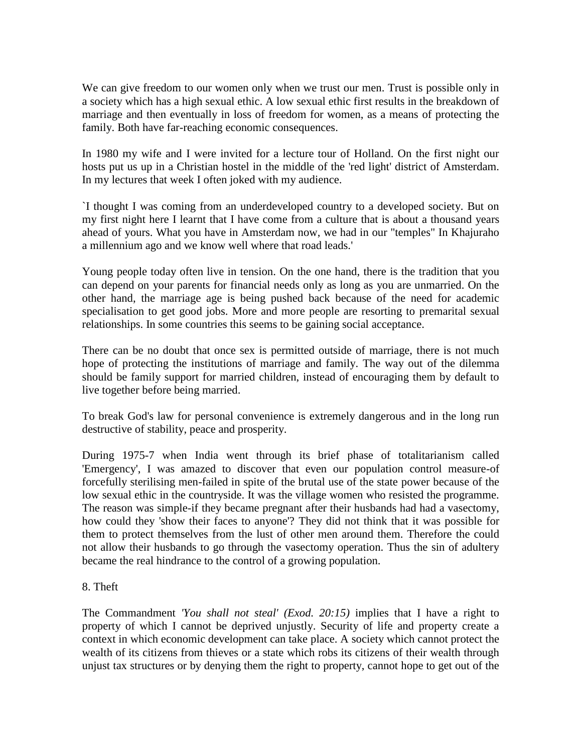We can give freedom to our women only when we trust our men. Trust is possible only in a society which has a high sexual ethic. A low sexual ethic first results in the breakdown of marriage and then eventually in loss of freedom for women, as a means of protecting the family. Both have far-reaching economic consequences.

In 1980 my wife and I were invited for a lecture tour of Holland. On the first night our hosts put us up in a Christian hostel in the middle of the 'red light' district of Amsterdam. In my lectures that week I often joked with my audience.

`I thought I was coming from an underdeveloped country to a developed society. But on my first night here I learnt that I have come from a culture that is about a thousand years ahead of yours. What you have in Amsterdam now, we had in our "temples" In Khajuraho a millennium ago and we know well where that road leads.'

Young people today often live in tension. On the one hand, there is the tradition that you can depend on your parents for financial needs only as long as you are unmarried. On the other hand, the marriage age is being pushed back because of the need for academic specialisation to get good jobs. More and more people are resorting to premarital sexual relationships. In some countries this seems to be gaining social acceptance.

There can be no doubt that once sex is permitted outside of marriage, there is not much hope of protecting the institutions of marriage and family. The way out of the dilemma should be family support for married children, instead of encouraging them by default to live together before being married.

To break God's law for personal convenience is extremely dangerous and in the long run destructive of stability, peace and prosperity.

During 1975-7 when India went through its brief phase of totalitarianism called 'Emergency', I was amazed to discover that even our population control measure-of forcefully sterilising men-failed in spite of the brutal use of the state power because of the low sexual ethic in the countryside. It was the village women who resisted the programme. The reason was simple-if they became pregnant after their husbands had had a vasectomy, how could they 'show their faces to anyone'? They did not think that it was possible for them to protect themselves from the lust of other men around them. Therefore the could not allow their husbands to go through the vasectomy operation. Thus the sin of adultery became the real hindrance to the control of a growing population.

## 8. Theft

The Commandment *'You shall not steal' (Exod. 20:15)* implies that I have a right to property of which I cannot be deprived unjustly. Security of life and property create a context in which economic development can take place. A society which cannot protect the wealth of its citizens from thieves or a state which robs its citizens of their wealth through unjust tax structures or by denying them the right to property, cannot hope to get out of the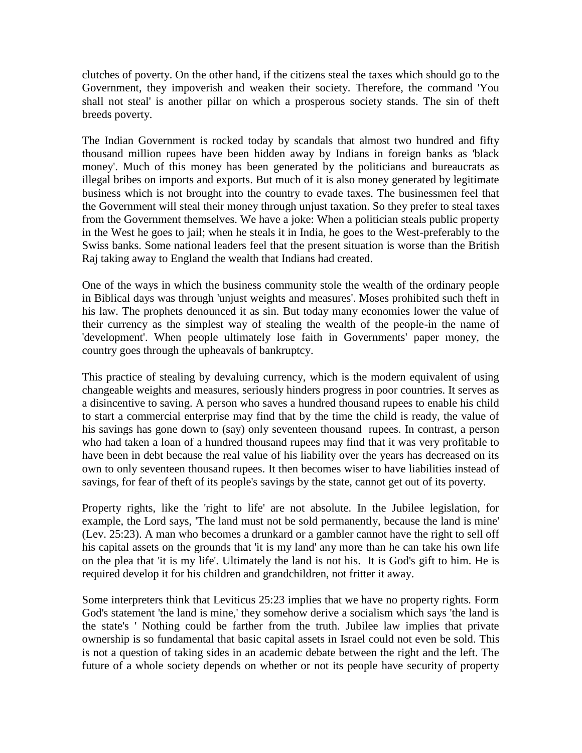clutches of poverty. On the other hand, if the citizens steal the taxes which should go to the Government, they impoverish and weaken their society. Therefore, the command 'You shall not steal' is another pillar on which a prosperous society stands. The sin of theft breeds poverty.

The Indian Government is rocked today by scandals that almost two hundred and fifty thousand million rupees have been hidden away by Indians in foreign banks as 'black money'. Much of this money has been generated by the politicians and bureaucrats as illegal bribes on imports and exports. But much of it is also money generated by legitimate business which is not brought into the country to evade taxes. The businessmen feel that the Government will steal their money through unjust taxation. So they prefer to steal taxes from the Government themselves. We have a joke: When a politician steals public property in the West he goes to jail; when he steals it in India, he goes to the West-preferably to the Swiss banks. Some national leaders feel that the present situation is worse than the British Raj taking away to England the wealth that Indians had created.

One of the ways in which the business community stole the wealth of the ordinary people in Biblical days was through 'unjust weights and measures'. Moses prohibited such theft in his law. The prophets denounced it as sin. But today many economies lower the value of their currency as the simplest way of stealing the wealth of the people-in the name of 'development'. When people ultimately lose faith in Governments' paper money, the country goes through the upheavals of bankruptcy.

This practice of stealing by devaluing currency, which is the modern equivalent of using changeable weights and measures, seriously hinders progress in poor countries. It serves as a disincentive to saving. A person who saves a hundred thousand rupees to enable his child to start a commercial enterprise may find that by the time the child is ready, the value of his savings has gone down to (say) only seventeen thousand rupees. In contrast, a person who had taken a loan of a hundred thousand rupees may find that it was very profitable to have been in debt because the real value of his liability over the years has decreased on its own to only seventeen thousand rupees. It then becomes wiser to have liabilities instead of savings, for fear of theft of its people's savings by the state, cannot get out of its poverty.

Property rights, like the 'right to life' are not absolute. In the Jubilee legislation, for example, the Lord says, 'The land must not be sold permanently, because the land is mine' (Lev. 25:23). A man who becomes a drunkard or a gambler cannot have the right to sell off his capital assets on the grounds that 'it is my land' any more than he can take his own life on the plea that 'it is my life'. Ultimately the land is not his. It is God's gift to him. He is required develop it for his children and grandchildren, not fritter it away.

Some interpreters think that Leviticus 25:23 implies that we have no property rights. Form God's statement 'the land is mine,' they somehow derive a socialism which says 'the land is the state's ' Nothing could be farther from the truth. Jubilee law implies that private ownership is so fundamental that basic capital assets in Israel could not even be sold. This is not a question of taking sides in an academic debate between the right and the left. The future of a whole society depends on whether or not its people have security of property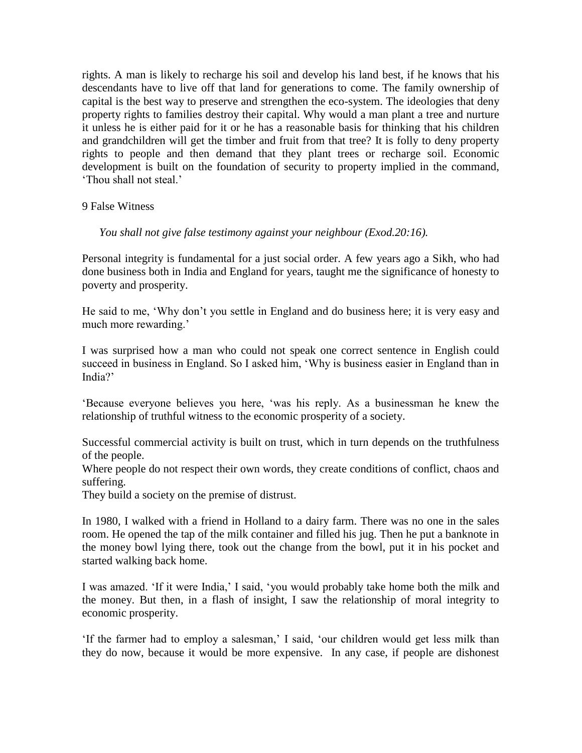rights. A man is likely to recharge his soil and develop his land best, if he knows that his descendants have to live off that land for generations to come. The family ownership of capital is the best way to preserve and strengthen the eco-system. The ideologies that deny property rights to families destroy their capital. Why would a man plant a tree and nurture it unless he is either paid for it or he has a reasonable basis for thinking that his children and grandchildren will get the timber and fruit from that tree? It is folly to deny property rights to people and then demand that they plant trees or recharge soil. Economic development is built on the foundation of security to property implied in the command, "Thou shall not steal."

9 False Witness

*You shall not give false testimony against your neighbour (Exod.20:16).*

Personal integrity is fundamental for a just social order. A few years ago a Sikh, who had done business both in India and England for years, taught me the significance of honesty to poverty and prosperity.

He said to me, "Why don"t you settle in England and do business here; it is very easy and much more rewarding."

I was surprised how a man who could not speak one correct sentence in English could succeed in business in England. So I asked him, "Why is business easier in England than in India?'

"Because everyone believes you here, "was his reply. As a businessman he knew the relationship of truthful witness to the economic prosperity of a society.

Successful commercial activity is built on trust, which in turn depends on the truthfulness of the people.

Where people do not respect their own words, they create conditions of conflict, chaos and suffering.

They build a society on the premise of distrust.

In 1980, I walked with a friend in Holland to a dairy farm. There was no one in the sales room. He opened the tap of the milk container and filled his jug. Then he put a banknote in the money bowl lying there, took out the change from the bowl, put it in his pocket and started walking back home.

I was amazed. "If it were India," I said, "you would probably take home both the milk and the money. But then, in a flash of insight, I saw the relationship of moral integrity to economic prosperity.

"If the farmer had to employ a salesman," I said, "our children would get less milk than they do now, because it would be more expensive. In any case, if people are dishonest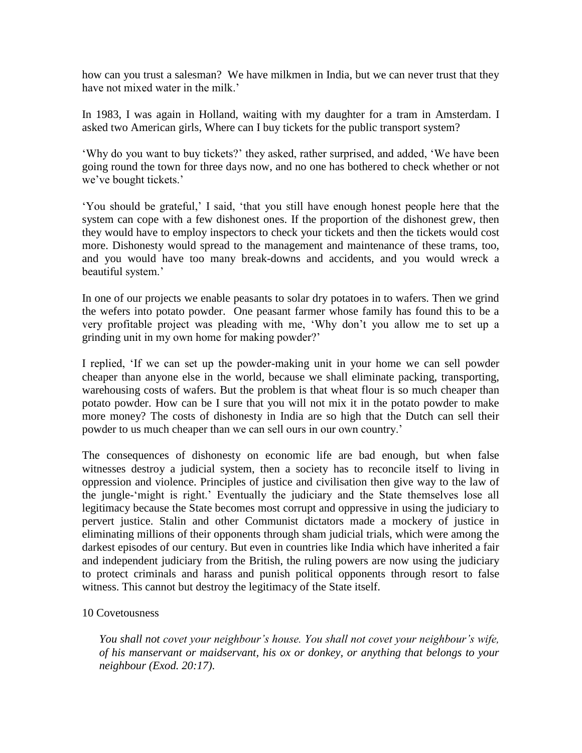how can you trust a salesman? We have milkmen in India, but we can never trust that they have not mixed water in the milk."

In 1983, I was again in Holland, waiting with my daughter for a tram in Amsterdam. I asked two American girls, Where can I buy tickets for the public transport system?

"Why do you want to buy tickets?" they asked, rather surprised, and added, "We have been going round the town for three days now, and no one has bothered to check whether or not we've bought tickets.'

"You should be grateful," I said, "that you still have enough honest people here that the system can cope with a few dishonest ones. If the proportion of the dishonest grew, then they would have to employ inspectors to check your tickets and then the tickets would cost more. Dishonesty would spread to the management and maintenance of these trams, too, and you would have too many break-downs and accidents, and you would wreck a beautiful system.'

In one of our projects we enable peasants to solar dry potatoes in to wafers. Then we grind the wefers into potato powder. One peasant farmer whose family has found this to be a very profitable project was pleading with me, "Why don"t you allow me to set up a grinding unit in my own home for making powder?"

I replied, "If we can set up the powder-making unit in your home we can sell powder cheaper than anyone else in the world, because we shall eliminate packing, transporting, warehousing costs of wafers. But the problem is that wheat flour is so much cheaper than potato powder. How can be I sure that you will not mix it in the potato powder to make more money? The costs of dishonesty in India are so high that the Dutch can sell their powder to us much cheaper than we can sell ours in our own country."

The consequences of dishonesty on economic life are bad enough, but when false witnesses destroy a judicial system, then a society has to reconcile itself to living in oppression and violence. Principles of justice and civilisation then give way to the law of the jungle-"might is right." Eventually the judiciary and the State themselves lose all legitimacy because the State becomes most corrupt and oppressive in using the judiciary to pervert justice. Stalin and other Communist dictators made a mockery of justice in eliminating millions of their opponents through sham judicial trials, which were among the darkest episodes of our century. But even in countries like India which have inherited a fair and independent judiciary from the British, the ruling powers are now using the judiciary to protect criminals and harass and punish political opponents through resort to false witness. This cannot but destroy the legitimacy of the State itself.

## 10 Covetousness

*You shall not covet your neighbour's house. You shall not covet your neighbour's wife, of his manservant or maidservant, his ox or donkey, or anything that belongs to your neighbour (Exod. 20:17).*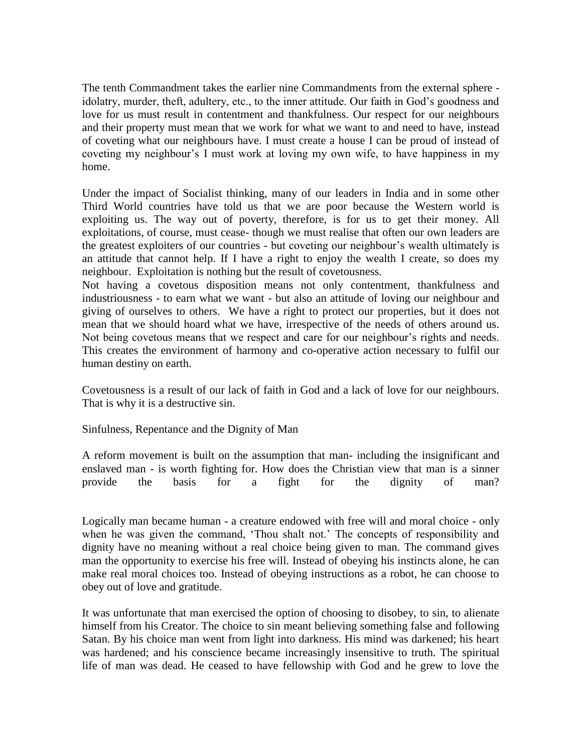The tenth Commandment takes the earlier nine Commandments from the external sphere idolatry, murder, theft, adultery, etc., to the inner attitude. Our faith in God"s goodness and love for us must result in contentment and thankfulness. Our respect for our neighbours and their property must mean that we work for what we want to and need to have, instead of coveting what our neighbours have. I must create a house I can be proud of instead of coveting my neighbour"s I must work at loving my own wife, to have happiness in my home.

Under the impact of Socialist thinking, many of our leaders in India and in some other Third World countries have told us that we are poor because the Western world is exploiting us. The way out of poverty, therefore, is for us to get their money. All exploitations, of course, must cease- though we must realise that often our own leaders are the greatest exploiters of our countries - but coveting our neighbour's wealth ultimately is an attitude that cannot help. If I have a right to enjoy the wealth I create, so does my neighbour. Exploitation is nothing but the result of covetousness.

Not having a covetous disposition means not only contentment, thankfulness and industriousness - to earn what we want - but also an attitude of loving our neighbour and giving of ourselves to others. We have a right to protect our properties, but it does not mean that we should hoard what we have, irrespective of the needs of others around us. Not being covetous means that we respect and care for our neighbour"s rights and needs. This creates the environment of harmony and co-operative action necessary to fulfil our human destiny on earth.

Covetousness is a result of our lack of faith in God and a lack of love for our neighbours. That is why it is a destructive sin.

Sinfulness, Repentance and the Dignity of Man

A reform movement is built on the assumption that man- including the insignificant and enslaved man - is worth fighting for. How does the Christian view that man is a sinner provide the basis for a fight for the dignity of man?

Logically man became human - a creature endowed with free will and moral choice - only when he was given the command, 'Thou shalt not.' The concepts of responsibility and dignity have no meaning without a real choice being given to man. The command gives man the opportunity to exercise his free will. Instead of obeying his instincts alone, he can make real moral choices too. Instead of obeying instructions as a robot, he can choose to obey out of love and gratitude.

It was unfortunate that man exercised the option of choosing to disobey, to sin, to alienate himself from his Creator. The choice to sin meant believing something false and following Satan. By his choice man went from light into darkness. His mind was darkened; his heart was hardened; and his conscience became increasingly insensitive to truth. The spiritual life of man was dead. He ceased to have fellowship with God and he grew to love the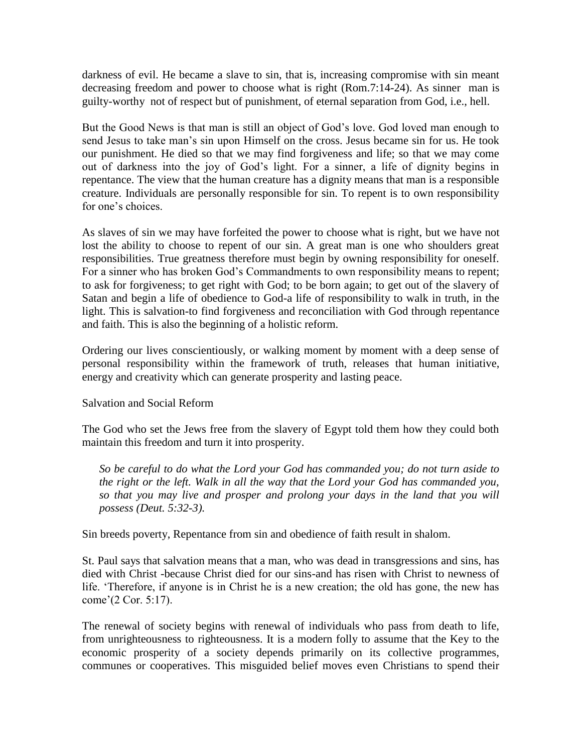darkness of evil. He became a slave to sin, that is, increasing compromise with sin meant decreasing freedom and power to choose what is right (Rom.7:14-24). As sinner man is guilty-worthy not of respect but of punishment, of eternal separation from God, i.e., hell.

But the Good News is that man is still an object of God"s love. God loved man enough to send Jesus to take man"s sin upon Himself on the cross. Jesus became sin for us. He took our punishment. He died so that we may find forgiveness and life; so that we may come out of darkness into the joy of God's light. For a sinner, a life of dignity begins in repentance. The view that the human creature has a dignity means that man is a responsible creature. Individuals are personally responsible for sin. To repent is to own responsibility for one's choices

As slaves of sin we may have forfeited the power to choose what is right, but we have not lost the ability to choose to repent of our sin. A great man is one who shoulders great responsibilities. True greatness therefore must begin by owning responsibility for oneself. For a sinner who has broken God"s Commandments to own responsibility means to repent; to ask for forgiveness; to get right with God; to be born again; to get out of the slavery of Satan and begin a life of obedience to God-a life of responsibility to walk in truth, in the light. This is salvation-to find forgiveness and reconciliation with God through repentance and faith. This is also the beginning of a holistic reform.

Ordering our lives conscientiously, or walking moment by moment with a deep sense of personal responsibility within the framework of truth, releases that human initiative, energy and creativity which can generate prosperity and lasting peace.

Salvation and Social Reform

The God who set the Jews free from the slavery of Egypt told them how they could both maintain this freedom and turn it into prosperity.

*So be careful to do what the Lord your God has commanded you; do not turn aside to the right or the left. Walk in all the way that the Lord your God has commanded you, so that you may live and prosper and prolong your days in the land that you will possess (Deut. 5:32-3).*

Sin breeds poverty, Repentance from sin and obedience of faith result in shalom.

St. Paul says that salvation means that a man, who was dead in transgressions and sins, has died with Christ -because Christ died for our sins-and has risen with Christ to newness of life. "Therefore, if anyone is in Christ he is a new creation; the old has gone, the new has come"(2 Cor. 5:17).

The renewal of society begins with renewal of individuals who pass from death to life, from unrighteousness to righteousness. It is a modern folly to assume that the Key to the economic prosperity of a society depends primarily on its collective programmes, communes or cooperatives. This misguided belief moves even Christians to spend their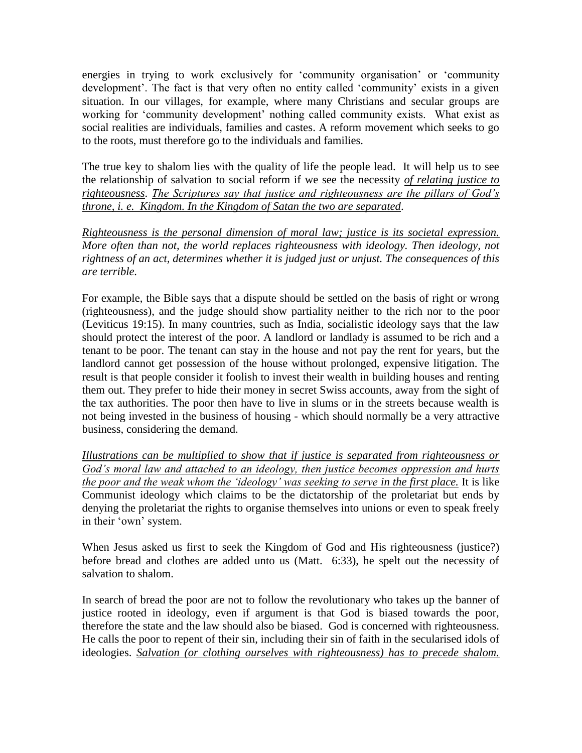energies in trying to work exclusively for "community organisation" or "community development'. The fact is that very often no entity called 'community' exists in a given situation. In our villages, for example, where many Christians and secular groups are working for "community development" nothing called community exists. What exist as social realities are individuals, families and castes. A reform movement which seeks to go to the roots, must therefore go to the individuals and families.

The true key to shalom lies with the quality of life the people lead. It will help us to see the relationship of salvation to social reform if we see the necessity *of relating justice to righteousness*. *The Scriptures say that justice and righteousness are the pillars of God's throne, i. e. Kingdom. In the Kingdom of Satan the two are separated*.

*Righteousness is the personal dimension of moral law; justice is its societal expression. More often than not, the world replaces righteousness with ideology. Then ideology, not rightness of an act, determines whether it is judged just or unjust. The consequences of this are terrible.*

For example, the Bible says that a dispute should be settled on the basis of right or wrong (righteousness), and the judge should show partiality neither to the rich nor to the poor (Leviticus 19:15). In many countries, such as India, socialistic ideology says that the law should protect the interest of the poor. A landlord or landlady is assumed to be rich and a tenant to be poor. The tenant can stay in the house and not pay the rent for years, but the landlord cannot get possession of the house without prolonged, expensive litigation. The result is that people consider it foolish to invest their wealth in building houses and renting them out. They prefer to hide their money in secret Swiss accounts, away from the sight of the tax authorities. The poor then have to live in slums or in the streets because wealth is not being invested in the business of housing - which should normally be a very attractive business, considering the demand.

*Illustrations can be multiplied to show that if justice is separated from righteousness or God's moral law and attached to an ideology, then justice becomes oppression and hurts the poor and the weak whom the ‗ideology' was seeking to serve in the first place.* It is like Communist ideology which claims to be the dictatorship of the proletariat but ends by denying the proletariat the rights to organise themselves into unions or even to speak freely in their "own" system.

When Jesus asked us first to seek the Kingdom of God and His righteousness (justice?) before bread and clothes are added unto us (Matt. 6:33), he spelt out the necessity of salvation to shalom.

In search of bread the poor are not to follow the revolutionary who takes up the banner of justice rooted in ideology, even if argument is that God is biased towards the poor, therefore the state and the law should also be biased. God is concerned with righteousness. He calls the poor to repent of their sin, including their sin of faith in the secularised idols of ideologies. *Salvation (or clothing ourselves with righteousness) has to precede shalom.*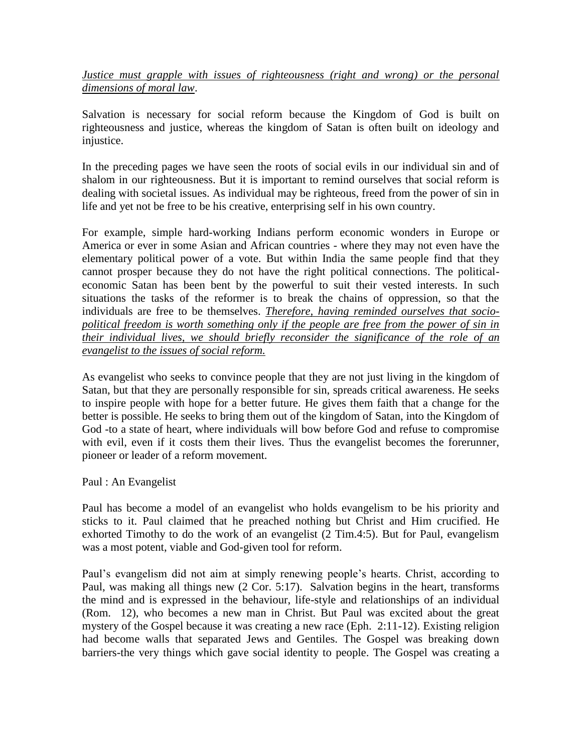*Justice must grapple with issues of righteousness (right and wrong) or the personal dimensions of moral law*.

Salvation is necessary for social reform because the Kingdom of God is built on righteousness and justice, whereas the kingdom of Satan is often built on ideology and injustice.

In the preceding pages we have seen the roots of social evils in our individual sin and of shalom in our righteousness. But it is important to remind ourselves that social reform is dealing with societal issues. As individual may be righteous, freed from the power of sin in life and yet not be free to be his creative, enterprising self in his own country.

For example, simple hard-working Indians perform economic wonders in Europe or America or ever in some Asian and African countries - where they may not even have the elementary political power of a vote. But within India the same people find that they cannot prosper because they do not have the right political connections. The politicaleconomic Satan has been bent by the powerful to suit their vested interests. In such situations the tasks of the reformer is to break the chains of oppression, so that the individuals are free to be themselves. *Therefore, having reminded ourselves that sociopolitical freedom is worth something only if the people are free from the power of sin in their individual lives, we should briefly reconsider the significance of the role of an evangelist to the issues of social reform.*

As evangelist who seeks to convince people that they are not just living in the kingdom of Satan, but that they are personally responsible for sin, spreads critical awareness. He seeks to inspire people with hope for a better future. He gives them faith that a change for the better is possible. He seeks to bring them out of the kingdom of Satan, into the Kingdom of God -to a state of heart, where individuals will bow before God and refuse to compromise with evil, even if it costs them their lives. Thus the evangelist becomes the forerunner, pioneer or leader of a reform movement.

Paul : An Evangelist

Paul has become a model of an evangelist who holds evangelism to be his priority and sticks to it. Paul claimed that he preached nothing but Christ and Him crucified. He exhorted Timothy to do the work of an evangelist (2 Tim.4:5). But for Paul, evangelism was a most potent, viable and God-given tool for reform.

Paul's evangelism did not aim at simply renewing people's hearts. Christ, according to Paul, was making all things new (2 Cor. 5:17). Salvation begins in the heart, transforms the mind and is expressed in the behaviour, life-style and relationships of an individual (Rom. 12), who becomes a new man in Christ. But Paul was excited about the great mystery of the Gospel because it was creating a new race (Eph. 2:11-12). Existing religion had become walls that separated Jews and Gentiles. The Gospel was breaking down barriers-the very things which gave social identity to people. The Gospel was creating a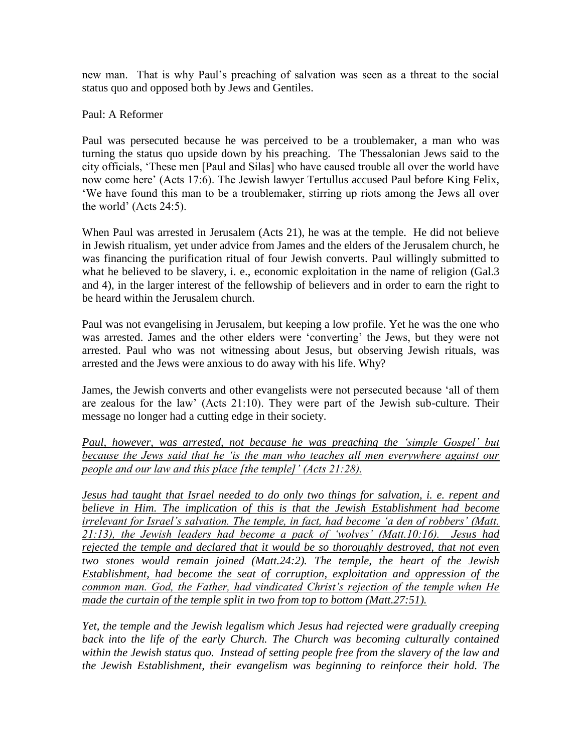new man. That is why Paul"s preaching of salvation was seen as a threat to the social status quo and opposed both by Jews and Gentiles.

# Paul: A Reformer

Paul was persecuted because he was perceived to be a troublemaker, a man who was turning the status quo upside down by his preaching. The Thessalonian Jews said to the city officials, "These men [Paul and Silas] who have caused trouble all over the world have now come here' (Acts 17:6). The Jewish lawyer Tertullus accused Paul before King Felix, "We have found this man to be a troublemaker, stirring up riots among the Jews all over the world" (Acts 24:5).

When Paul was arrested in Jerusalem (Acts 21), he was at the temple. He did not believe in Jewish ritualism, yet under advice from James and the elders of the Jerusalem church, he was financing the purification ritual of four Jewish converts. Paul willingly submitted to what he believed to be slavery, i. e., economic exploitation in the name of religion (Gal.3) and 4), in the larger interest of the fellowship of believers and in order to earn the right to be heard within the Jerusalem church.

Paul was not evangelising in Jerusalem, but keeping a low profile. Yet he was the one who was arrested. James and the other elders were "converting" the Jews, but they were not arrested. Paul who was not witnessing about Jesus, but observing Jewish rituals, was arrested and the Jews were anxious to do away with his life. Why?

James, the Jewish converts and other evangelists were not persecuted because "all of them are zealous for the law" (Acts 21:10). They were part of the Jewish sub-culture. Their message no longer had a cutting edge in their society.

*Paul, however, was arrested, not because he was preaching the 'simple Gospel' but because the Jews said that he 'is the man who teaches all men everywhere against our people and our law and this place [the temple]' (Acts 21:28).*

*Jesus had taught that Israel needed to do only two things for salvation, i. e. repent and believe in Him. The implication of this is that the Jewish Establishment had become irrelevant for Israel's salvation. The temple, in fact, had become 'a den of robbers' (Matt. 21:13), the Jewish leaders had become a pack of ‗wolves' (Matt.10:16). Jesus had rejected the temple and declared that it would be so thoroughly destroyed, that not even two stones would remain joined (Matt.24:2). The temple, the heart of the Jewish Establishment, had become the seat of corruption, exploitation and oppression of the common man. God, the Father, had vindicated Christ's rejection of the temple when He made the curtain of the temple split in two from top to bottom (Matt.27:51).*

*Yet, the temple and the Jewish legalism which Jesus had rejected were gradually creeping*  back into the life of the early Church. The Church was becoming culturally contained *within the Jewish status quo. Instead of setting people free from the slavery of the law and the Jewish Establishment, their evangelism was beginning to reinforce their hold. The*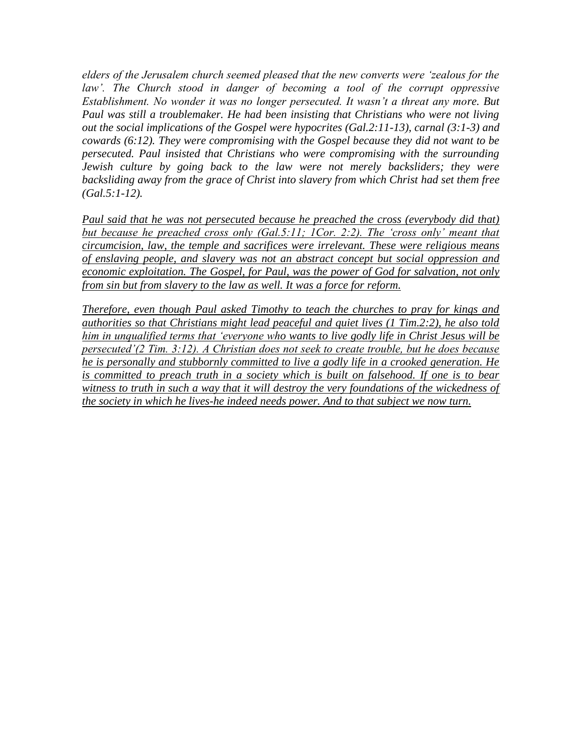*elders of the Jerusalem church seemed pleased that the new converts were ‗zealous for the*  law'. The Church stood in danger of becoming a tool of the corrupt oppressive *Establishment. No wonder it was no longer persecuted. It wasn't a threat any more. But Paul was still a troublemaker. He had been insisting that Christians who were not living out the social implications of the Gospel were hypocrites (Gal.2:11-13), carnal (3:1-3) and cowards (6:12). They were compromising with the Gospel because they did not want to be persecuted. Paul insisted that Christians who were compromising with the surrounding Jewish culture by going back to the law were not merely backsliders; they were backsliding away from the grace of Christ into slavery from which Christ had set them free (Gal.5:1-12).*

*Paul said that he was not persecuted because he preached the cross (everybody did that) but because he preached cross only (Gal.5:11; 1Cor. 2:2). The 'cross only' meant that circumcision, law, the temple and sacrifices were irrelevant. These were religious means of enslaving people, and slavery was not an abstract concept but social oppression and economic exploitation. The Gospel, for Paul, was the power of God for salvation, not only from sin but from slavery to the law as well. It was a force for reform.*

*Therefore, even though Paul asked Timothy to teach the churches to pray for kings and authorities so that Christians might lead peaceful and quiet lives (1 Tim.2:2), he also told him in unqualified terms that ‗everyone who wants to live godly life in Christ Jesus will be persecuted'(2 Tim. 3:12). A Christian does not seek to create trouble, but he does because he is personally and stubbornly committed to live a godly life in a crooked generation. He is committed to preach truth in a society which is built on falsehood. If one is to bear witness to truth in such a way that it will destroy the very foundations of the wickedness of the society in which he lives-he indeed needs power. And to that subject we now turn.*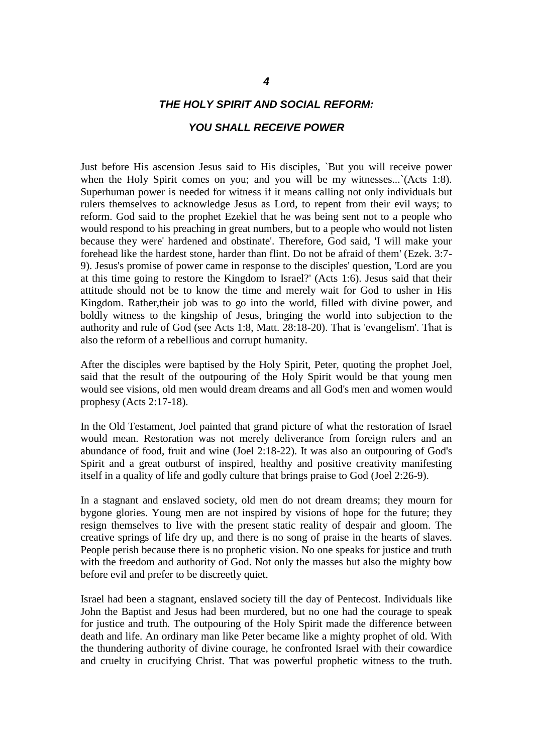# *THE HOLY SPIRIT AND SOCIAL REFORM:*

#### *YOU SHALL RECEIVE POWER*

Just before His ascension Jesus said to His disciples, `But you will receive power when the Holy Spirit comes on you; and you will be my witnesses... `(Acts 1:8). Superhuman power is needed for witness if it means calling not only individuals but rulers themselves to acknowledge Jesus as Lord, to repent from their evil ways; to reform. God said to the prophet Ezekiel that he was being sent not to a people who would respond to his preaching in great numbers, but to a people who would not listen because they were' hardened and obstinate'. Therefore, God said, 'I will make your forehead like the hardest stone, harder than flint. Do not be afraid of them' (Ezek. 3:7- 9). Jesus's promise of power came in response to the disciples' question, 'Lord are you at this time going to restore the Kingdom to Israel?' (Acts 1:6). Jesus said that their attitude should not be to know the time and merely wait for God to usher in His Kingdom. Rather,their job was to go into the world, filled with divine power, and boldly witness to the kingship of Jesus, bringing the world into subjection to the authority and rule of God (see Acts 1:8, Matt. 28:18-20). That is 'evangelism'. That is also the reform of a rebellious and corrupt humanity.

After the disciples were baptised by the Holy Spirit, Peter, quoting the prophet Joel, said that the result of the outpouring of the Holy Spirit would be that young men would see visions, old men would dream dreams and all God's men and women would prophesy (Acts 2:17-18).

In the Old Testament, Joel painted that grand picture of what the restoration of Israel would mean. Restoration was not merely deliverance from foreign rulers and an abundance of food, fruit and wine (Joel 2:18-22). It was also an outpouring of God's Spirit and a great outburst of inspired, healthy and positive creativity manifesting itself in a quality of life and godly culture that brings praise to God (Joel 2:26-9).

In a stagnant and enslaved society, old men do not dream dreams; they mourn for bygone glories. Young men are not inspired by visions of hope for the future; they resign themselves to live with the present static reality of despair and gloom. The creative springs of life dry up, and there is no song of praise in the hearts of slaves. People perish because there is no prophetic vision. No one speaks for justice and truth with the freedom and authority of God. Not only the masses but also the mighty bow before evil and prefer to be discreetly quiet.

Israel had been a stagnant, enslaved society till the day of Pentecost. Individuals like John the Baptist and Jesus had been murdered, but no one had the courage to speak for justice and truth. The outpouring of the Holy Spirit made the difference between death and life. An ordinary man like Peter became like a mighty prophet of old. With the thundering authority of divine courage, he confronted Israel with their cowardice and cruelty in crucifying Christ. That was powerful prophetic witness to the truth.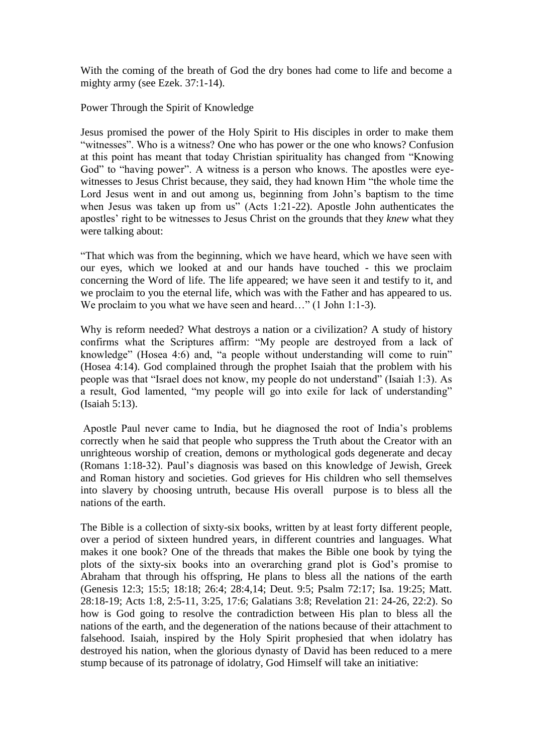With the coming of the breath of God the dry bones had come to life and become a mighty army (see Ezek. 37:1-14).

Power Through the Spirit of Knowledge

Jesus promised the power of the Holy Spirit to His disciples in order to make them "witnesses". Who is a witness? One who has power or the one who knows? Confusion at this point has meant that today Christian spirituality has changed from "Knowing God" to "having power". A witness is a person who knows. The apostles were eyewitnesses to Jesus Christ because, they said, they had known Him "the whole time the Lord Jesus went in and out among us, beginning from John"s baptism to the time when Jesus was taken up from us" (Acts 1:21-22). Apostle John authenticates the apostles" right to be witnesses to Jesus Christ on the grounds that they *knew* what they were talking about:

"That which was from the beginning, which we have heard, which we have seen with our eyes, which we looked at and our hands have touched - this we proclaim concerning the Word of life. The life appeared; we have seen it and testify to it, and we proclaim to you the eternal life, which was with the Father and has appeared to us. We proclaim to you what we have seen and heard…" (1 John 1:1-3).

Why is reform needed? What destroys a nation or a civilization? A study of history confirms what the Scriptures affirm: "My people are destroyed from a lack of knowledge" (Hosea 4:6) and, "a people without understanding will come to ruin" (Hosea 4:14). God complained through the prophet Isaiah that the problem with his people was that "Israel does not know, my people do not understand" (Isaiah 1:3). As a result, God lamented, "my people will go into exile for lack of understanding" (Isaiah 5:13).

Apostle Paul never came to India, but he diagnosed the root of India"s problems correctly when he said that people who suppress the Truth about the Creator with an unrighteous worship of creation, demons or mythological gods degenerate and decay (Romans 1:18-32). Paul"s diagnosis was based on this knowledge of Jewish, Greek and Roman history and societies. God grieves for His children who sell themselves into slavery by choosing untruth, because His overall purpose is to bless all the nations of the earth.

The Bible is a collection of sixty-six books, written by at least forty different people, over a period of sixteen hundred years, in different countries and languages. What makes it one book? One of the threads that makes the Bible one book by tying the plots of the sixty-six books into an overarching grand plot is God"s promise to Abraham that through his offspring, He plans to bless all the nations of the earth (Genesis 12:3; 15:5; 18:18; 26:4; 28:4,14; Deut. 9:5; Psalm 72:17; Isa. 19:25; Matt. 28:18-19; Acts 1:8, 2:5-11, 3:25, 17:6; Galatians 3:8; Revelation 21: 24-26, 22:2). So how is God going to resolve the contradiction between His plan to bless all the nations of the earth, and the degeneration of the nations because of their attachment to falsehood. Isaiah, inspired by the Holy Spirit prophesied that when idolatry has destroyed his nation, when the glorious dynasty of David has been reduced to a mere stump because of its patronage of idolatry, God Himself will take an initiative: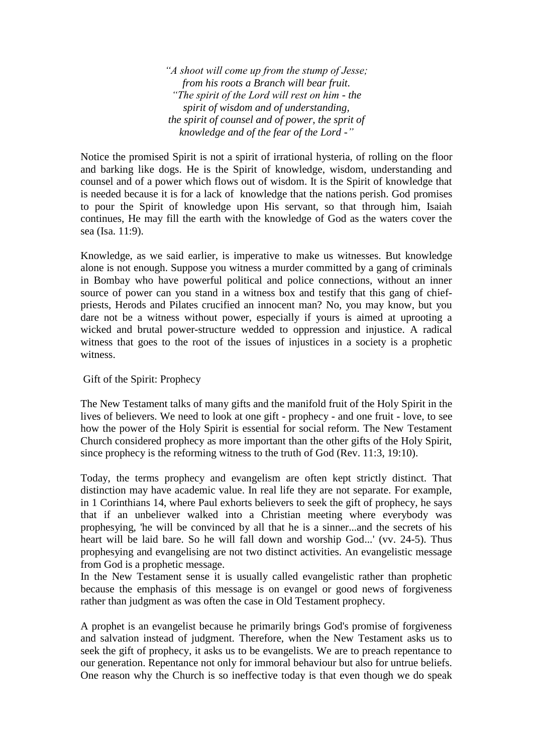*―A shoot will come up from the stump of Jesse; from his roots a Branch will bear fruit. ―The spirit of the Lord will rest on him - the spirit of wisdom and of understanding, the spirit of counsel and of power, the sprit of knowledge and of the fear of the Lord -‖*

Notice the promised Spirit is not a spirit of irrational hysteria, of rolling on the floor and barking like dogs. He is the Spirit of knowledge, wisdom, understanding and counsel and of a power which flows out of wisdom. It is the Spirit of knowledge that is needed because it is for a lack of knowledge that the nations perish. God promises to pour the Spirit of knowledge upon His servant, so that through him, Isaiah continues, He may fill the earth with the knowledge of God as the waters cover the sea (Isa. 11:9).

Knowledge, as we said earlier, is imperative to make us witnesses. But knowledge alone is not enough. Suppose you witness a murder committed by a gang of criminals in Bombay who have powerful political and police connections, without an inner source of power can you stand in a witness box and testify that this gang of chiefpriests, Herods and Pilates crucified an innocent man? No, you may know, but you dare not be a witness without power, especially if yours is aimed at uprooting a wicked and brutal power-structure wedded to oppression and injustice. A radical witness that goes to the root of the issues of injustices in a society is a prophetic witness.

Gift of the Spirit: Prophecy

The New Testament talks of many gifts and the manifold fruit of the Holy Spirit in the lives of believers. We need to look at one gift - prophecy - and one fruit - love, to see how the power of the Holy Spirit is essential for social reform. The New Testament Church considered prophecy as more important than the other gifts of the Holy Spirit, since prophecy is the reforming witness to the truth of God (Rev. 11:3, 19:10).

Today, the terms prophecy and evangelism are often kept strictly distinct. That distinction may have academic value. In real life they are not separate. For example, in 1 Corinthians 14, where Paul exhorts believers to seek the gift of prophecy, he says that if an unbeliever walked into a Christian meeting where everybody was prophesying, 'he will be convinced by all that he is a sinner...and the secrets of his heart will be laid bare. So he will fall down and worship God...' (vv. 24-5). Thus prophesying and evangelising are not two distinct activities. An evangelistic message from God is a prophetic message.

In the New Testament sense it is usually called evangelistic rather than prophetic because the emphasis of this message is on evangel or good news of forgiveness rather than judgment as was often the case in Old Testament prophecy.

A prophet is an evangelist because he primarily brings God's promise of forgiveness and salvation instead of judgment. Therefore, when the New Testament asks us to seek the gift of prophecy, it asks us to be evangelists. We are to preach repentance to our generation. Repentance not only for immoral behaviour but also for untrue beliefs. One reason why the Church is so ineffective today is that even though we do speak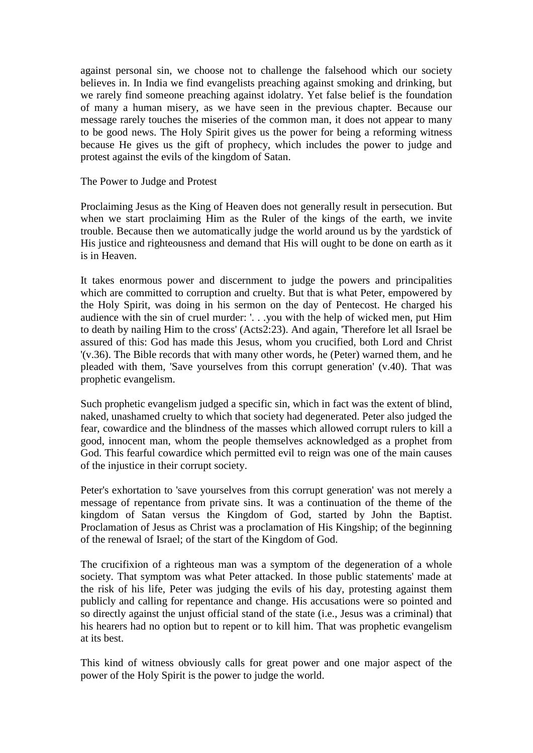against personal sin, we choose not to challenge the falsehood which our society believes in. In India we find evangelists preaching against smoking and drinking, but we rarely find someone preaching against idolatry. Yet false belief is the foundation of many a human misery, as we have seen in the previous chapter. Because our message rarely touches the miseries of the common man, it does not appear to many to be good news. The Holy Spirit gives us the power for being a reforming witness because He gives us the gift of prophecy, which includes the power to judge and protest against the evils of the kingdom of Satan.

The Power to Judge and Protest

Proclaiming Jesus as the King of Heaven does not generally result in persecution. But when we start proclaiming Him as the Ruler of the kings of the earth, we invite trouble. Because then we automatically judge the world around us by the yardstick of His justice and righteousness and demand that His will ought to be done on earth as it is in Heaven.

It takes enormous power and discernment to judge the powers and principalities which are committed to corruption and cruelty. But that is what Peter, empowered by the Holy Spirit, was doing in his sermon on the day of Pentecost. He charged his audience with the sin of cruel murder: '. . .you with the help of wicked men, put Him to death by nailing Him to the cross' (Acts2:23). And again, 'Therefore let all Israel be assured of this: God has made this Jesus, whom you crucified, both Lord and Christ '(v.36). The Bible records that with many other words, he (Peter) warned them, and he pleaded with them, 'Save yourselves from this corrupt generation' (v.40). That was prophetic evangelism.

Such prophetic evangelism judged a specific sin, which in fact was the extent of blind, naked, unashamed cruelty to which that society had degenerated. Peter also judged the fear, cowardice and the blindness of the masses which allowed corrupt rulers to kill a good, innocent man, whom the people themselves acknowledged as a prophet from God. This fearful cowardice which permitted evil to reign was one of the main causes of the injustice in their corrupt society.

Peter's exhortation to 'save yourselves from this corrupt generation' was not merely a message of repentance from private sins. It was a continuation of the theme of the kingdom of Satan versus the Kingdom of God, started by John the Baptist. Proclamation of Jesus as Christ was a proclamation of His Kingship; of the beginning of the renewal of Israel; of the start of the Kingdom of God.

The crucifixion of a righteous man was a symptom of the degeneration of a whole society. That symptom was what Peter attacked. In those public statements' made at the risk of his life, Peter was judging the evils of his day, protesting against them publicly and calling for repentance and change. His accusations were so pointed and so directly against the unjust official stand of the state (i.e., Jesus was a criminal) that his hearers had no option but to repent or to kill him. That was prophetic evangelism at its best.

This kind of witness obviously calls for great power and one major aspect of the power of the Holy Spirit is the power to judge the world.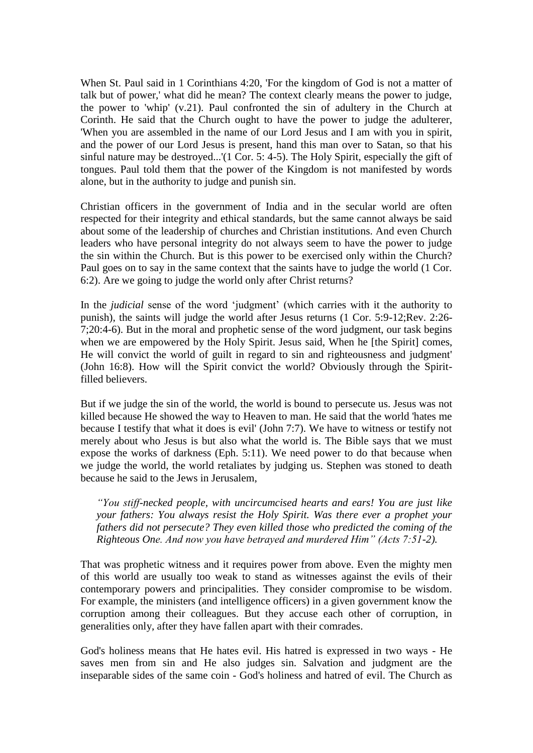When St. Paul said in 1 Corinthians 4:20, 'For the kingdom of God is not a matter of talk but of power,' what did he mean? The context clearly means the power to judge, the power to 'whip' (v.21). Paul confronted the sin of adultery in the Church at Corinth. He said that the Church ought to have the power to judge the adulterer, 'When you are assembled in the name of our Lord Jesus and I am with you in spirit, and the power of our Lord Jesus is present, hand this man over to Satan, so that his sinful nature may be destroyed...'(1 Cor. 5: 4-5). The Holy Spirit, especially the gift of tongues. Paul told them that the power of the Kingdom is not manifested by words alone, but in the authority to judge and punish sin.

Christian officers in the government of India and in the secular world are often respected for their integrity and ethical standards, but the same cannot always be said about some of the leadership of churches and Christian institutions. And even Church leaders who have personal integrity do not always seem to have the power to judge the sin within the Church. But is this power to be exercised only within the Church? Paul goes on to say in the same context that the saints have to judge the world (1 Cor. 6:2). Are we going to judge the world only after Christ returns?

In the *judicial* sense of the word 'judgment' (which carries with it the authority to punish), the saints will judge the world after Jesus returns (1 Cor. 5:9-12;Rev. 2:26- 7;20:4-6). But in the moral and prophetic sense of the word judgment, our task begins when we are empowered by the Holy Spirit. Jesus said, When he [the Spirit] comes, He will convict the world of guilt in regard to sin and righteousness and judgment' (John 16:8). How will the Spirit convict the world? Obviously through the Spiritfilled believers.

But if we judge the sin of the world, the world is bound to persecute us. Jesus was not killed because He showed the way to Heaven to man. He said that the world 'hates me because I testify that what it does is evil' (John 7:7). We have to witness or testify not merely about who Jesus is but also what the world is. The Bible says that we must expose the works of darkness (Eph. 5:11). We need power to do that because when we judge the world, the world retaliates by judging us. Stephen was stoned to death because he said to the Jews in Jerusalem,

*―You stiff-necked people, with uncircumcised hearts and ears! You are just like your fathers: You always resist the Holy Spirit. Was there ever a prophet your fathers did not persecute? They even killed those who predicted the coming of the Righteous One. And now you have betrayed and murdered Him‖ (Acts 7:51-2).*

That was prophetic witness and it requires power from above. Even the mighty men of this world are usually too weak to stand as witnesses against the evils of their contemporary powers and principalities. They consider compromise to be wisdom. For example, the ministers (and intelligence officers) in a given government know the corruption among their colleagues. But they accuse each other of corruption, in generalities only, after they have fallen apart with their comrades.

God's holiness means that He hates evil. His hatred is expressed in two ways - He saves men from sin and He also judges sin. Salvation and judgment are the inseparable sides of the same coin - God's holiness and hatred of evil. The Church as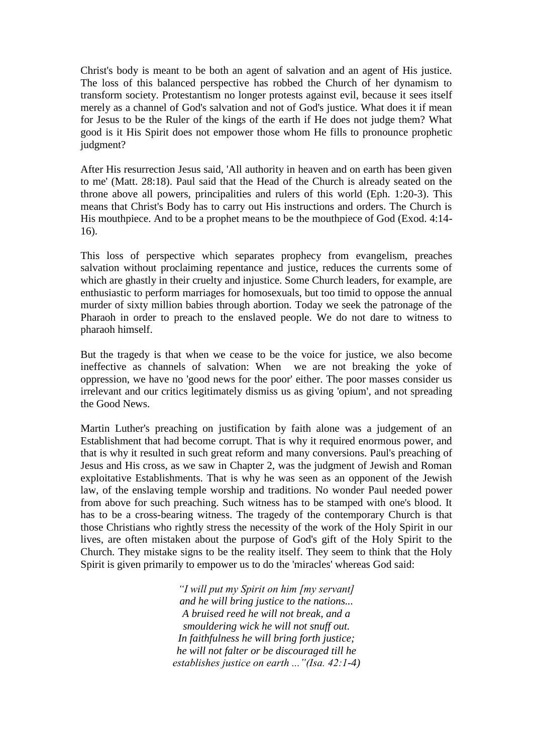Christ's body is meant to be both an agent of salvation and an agent of His justice. The loss of this balanced perspective has robbed the Church of her dynamism to transform society. Protestantism no longer protests against evil, because it sees itself merely as a channel of God's salvation and not of God's justice. What does it if mean for Jesus to be the Ruler of the kings of the earth if He does not judge them? What good is it His Spirit does not empower those whom He fills to pronounce prophetic judgment?

After His resurrection Jesus said, 'All authority in heaven and on earth has been given to me' (Matt. 28:18). Paul said that the Head of the Church is already seated on the throne above all powers, principalities and rulers of this world (Eph. 1:20-3). This means that Christ's Body has to carry out His instructions and orders. The Church is His mouthpiece. And to be a prophet means to be the mouthpiece of God (Exod. 4:14- 16).

This loss of perspective which separates prophecy from evangelism, preaches salvation without proclaiming repentance and justice, reduces the currents some of which are ghastly in their cruelty and injustice. Some Church leaders, for example, are enthusiastic to perform marriages for homosexuals, but too timid to oppose the annual murder of sixty million babies through abortion. Today we seek the patronage of the Pharaoh in order to preach to the enslaved people. We do not dare to witness to pharaoh himself.

But the tragedy is that when we cease to be the voice for justice, we also become ineffective as channels of salvation: When we are not breaking the yoke of oppression, we have no 'good news for the poor' either. The poor masses consider us irrelevant and our critics legitimately dismiss us as giving 'opium', and not spreading the Good News.

Martin Luther's preaching on justification by faith alone was a judgement of an Establishment that had become corrupt. That is why it required enormous power, and that is why it resulted in such great reform and many conversions. Paul's preaching of Jesus and His cross, as we saw in Chapter 2, was the judgment of Jewish and Roman exploitative Establishments. That is why he was seen as an opponent of the Jewish law, of the enslaving temple worship and traditions. No wonder Paul needed power from above for such preaching. Such witness has to be stamped with one's blood. It has to be a cross-bearing witness. The tragedy of the contemporary Church is that those Christians who rightly stress the necessity of the work of the Holy Spirit in our lives, are often mistaken about the purpose of God's gift of the Holy Spirit to the Church. They mistake signs to be the reality itself. They seem to think that the Holy Spirit is given primarily to empower us to do the 'miracles' whereas God said:

> *―I will put my Spirit on him [my servant] and he will bring justice to the nations... A bruised reed he will not break, and a smouldering wick he will not snuff out. In faithfulness he will bring forth justice; he will not falter or be discouraged till he establishes justice on earth ...* "*(Isa. 42:1-4)*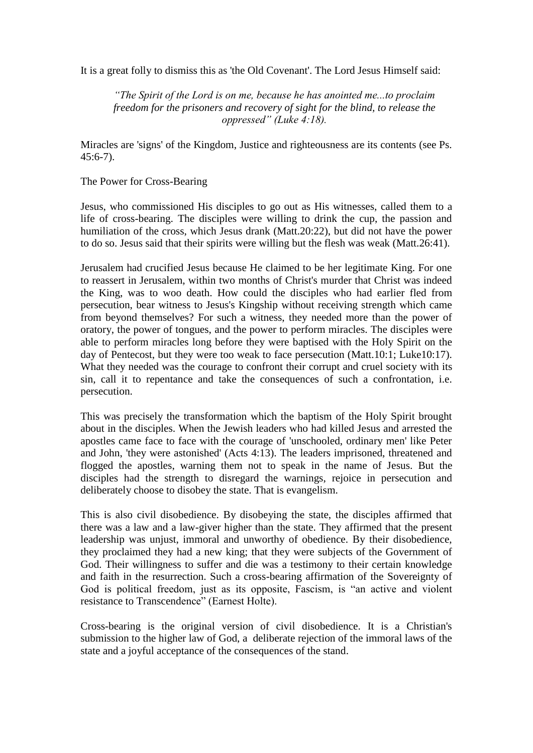It is a great folly to dismiss this as 'the Old Covenant'. The Lord Jesus Himself said:

*―The Spirit of the Lord is on me, because he has anointed me...to proclaim freedom for the prisoners and recovery of sight for the blind, to release the oppressed"* (Luke 4:18).

Miracles are 'signs' of the Kingdom, Justice and righteousness are its contents (see Ps. 45:6-7).

The Power for Cross-Bearing

Jesus, who commissioned His disciples to go out as His witnesses, called them to a life of cross-bearing. The disciples were willing to drink the cup, the passion and humiliation of the cross, which Jesus drank (Matt.20:22), but did not have the power to do so. Jesus said that their spirits were willing but the flesh was weak (Matt.26:41).

Jerusalem had crucified Jesus because He claimed to be her legitimate King. For one to reassert in Jerusalem, within two months of Christ's murder that Christ was indeed the King, was to woo death. How could the disciples who had earlier fled from persecution, bear witness to Jesus's Kingship without receiving strength which came from beyond themselves? For such a witness, they needed more than the power of oratory, the power of tongues, and the power to perform miracles. The disciples were able to perform miracles long before they were baptised with the Holy Spirit on the day of Pentecost, but they were too weak to face persecution (Matt.10:1; Luke10:17). What they needed was the courage to confront their corrupt and cruel society with its sin, call it to repentance and take the consequences of such a confrontation, i.e. persecution.

This was precisely the transformation which the baptism of the Holy Spirit brought about in the disciples. When the Jewish leaders who had killed Jesus and arrested the apostles came face to face with the courage of 'unschooled, ordinary men' like Peter and John, 'they were astonished' (Acts 4:13). The leaders imprisoned, threatened and flogged the apostles, warning them not to speak in the name of Jesus. But the disciples had the strength to disregard the warnings, rejoice in persecution and deliberately choose to disobey the state. That is evangelism.

This is also civil disobedience. By disobeying the state, the disciples affirmed that there was a law and a law-giver higher than the state. They affirmed that the present leadership was unjust, immoral and unworthy of obedience. By their disobedience, they proclaimed they had a new king; that they were subjects of the Government of God. Their willingness to suffer and die was a testimony to their certain knowledge and faith in the resurrection. Such a cross-bearing affirmation of the Sovereignty of God is political freedom, just as its opposite, Fascism, is "an active and violent resistance to Transcendence" (Earnest Holte).

Cross-bearing is the original version of civil disobedience. It is a Christian's submission to the higher law of God, a deliberate rejection of the immoral laws of the state and a joyful acceptance of the consequences of the stand.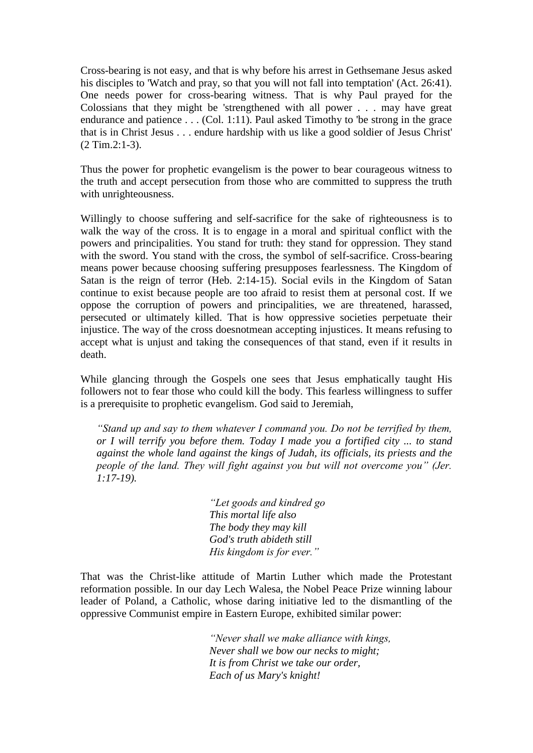Cross-bearing is not easy, and that is why before his arrest in Gethsemane Jesus asked his disciples to 'Watch and pray, so that you will not fall into temptation' (Act. 26:41). One needs power for cross-bearing witness. That is why Paul prayed for the Colossians that they might be 'strengthened with all power . . . may have great endurance and patience . . . (Col. 1:11). Paul asked Timothy to 'be strong in the grace that is in Christ Jesus . . . endure hardship with us like a good soldier of Jesus Christ' (2 Tim.2:1-3).

Thus the power for prophetic evangelism is the power to bear courageous witness to the truth and accept persecution from those who are committed to suppress the truth with unrighteousness.

Willingly to choose suffering and self-sacrifice for the sake of righteousness is to walk the way of the cross. It is to engage in a moral and spiritual conflict with the powers and principalities. You stand for truth: they stand for oppression. They stand with the sword. You stand with the cross, the symbol of self-sacrifice. Cross-bearing means power because choosing suffering presupposes fearlessness. The Kingdom of Satan is the reign of terror (Heb. 2:14-15). Social evils in the Kingdom of Satan continue to exist because people are too afraid to resist them at personal cost. If we oppose the corruption of powers and principalities, we are threatened, harassed, persecuted or ultimately killed. That is how oppressive societies perpetuate their injustice. The way of the cross doesnotmean accepting injustices. It means refusing to accept what is unjust and taking the consequences of that stand, even if it results in death.

While glancing through the Gospels one sees that Jesus emphatically taught His followers not to fear those who could kill the body. This fearless willingness to suffer is a prerequisite to prophetic evangelism. God said to Jeremiah,

*―Stand up and say to them whatever I command you. Do not be terrified by them, or I will terrify you before them. Today I made you a fortified city ... to stand against the whole land against the kings of Judah, its officials, its priests and the people of the land. They will fight against you but will not overcome you" (Jer. 1:17-19).*

> *―Let goods and kindred go This mortal life also The body they may kill God's truth abideth still His kingdom is for ever.‖*

That was the Christ-like attitude of Martin Luther which made the Protestant reformation possible. In our day Lech Walesa, the Nobel Peace Prize winning labour leader of Poland, a Catholic, whose daring initiative led to the dismantling of the oppressive Communist empire in Eastern Europe, exhibited similar power:

> *―Never shall we make alliance with kings, Never shall we bow our necks to might; It is from Christ we take our order, Each of us Mary's knight!*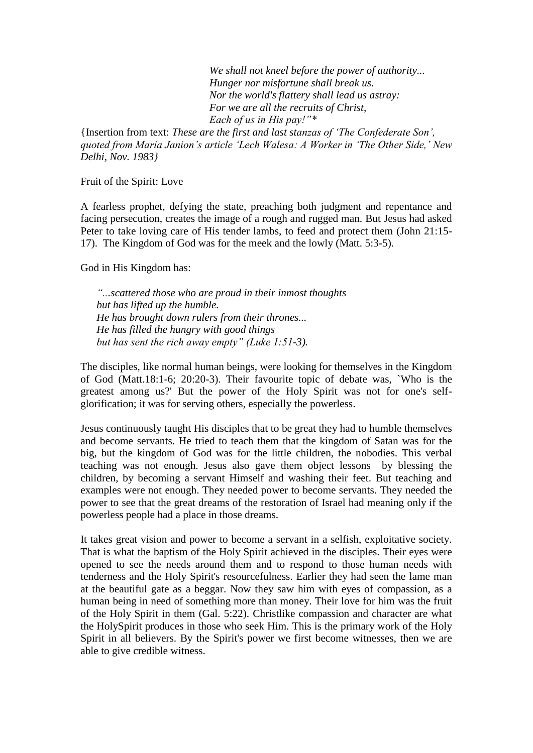*We shall not kneel before the power of authority... Hunger nor misfortune shall break us. Nor the world's flattery shall lead us astray: For we are all the recruits of Christ, Each of us in His pay!*"\*

{Insertion from text: *These are the first and last stanzas of ‗The Confederate Son', quoted from Maria Janion's article ‗Lech Walesa: A Worker in ‗The Other Side,' New Delhi, Nov. 1983}*

Fruit of the Spirit: Love

A fearless prophet, defying the state, preaching both judgment and repentance and facing persecution, creates the image of a rough and rugged man. But Jesus had asked Peter to take loving care of His tender lambs, to feed and protect them (John 21:15- 17). The Kingdom of God was for the meek and the lowly (Matt. 5:3-5).

God in His Kingdom has:

*―...scattered those who are proud in their inmost thoughts but has lifted up the humble. He has brought down rulers from their thrones... He has filled the hungry with good things but has sent the rich away empty*" (Luke 1:51-3).

The disciples, like normal human beings, were looking for themselves in the Kingdom of God (Matt.18:1-6; 20:20-3). Their favourite topic of debate was, `Who is the greatest among us?' But the power of the Holy Spirit was not for one's selfglorification; it was for serving others, especially the powerless.

Jesus continuously taught His disciples that to be great they had to humble themselves and become servants. He tried to teach them that the kingdom of Satan was for the big, but the kingdom of God was for the little children, the nobodies. This verbal teaching was not enough. Jesus also gave them object lessons by blessing the children, by becoming a servant Himself and washing their feet. But teaching and examples were not enough. They needed power to become servants. They needed the power to see that the great dreams of the restoration of Israel had meaning only if the powerless people had a place in those dreams.

It takes great vision and power to become a servant in a selfish, exploitative society. That is what the baptism of the Holy Spirit achieved in the disciples. Their eyes were opened to see the needs around them and to respond to those human needs with tenderness and the Holy Spirit's resourcefulness. Earlier they had seen the lame man at the beautiful gate as a beggar. Now they saw him with eyes of compassion, as a human being in need of something more than money. Their love for him was the fruit of the Holy Spirit in them (Gal. 5:22). Christlike compassion and character are what the HolySpirit produces in those who seek Him. This is the primary work of the Holy Spirit in all believers. By the Spirit's power we first become witnesses, then we are able to give credible witness.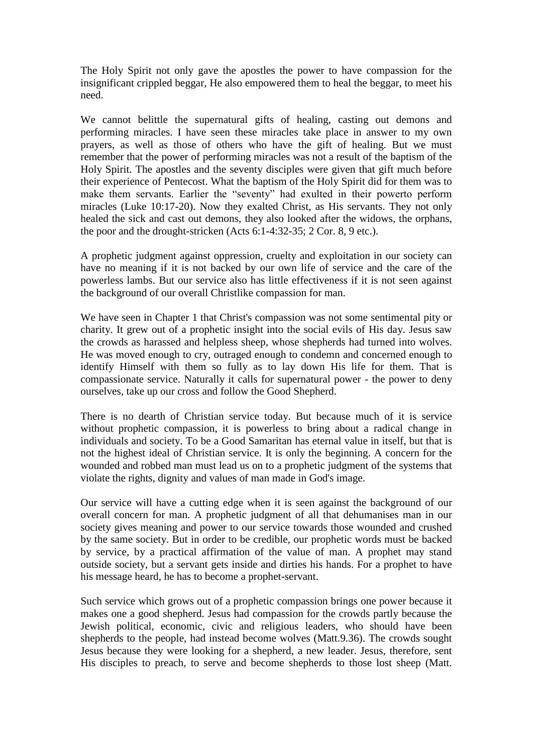The Holy Spirit not only gave the apostles the power to have compassion for the insignificant crippled beggar, He also empowered them to heal the beggar, to meet his need.

We cannot belittle the supernatural gifts of healing, casting out demons and performing miracles. I have seen these miracles take place in answer to my own prayers, as well as those of others who have the gift of healing. But we must remember that the power of performing miracles was not a result of the baptism of the Holy Spirit. The apostles and the seventy disciples were given that gift much before their experience of Pentecost. What the baptism of the Holy Spirit did for them was to make them servants. Earlier the "seventy" had exulted in their powerto perform miracles (Luke 10:17-20). Now they exalted Christ, as His servants. They not only healed the sick and cast out demons, they also looked after the widows, the orphans, the poor and the drought-stricken (Acts 6:1-4:32-35; 2 Cor. 8, 9 etc.).

A prophetic judgment against oppression, cruelty and exploitation in our society can have no meaning if it is not backed by our own life of service and the care of the powerless lambs. But our service also has little effectiveness if it is not seen against the background of our overall Christlike compassion for man.

We have seen in Chapter 1 that Christ's compassion was not some sentimental pity or charity. It grew out of a prophetic insight into the social evils of His day. Jesus saw the crowds as harassed and helpless sheep, whose shepherds had turned into wolves. He was moved enough to cry, outraged enough to condemn and concerned enough to identify Himself with them so fully as to lay down His life for them. That is compassionate service. Naturally it calls for supernatural power - the power to deny ourselves, take up our cross and follow the Good Shepherd.

There is no dearth of Christian service today. But because much of it is service without prophetic compassion, it is powerless to bring about a radical change in individuals and society. To be a Good Samaritan has eternal value in itself, but that is not the highest ideal of Christian service. It is only the beginning. A concern for the wounded and robbed man must lead us on to a prophetic judgment of the systems that violate the rights, dignity and values of man made in God's image.

Our service will have a cutting edge when it is seen against the background of our overall concern for man. A prophetic judgment of all that dehumanises man in our society gives meaning and power to our service towards those wounded and crushed by the same society. But in order to be credible, our prophetic words must be backed by service, by a practical affirmation of the value of man. A prophet may stand outside society, but a servant gets inside and dirties his hands. For a prophet to have his message heard, he has to become a prophet-servant.

Such service which grows out of a prophetic compassion brings one power because it makes one a good shepherd. Jesus had compassion for the crowds partly because the Jewish political, economic, civic and religious leaders, who should have been shepherds to the people, had instead become wolves (Matt.9.36). The crowds sought Jesus because they were looking for a shepherd, a new leader. Jesus, therefore, sent His disciples to preach, to serve and become shepherds to those lost sheep (Matt.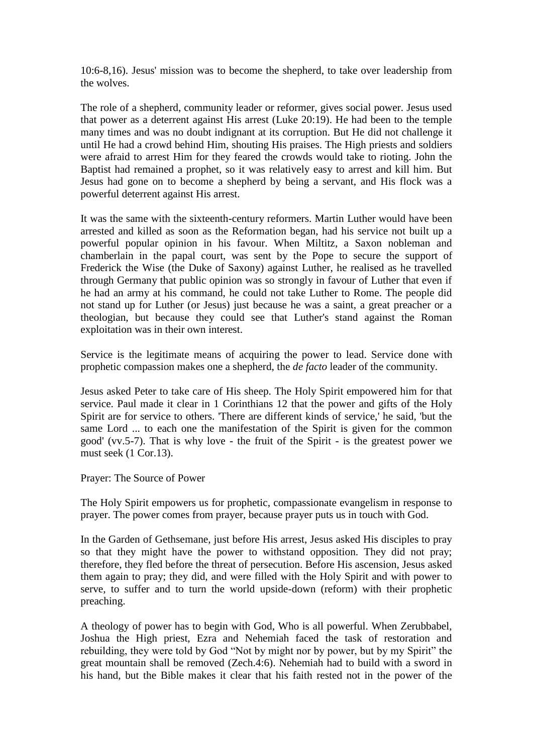10:6-8,16). Jesus' mission was to become the shepherd, to take over leadership from the wolves.

The role of a shepherd, community leader or reformer, gives social power. Jesus used that power as a deterrent against His arrest (Luke 20:19). He had been to the temple many times and was no doubt indignant at its corruption. But He did not challenge it until He had a crowd behind Him, shouting His praises. The High priests and soldiers were afraid to arrest Him for they feared the crowds would take to rioting. John the Baptist had remained a prophet, so it was relatively easy to arrest and kill him. But Jesus had gone on to become a shepherd by being a servant, and His flock was a powerful deterrent against His arrest.

It was the same with the sixteenth-century reformers. Martin Luther would have been arrested and killed as soon as the Reformation began, had his service not built up a powerful popular opinion in his favour. When Miltitz, a Saxon nobleman and chamberlain in the papal court, was sent by the Pope to secure the support of Frederick the Wise (the Duke of Saxony) against Luther, he realised as he travelled through Germany that public opinion was so strongly in favour of Luther that even if he had an army at his command, he could not take Luther to Rome. The people did not stand up for Luther (or Jesus) just because he was a saint, a great preacher or a theologian, but because they could see that Luther's stand against the Roman exploitation was in their own interest.

Service is the legitimate means of acquiring the power to lead. Service done with prophetic compassion makes one a shepherd, the *de facto* leader of the community.

Jesus asked Peter to take care of His sheep. The Holy Spirit empowered him for that service. Paul made it clear in 1 Corinthians 12 that the power and gifts of the Holy Spirit are for service to others. 'There are different kinds of service,' he said, 'but the same Lord ... to each one the manifestation of the Spirit is given for the common good' (vv.5-7). That is why love - the fruit of the Spirit - is the greatest power we must seek (1 Cor.13).

Prayer: The Source of Power

The Holy Spirit empowers us for prophetic, compassionate evangelism in response to prayer. The power comes from prayer, because prayer puts us in touch with God.

In the Garden of Gethsemane, just before His arrest, Jesus asked His disciples to pray so that they might have the power to withstand opposition. They did not pray; therefore, they fled before the threat of persecution. Before His ascension, Jesus asked them again to pray; they did, and were filled with the Holy Spirit and with power to serve, to suffer and to turn the world upside-down (reform) with their prophetic preaching.

A theology of power has to begin with God, Who is all powerful. When Zerubbabel, Joshua the High priest, Ezra and Nehemiah faced the task of restoration and rebuilding, they were told by God "Not by might nor by power, but by my Spirit" the great mountain shall be removed (Zech.4:6). Nehemiah had to build with a sword in his hand, but the Bible makes it clear that his faith rested not in the power of the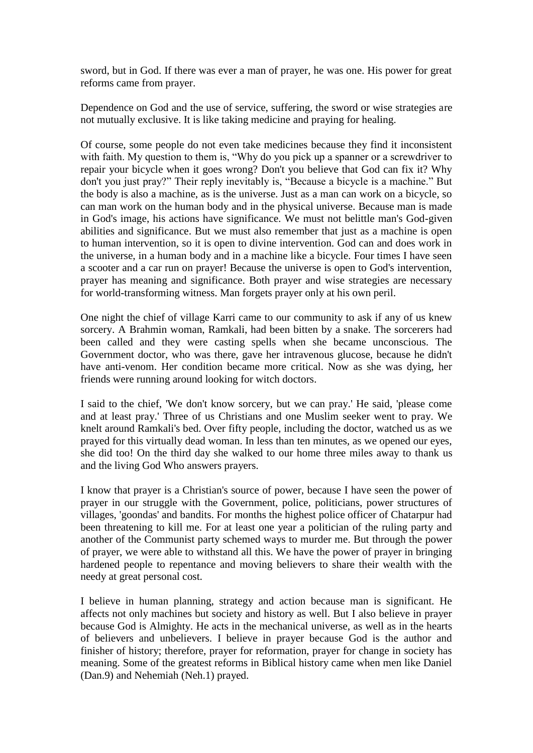sword, but in God. If there was ever a man of prayer, he was one. His power for great reforms came from prayer.

Dependence on God and the use of service, suffering, the sword or wise strategies are not mutually exclusive. It is like taking medicine and praying for healing.

Of course, some people do not even take medicines because they find it inconsistent with faith. My question to them is, "Why do you pick up a spanner or a screwdriver to repair your bicycle when it goes wrong? Don't you believe that God can fix it? Why don't you just pray?" Their reply inevitably is, "Because a bicycle is a machine." But the body is also a machine, as is the universe. Just as a man can work on a bicycle, so can man work on the human body and in the physical universe. Because man is made in God's image, his actions have significance. We must not belittle man's God-given abilities and significance. But we must also remember that just as a machine is open to human intervention, so it is open to divine intervention. God can and does work in the universe, in a human body and in a machine like a bicycle. Four times I have seen a scooter and a car run on prayer! Because the universe is open to God's intervention, prayer has meaning and significance. Both prayer and wise strategies are necessary for world-transforming witness. Man forgets prayer only at his own peril.

One night the chief of village Karri came to our community to ask if any of us knew sorcery. A Brahmin woman, Ramkali, had been bitten by a snake. The sorcerers had been called and they were casting spells when she became unconscious. The Government doctor, who was there, gave her intravenous glucose, because he didn't have anti-venom. Her condition became more critical. Now as she was dying, her friends were running around looking for witch doctors.

I said to the chief, 'We don't know sorcery, but we can pray.' He said, 'please come and at least pray.' Three of us Christians and one Muslim seeker went to pray. We knelt around Ramkali's bed. Over fifty people, including the doctor, watched us as we prayed for this virtually dead woman. In less than ten minutes, as we opened our eyes, she did too! On the third day she walked to our home three miles away to thank us and the living God Who answers prayers.

I know that prayer is a Christian's source of power, because I have seen the power of prayer in our struggle with the Government, police, politicians, power structures of villages, 'goondas' and bandits. For months the highest police officer of Chatarpur had been threatening to kill me. For at least one year a politician of the ruling party and another of the Communist party schemed ways to murder me. But through the power of prayer, we were able to withstand all this. We have the power of prayer in bringing hardened people to repentance and moving believers to share their wealth with the needy at great personal cost.

I believe in human planning, strategy and action because man is significant. He affects not only machines but society and history as well. But I also believe in prayer because God is Almighty. He acts in the mechanical universe, as well as in the hearts of believers and unbelievers. I believe in prayer because God is the author and finisher of history; therefore, prayer for reformation, prayer for change in society has meaning. Some of the greatest reforms in Biblical history came when men like Daniel (Dan.9) and Nehemiah (Neh.1) prayed.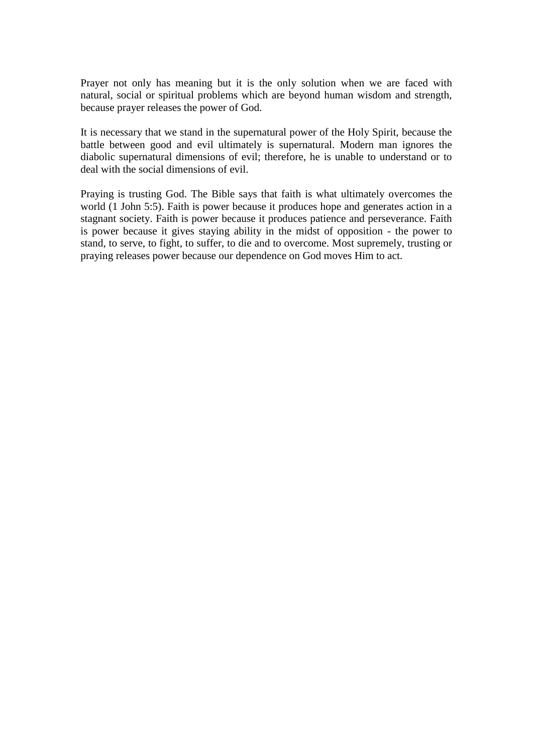Prayer not only has meaning but it is the only solution when we are faced with natural, social or spiritual problems which are beyond human wisdom and strength, because prayer releases the power of God.

It is necessary that we stand in the supernatural power of the Holy Spirit, because the battle between good and evil ultimately is supernatural. Modern man ignores the diabolic supernatural dimensions of evil; therefore, he is unable to understand or to deal with the social dimensions of evil.

Praying is trusting God. The Bible says that faith is what ultimately overcomes the world (1 John 5:5). Faith is power because it produces hope and generates action in a stagnant society. Faith is power because it produces patience and perseverance. Faith is power because it gives staying ability in the midst of opposition - the power to stand, to serve, to fight, to suffer, to die and to overcome. Most supremely, trusting or praying releases power because our dependence on God moves Him to act.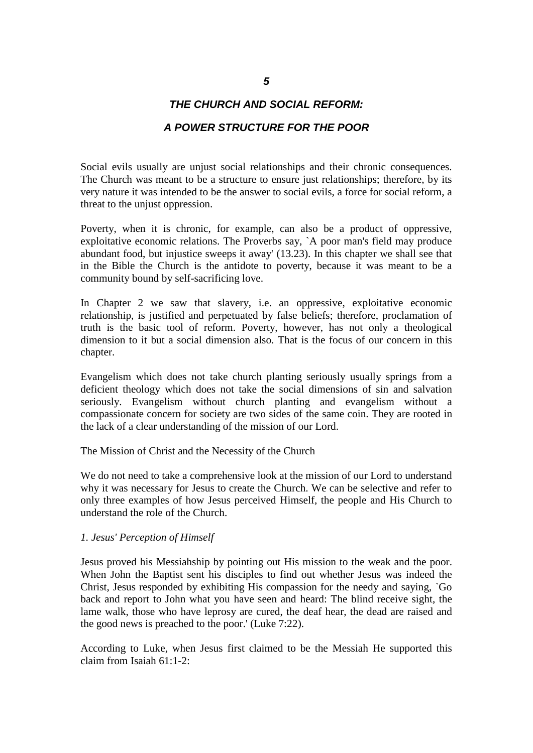# *THE CHURCH AND SOCIAL REFORM:*

# *A POWER STRUCTURE FOR THE POOR*

Social evils usually are unjust social relationships and their chronic consequences. The Church was meant to be a structure to ensure just relationships; therefore, by its very nature it was intended to be the answer to social evils, a force for social reform, a threat to the unjust oppression.

Poverty, when it is chronic, for example, can also be a product of oppressive, exploitative economic relations. The Proverbs say, `A poor man's field may produce abundant food, but injustice sweeps it away' (13.23). In this chapter we shall see that in the Bible the Church is the antidote to poverty, because it was meant to be a community bound by self-sacrificing love.

In Chapter 2 we saw that slavery, i.e. an oppressive, exploitative economic relationship, is justified and perpetuated by false beliefs; therefore, proclamation of truth is the basic tool of reform. Poverty, however, has not only a theological dimension to it but a social dimension also. That is the focus of our concern in this chapter.

Evangelism which does not take church planting seriously usually springs from a deficient theology which does not take the social dimensions of sin and salvation seriously. Evangelism without church planting and evangelism without a compassionate concern for society are two sides of the same coin. They are rooted in the lack of a clear understanding of the mission of our Lord.

The Mission of Christ and the Necessity of the Church

We do not need to take a comprehensive look at the mission of our Lord to understand why it was necessary for Jesus to create the Church. We can be selective and refer to only three examples of how Jesus perceived Himself, the people and His Church to understand the role of the Church.

#### *1. Jesus' Perception of Himself*

Jesus proved his Messiahship by pointing out His mission to the weak and the poor. When John the Baptist sent his disciples to find out whether Jesus was indeed the Christ, Jesus responded by exhibiting His compassion for the needy and saying, `Go back and report to John what you have seen and heard: The blind receive sight, the lame walk, those who have leprosy are cured, the deaf hear, the dead are raised and the good news is preached to the poor.' (Luke 7:22).

According to Luke, when Jesus first claimed to be the Messiah He supported this claim from Isaiah 61:1-2: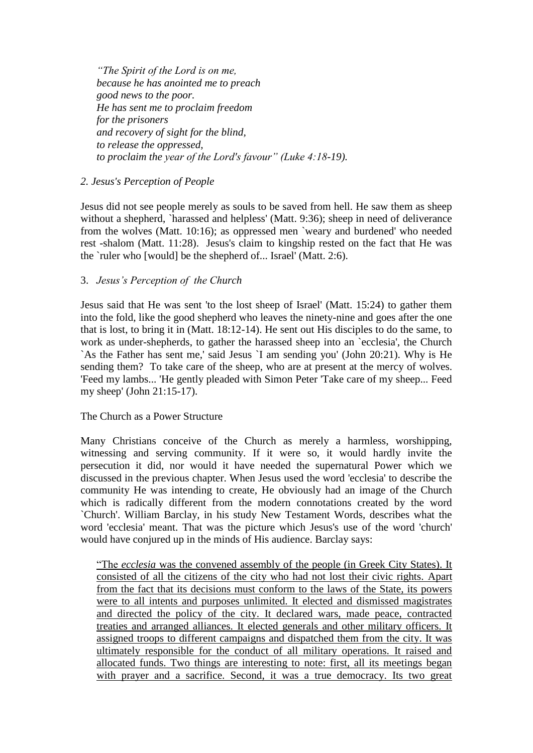*―The Spirit of the Lord is on me, because he has anointed me to preach good news to the poor. He has sent me to proclaim freedom for the prisoners and recovery of sight for the blind, to release the oppressed, to proclaim the year of the Lord's favour" (Luke 4:18-19).* 

# *2. Jesus's Perception of People*

Jesus did not see people merely as souls to be saved from hell. He saw them as sheep without a shepherd, `harassed and helpless' (Matt. 9:36); sheep in need of deliverance from the wolves (Matt. 10:16); as oppressed men `weary and burdened' who needed rest -shalom (Matt. 11:28). Jesus's claim to kingship rested on the fact that He was the `ruler who [would] be the shepherd of... Israel' (Matt. 2:6).

# 3. *Jesus's Perception of the Church*

Jesus said that He was sent 'to the lost sheep of Israel' (Matt. 15:24) to gather them into the fold, like the good shepherd who leaves the ninety-nine and goes after the one that is lost, to bring it in (Matt. 18:12-14). He sent out His disciples to do the same, to work as under-shepherds, to gather the harassed sheep into an `ecclesia', the Church `As the Father has sent me,' said Jesus `I am sending you' (John 20:21). Why is He sending them? To take care of the sheep, who are at present at the mercy of wolves. 'Feed my lambs... 'He gently pleaded with Simon Peter 'Take care of my sheep... Feed my sheep' (John 21:15-17).

# The Church as a Power Structure

Many Christians conceive of the Church as merely a harmless, worshipping, witnessing and serving community. If it were so, it would hardly invite the persecution it did, nor would it have needed the supernatural Power which we discussed in the previous chapter. When Jesus used the word 'ecclesia' to describe the community He was intending to create, He obviously had an image of the Church which is radically different from the modern connotations created by the word `Church'. William Barclay, in his study New Testament Words, describes what the word 'ecclesia' meant. That was the picture which Jesus's use of the word 'church' would have conjured up in the minds of His audience. Barclay says:

"The *ecclesia* was the convened assembly of the people (in Greek City States). It consisted of all the citizens of the city who had not lost their civic rights. Apart from the fact that its decisions must conform to the laws of the State, its powers were to all intents and purposes unlimited. It elected and dismissed magistrates and directed the policy of the city. It declared wars, made peace, contracted treaties and arranged alliances. It elected generals and other military officers. It assigned troops to different campaigns and dispatched them from the city. It was ultimately responsible for the conduct of all military operations. It raised and allocated funds. Two things are interesting to note: first, all its meetings began with prayer and a sacrifice. Second, it was a true democracy. Its two great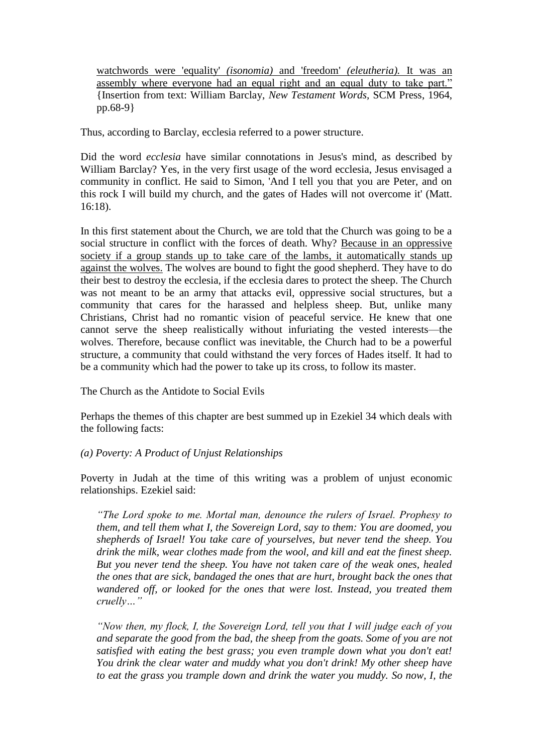watchwords were 'equality' *(isonomia)* and 'freedom' *(eleutheria).* It was an assembly where everyone had an equal right and an equal duty to take part." {Insertion from text: William Barclay, *New Testament Words,* SCM Press, 1964, pp.68-9}

Thus, according to Barclay, ecclesia referred to a power structure.

Did the word *ecclesia* have similar connotations in Jesus's mind, as described by William Barclay? Yes, in the very first usage of the word ecclesia, Jesus envisaged a community in conflict. He said to Simon, 'And I tell you that you are Peter, and on this rock I will build my church, and the gates of Hades will not overcome it' (Matt. 16:18).

In this first statement about the Church, we are told that the Church was going to be a social structure in conflict with the forces of death. Why? Because in an oppressive society if a group stands up to take care of the lambs, it automatically stands up against the wolves. The wolves are bound to fight the good shepherd. They have to do their best to destroy the ecclesia, if the ecclesia dares to protect the sheep. The Church was not meant to be an army that attacks evil, oppressive social structures, but a community that cares for the harassed and helpless sheep. But, unlike many Christians, Christ had no romantic vision of peaceful service. He knew that one cannot serve the sheep realistically without infuriating the vested interests—the wolves. Therefore, because conflict was inevitable, the Church had to be a powerful structure, a community that could withstand the very forces of Hades itself. It had to be a community which had the power to take up its cross, to follow its master.

The Church as the Antidote to Social Evils

Perhaps the themes of this chapter are best summed up in Ezekiel 34 which deals with the following facts:

# *(a) Poverty: A Product of Unjust Relationships*

Poverty in Judah at the time of this writing was a problem of unjust economic relationships. Ezekiel said:

*―The Lord spoke to me. Mortal man, denounce the rulers of Israel. Prophesy to them, and tell them what I, the Sovereign Lord, say to them: You are doomed, you shepherds of Israel! You take care of yourselves, but never tend the sheep. You drink the milk, wear clothes made from the wool, and kill and eat the finest sheep. But you never tend the sheep. You have not taken care of the weak ones, healed the ones that are sick, bandaged the ones that are hurt, brought back the ones that wandered off, or looked for the ones that were lost. Instead, you treated them cruelly…‖*

*―Now then, my flock, I, the Sovereign Lord, tell you that I will judge each of you and separate the good from the bad, the sheep from the goats. Some of you are not satisfied with eating the best grass; you even trample down what you don't eat! You drink the clear water and muddy what you don't drink! My other sheep have to eat the grass you trample down and drink the water you muddy. So now, I, the*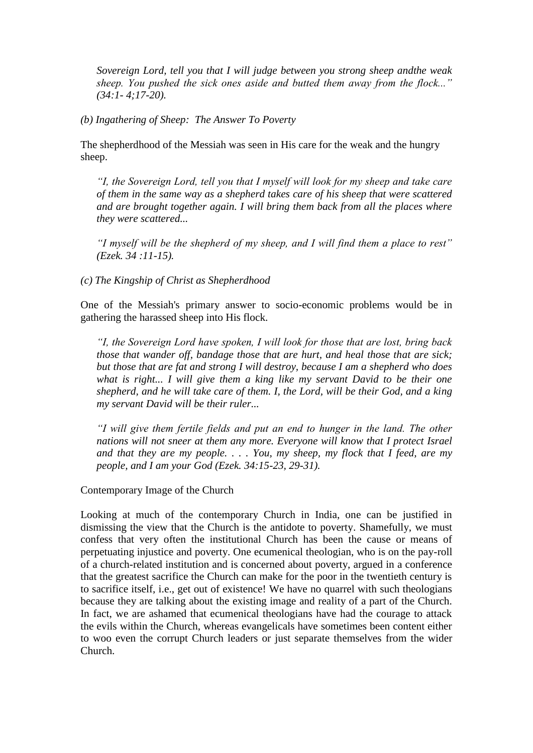*Sovereign Lord, tell you that I will judge between you strong sheep andthe weak*  sheep. You pushed the sick ones aside and butted them away from the flock..." *(34:1- 4;17-20).*

*(b) Ingathering of Sheep: The Answer To Poverty*

The shepherdhood of the Messiah was seen in His care for the weak and the hungry sheep.

*―I, the Sovereign Lord, tell you that I myself will look for my sheep and take care of them in the same way as a shepherd takes care of his sheep that were scattered and are brought together again. I will bring them back from all the places where they were scattered...*

*―I myself will be the shepherd of my sheep, and I will find them a place to rest‖ (Ezek. 34 :11-15).*

*(c) The Kingship of Christ as Shepherdhood* 

One of the Messiah's primary answer to socio-economic problems would be in gathering the harassed sheep into His flock.

*―I, the Sovereign Lord have spoken, I will look for those that are lost, bring back those that wander off, bandage those that are hurt, and heal those that are sick; but those that are fat and strong I will destroy, because I am a shepherd who does what is right... I will give them a king like my servant David to be their one shepherd, and he will take care of them. I, the Lord, will be their God, and a king my servant David will be their ruler...*

*―I will give them fertile fields and put an end to hunger in the land. The other nations will not sneer at them any more. Everyone will know that I protect Israel and that they are my people. . . . You, my sheep, my flock that I feed, are my people, and I am your God (Ezek. 34:15-23, 29-31).*

Contemporary Image of the Church

Looking at much of the contemporary Church in India, one can be justified in dismissing the view that the Church is the antidote to poverty. Shamefully, we must confess that very often the institutional Church has been the cause or means of perpetuating injustice and poverty. One ecumenical theologian, who is on the pay-roll of a church-related institution and is concerned about poverty, argued in a conference that the greatest sacrifice the Church can make for the poor in the twentieth century is to sacrifice itself, i.e., get out of existence! We have no quarrel with such theologians because they are talking about the existing image and reality of a part of the Church. In fact, we are ashamed that ecumenical theologians have had the courage to attack the evils within the Church, whereas evangelicals have sometimes been content either to woo even the corrupt Church leaders or just separate themselves from the wider Church.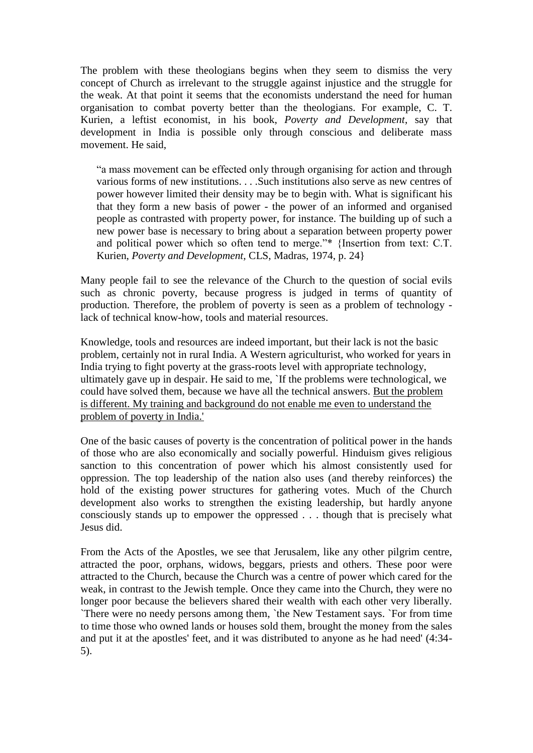The problem with these theologians begins when they seem to dismiss the very concept of Church as irrelevant to the struggle against injustice and the struggle for the weak. At that point it seems that the economists understand the need for human organisation to combat poverty better than the theologians. For example, C. T. Kurien, a leftist economist, in his book, *Poverty and Development*, say that development in India is possible only through conscious and deliberate mass movement. He said,

"a mass movement can be effected only through organising for action and through various forms of new institutions. . . .Such institutions also serve as new centres of power however limited their density may be to begin with. What is significant his that they form a new basis of power - the power of an informed and organised people as contrasted with property power, for instance. The building up of such a new power base is necessary to bring about a separation between property power and political power which so often tend to merge."\* {Insertion from text: C.T. Kurien, *Poverty and Development,* CLS, Madras, 1974, p. 24}

Many people fail to see the relevance of the Church to the question of social evils such as chronic poverty, because progress is judged in terms of quantity of production. Therefore, the problem of poverty is seen as a problem of technology lack of technical know-how, tools and material resources.

Knowledge, tools and resources are indeed important, but their lack is not the basic problem, certainly not in rural India. A Western agriculturist, who worked for years in India trying to fight poverty at the grass-roots level with appropriate technology, ultimately gave up in despair. He said to me, `If the problems were technological, we could have solved them, because we have all the technical answers. But the problem is different. My training and background do not enable me even to understand the problem of poverty in India.'

One of the basic causes of poverty is the concentration of political power in the hands of those who are also economically and socially powerful. Hinduism gives religious sanction to this concentration of power which his almost consistently used for oppression. The top leadership of the nation also uses (and thereby reinforces) the hold of the existing power structures for gathering votes. Much of the Church development also works to strengthen the existing leadership, but hardly anyone consciously stands up to empower the oppressed . . . though that is precisely what Jesus did.

From the Acts of the Apostles, we see that Jerusalem, like any other pilgrim centre, attracted the poor, orphans, widows, beggars, priests and others. These poor were attracted to the Church, because the Church was a centre of power which cared for the weak, in contrast to the Jewish temple. Once they came into the Church, they were no longer poor because the believers shared their wealth with each other very liberally. `There were no needy persons among them, `the New Testament says. `For from time to time those who owned lands or houses sold them, brought the money from the sales and put it at the apostles' feet, and it was distributed to anyone as he had need' (4:34- 5).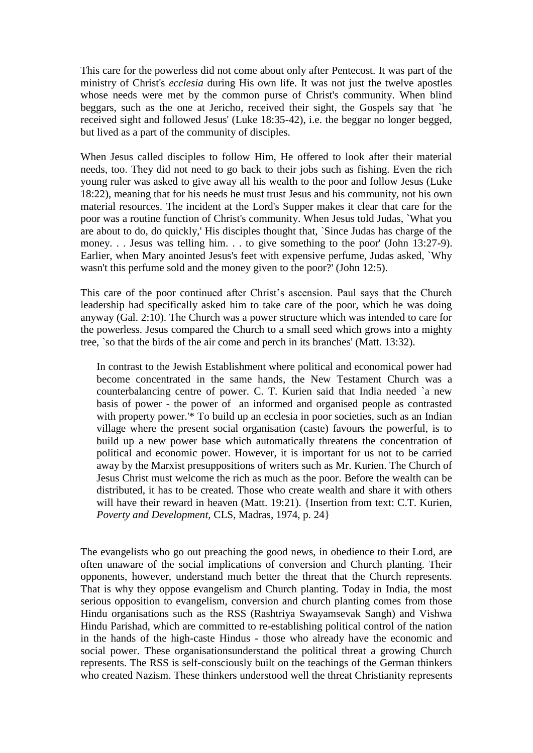This care for the powerless did not come about only after Pentecost. It was part of the ministry of Christ's *ecclesia* during His own life. It was not just the twelve apostles whose needs were met by the common purse of Christ's community. When blind beggars, such as the one at Jericho, received their sight, the Gospels say that `he received sight and followed Jesus' (Luke 18:35-42), i.e. the beggar no longer begged, but lived as a part of the community of disciples.

When Jesus called disciples to follow Him, He offered to look after their material needs, too. They did not need to go back to their jobs such as fishing. Even the rich young ruler was asked to give away all his wealth to the poor and follow Jesus (Luke 18:22), meaning that for his needs he must trust Jesus and his community, not his own material resources. The incident at the Lord's Supper makes it clear that care for the poor was a routine function of Christ's community. When Jesus told Judas, `What you are about to do, do quickly,' His disciples thought that, `Since Judas has charge of the money. . . Jesus was telling him. . . to give something to the poor' (John 13:27-9). Earlier, when Mary anointed Jesus's feet with expensive perfume, Judas asked, `Why wasn't this perfume sold and the money given to the poor?' (John 12:5).

This care of the poor continued after Christ's ascension. Paul says that the Church leadership had specifically asked him to take care of the poor, which he was doing anyway (Gal. 2:10). The Church was a power structure which was intended to care for the powerless. Jesus compared the Church to a small seed which grows into a mighty tree, `so that the birds of the air come and perch in its branches' (Matt. 13:32).

In contrast to the Jewish Establishment where political and economical power had become concentrated in the same hands, the New Testament Church was a counterbalancing centre of power. C. T. Kurien said that India needed `a new basis of power - the power of an informed and organised people as contrasted with property power.'\* To build up an ecclesia in poor societies, such as an Indian village where the present social organisation (caste) favours the powerful, is to build up a new power base which automatically threatens the concentration of political and economic power. However, it is important for us not to be carried away by the Marxist presuppositions of writers such as Mr. Kurien. The Church of Jesus Christ must welcome the rich as much as the poor. Before the wealth can be distributed, it has to be created. Those who create wealth and share it with others will have their reward in heaven (Matt. 19:21). {Insertion from text: C.T. Kurien, *Poverty and Development,* CLS, Madras, 1974, p. 24}

The evangelists who go out preaching the good news, in obedience to their Lord, are often unaware of the social implications of conversion and Church planting. Their opponents, however, understand much better the threat that the Church represents. That is why they oppose evangelism and Church planting. Today in India, the most serious opposition to evangelism, conversion and church planting comes from those Hindu organisations such as the RSS (Rashtriya Swayamsevak Sangh) and Vishwa Hindu Parishad, which are committed to re-establishing political control of the nation in the hands of the high-caste Hindus - those who already have the economic and social power. These organisationsunderstand the political threat a growing Church represents. The RSS is self-consciously built on the teachings of the German thinkers who created Nazism. These thinkers understood well the threat Christianity represents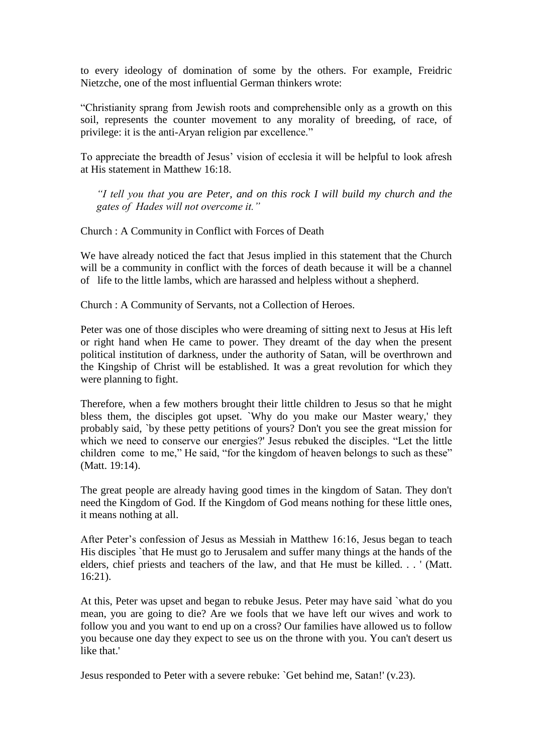to every ideology of domination of some by the others. For example, Freidric Nietzche, one of the most influential German thinkers wrote:

"Christianity sprang from Jewish roots and comprehensible only as a growth on this soil, represents the counter movement to any morality of breeding, of race, of privilege: it is the anti-Aryan religion par excellence."

To appreciate the breadth of Jesus" vision of ecclesia it will be helpful to look afresh at His statement in Matthew 16:18.

*―I tell you that you are Peter, and on this rock I will build my church and the gates of Hades will not overcome it.‖*

Church : A Community in Conflict with Forces of Death

We have already noticed the fact that Jesus implied in this statement that the Church will be a community in conflict with the forces of death because it will be a channel of life to the little lambs, which are harassed and helpless without a shepherd.

Church : A Community of Servants, not a Collection of Heroes.

Peter was one of those disciples who were dreaming of sitting next to Jesus at His left or right hand when He came to power. They dreamt of the day when the present political institution of darkness, under the authority of Satan, will be overthrown and the Kingship of Christ will be established. It was a great revolution for which they were planning to fight.

Therefore, when a few mothers brought their little children to Jesus so that he might bless them, the disciples got upset. `Why do you make our Master weary,' they probably said, `by these petty petitions of yours? Don't you see the great mission for which we need to conserve our energies?' Jesus rebuked the disciples. "Let the little children come to me," He said, "for the kingdom of heaven belongs to such as these" (Matt. 19:14).

The great people are already having good times in the kingdom of Satan. They don't need the Kingdom of God. If the Kingdom of God means nothing for these little ones, it means nothing at all.

After Peter"s confession of Jesus as Messiah in Matthew 16:16, Jesus began to teach His disciples `that He must go to Jerusalem and suffer many things at the hands of the elders, chief priests and teachers of the law, and that He must be killed. . . ' (Matt. 16:21).

At this, Peter was upset and began to rebuke Jesus. Peter may have said `what do you mean, you are going to die? Are we fools that we have left our wives and work to follow you and you want to end up on a cross? Our families have allowed us to follow you because one day they expect to see us on the throne with you. You can't desert us like that.'

Jesus responded to Peter with a severe rebuke: `Get behind me, Satan!' (v.23).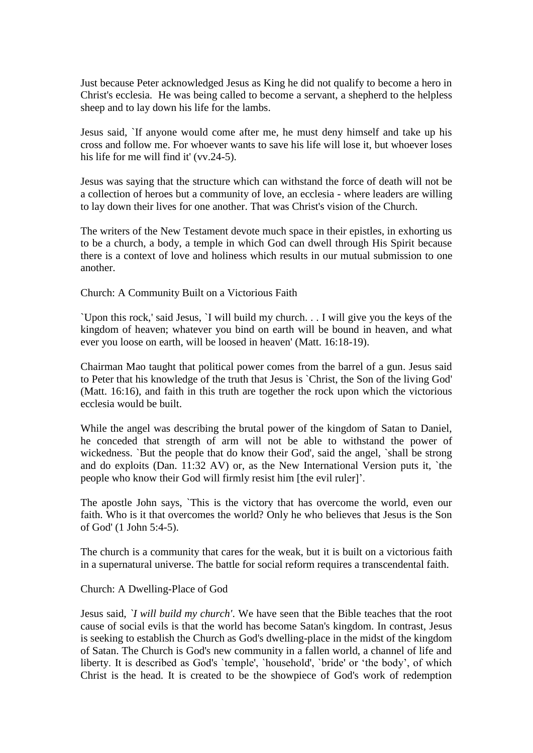Just because Peter acknowledged Jesus as King he did not qualify to become a hero in Christ's ecclesia. He was being called to become a servant, a shepherd to the helpless sheep and to lay down his life for the lambs.

Jesus said, `If anyone would come after me, he must deny himself and take up his cross and follow me. For whoever wants to save his life will lose it, but whoever loses his life for me will find it' (vv.24-5).

Jesus was saying that the structure which can withstand the force of death will not be a collection of heroes but a community of love, an ecclesia - where leaders are willing to lay down their lives for one another. That was Christ's vision of the Church.

The writers of the New Testament devote much space in their epistles, in exhorting us to be a church, a body, a temple in which God can dwell through His Spirit because there is a context of love and holiness which results in our mutual submission to one another.

Church: A Community Built on a Victorious Faith

`Upon this rock,' said Jesus, `I will build my church. . . I will give you the keys of the kingdom of heaven; whatever you bind on earth will be bound in heaven, and what ever you loose on earth, will be loosed in heaven' (Matt. 16:18-19).

Chairman Mao taught that political power comes from the barrel of a gun. Jesus said to Peter that his knowledge of the truth that Jesus is `Christ, the Son of the living God' (Matt. 16:16), and faith in this truth are together the rock upon which the victorious ecclesia would be built.

While the angel was describing the brutal power of the kingdom of Satan to Daniel, he conceded that strength of arm will not be able to withstand the power of wickedness. `But the people that do know their God', said the angel, `shall be strong and do exploits (Dan. 11:32 AV) or, as the New International Version puts it, `the people who know their God will firmly resist him [the evil ruler]".

The apostle John says, `This is the victory that has overcome the world, even our faith. Who is it that overcomes the world? Only he who believes that Jesus is the Son of God' (1 John 5:4-5).

The church is a community that cares for the weak, but it is built on a victorious faith in a supernatural universe. The battle for social reform requires a transcendental faith.

### Church: A Dwelling-Place of God

Jesus said, *`I will build my church'*. We have seen that the Bible teaches that the root cause of social evils is that the world has become Satan's kingdom. In contrast, Jesus is seeking to establish the Church as God's dwelling-place in the midst of the kingdom of Satan. The Church is God's new community in a fallen world, a channel of life and liberty. It is described as God's `temple', `household', `bride' or "the body", of which Christ is the head. It is created to be the showpiece of God's work of redemption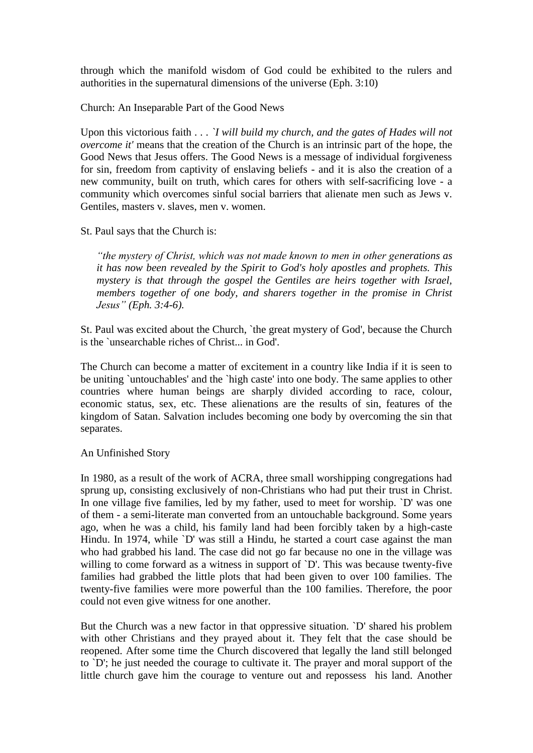through which the manifold wisdom of God could be exhibited to the rulers and authorities in the supernatural dimensions of the universe (Eph. 3:10)

Church: An Inseparable Part of the Good News

Upon this victorious faith . . . *`I will build my church, and the gates of Hades will not overcome it'* means that the creation of the Church is an intrinsic part of the hope, the Good News that Jesus offers. The Good News is a message of individual forgiveness for sin, freedom from captivity of enslaving beliefs - and it is also the creation of a new community, built on truth, which cares for others with self-sacrificing love - a community which overcomes sinful social barriers that alienate men such as Jews v. Gentiles, masters v. slaves, men v. women.

St. Paul says that the Church is:

*―the mystery of Christ, which was not made known to men in other generations as it has now been revealed by the Spirit to God's holy apostles and prophets. This mystery is that through the gospel the Gentiles are heirs together with Israel, members together of one body, and sharers together in the promise in Christ Jesus‖ (Eph. 3:4-6).*

St. Paul was excited about the Church, `the great mystery of God', because the Church is the `unsearchable riches of Christ... in God'.

The Church can become a matter of excitement in a country like India if it is seen to be uniting `untouchables' and the `high caste' into one body. The same applies to other countries where human beings are sharply divided according to race, colour, economic status, sex, etc. These alienations are the results of sin, features of the kingdom of Satan. Salvation includes becoming one body by overcoming the sin that separates.

An Unfinished Story

In 1980, as a result of the work of ACRA, three small worshipping congregations had sprung up, consisting exclusively of non-Christians who had put their trust in Christ. In one village five families, led by my father, used to meet for worship. `D' was one of them - a semi-literate man converted from an untouchable background. Some years ago, when he was a child, his family land had been forcibly taken by a high-caste Hindu. In 1974, while `D' was still a Hindu, he started a court case against the man who had grabbed his land. The case did not go far because no one in the village was willing to come forward as a witness in support of 'D'. This was because twenty-five families had grabbed the little plots that had been given to over 100 families. The twenty-five families were more powerful than the 100 families. Therefore, the poor could not even give witness for one another.

But the Church was a new factor in that oppressive situation. `D' shared his problem with other Christians and they prayed about it. They felt that the case should be reopened. After some time the Church discovered that legally the land still belonged to `D'; he just needed the courage to cultivate it. The prayer and moral support of the little church gave him the courage to venture out and repossess his land. Another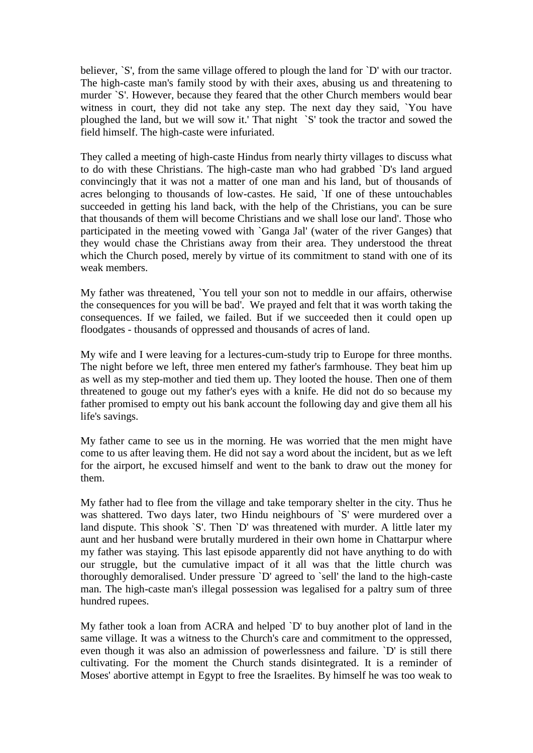believer, `S', from the same village offered to plough the land for `D' with our tractor. The high-caste man's family stood by with their axes, abusing us and threatening to murder `S'. However, because they feared that the other Church members would bear witness in court, they did not take any step. The next day they said, `You have ploughed the land, but we will sow it.' That night `S' took the tractor and sowed the field himself. The high-caste were infuriated.

They called a meeting of high-caste Hindus from nearly thirty villages to discuss what to do with these Christians. The high-caste man who had grabbed `D's land argued convincingly that it was not a matter of one man and his land, but of thousands of acres belonging to thousands of low-castes. He said, `If one of these untouchables succeeded in getting his land back, with the help of the Christians, you can be sure that thousands of them will become Christians and we shall lose our land'. Those who participated in the meeting vowed with `Ganga Jal' (water of the river Ganges) that they would chase the Christians away from their area. They understood the threat which the Church posed, merely by virtue of its commitment to stand with one of its weak members.

My father was threatened, `You tell your son not to meddle in our affairs, otherwise the consequences for you will be bad'. We prayed and felt that it was worth taking the consequences. If we failed, we failed. But if we succeeded then it could open up floodgates - thousands of oppressed and thousands of acres of land.

My wife and I were leaving for a lectures-cum-study trip to Europe for three months. The night before we left, three men entered my father's farmhouse. They beat him up as well as my step-mother and tied them up. They looted the house. Then one of them threatened to gouge out my father's eyes with a knife. He did not do so because my father promised to empty out his bank account the following day and give them all his life's savings.

My father came to see us in the morning. He was worried that the men might have come to us after leaving them. He did not say a word about the incident, but as we left for the airport, he excused himself and went to the bank to draw out the money for them.

My father had to flee from the village and take temporary shelter in the city. Thus he was shattered. Two days later, two Hindu neighbours of `S' were murdered over a land dispute. This shook `S'. Then `D' was threatened with murder. A little later my aunt and her husband were brutally murdered in their own home in Chattarpur where my father was staying. This last episode apparently did not have anything to do with our struggle, but the cumulative impact of it all was that the little church was thoroughly demoralised. Under pressure `D' agreed to `sell' the land to the high-caste man. The high-caste man's illegal possession was legalised for a paltry sum of three hundred rupees.

My father took a loan from ACRA and helped `D' to buy another plot of land in the same village. It was a witness to the Church's care and commitment to the oppressed, even though it was also an admission of powerlessness and failure. `D' is still there cultivating. For the moment the Church stands disintegrated. It is a reminder of Moses' abortive attempt in Egypt to free the Israelites. By himself he was too weak to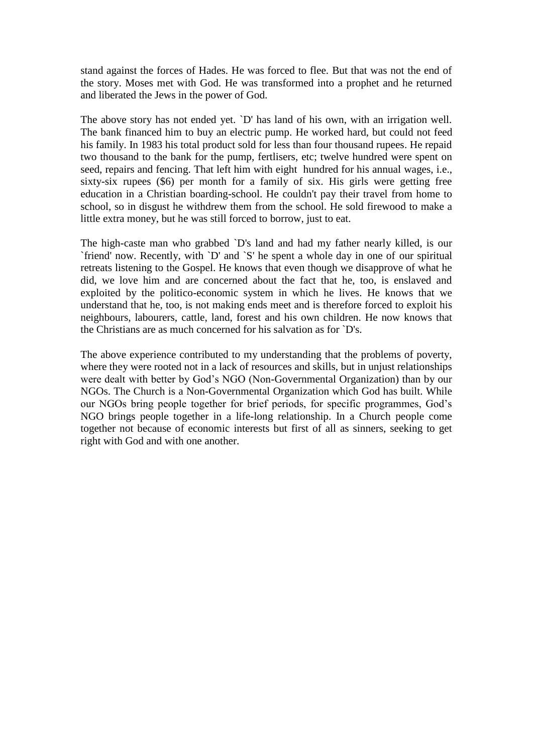stand against the forces of Hades. He was forced to flee. But that was not the end of the story. Moses met with God. He was transformed into a prophet and he returned and liberated the Jews in the power of God.

The above story has not ended yet. `D' has land of his own, with an irrigation well. The bank financed him to buy an electric pump. He worked hard, but could not feed his family. In 1983 his total product sold for less than four thousand rupees. He repaid two thousand to the bank for the pump, fertlisers, etc; twelve hundred were spent on seed, repairs and fencing. That left him with eight hundred for his annual wages, i.e., sixty-six rupees (\$6) per month for a family of six. His girls were getting free education in a Christian boarding-school. He couldn't pay their travel from home to school, so in disgust he withdrew them from the school. He sold firewood to make a little extra money, but he was still forced to borrow, just to eat.

The high-caste man who grabbed `D's land and had my father nearly killed, is our `friend' now. Recently, with `D' and `S' he spent a whole day in one of our spiritual retreats listening to the Gospel. He knows that even though we disapprove of what he did, we love him and are concerned about the fact that he, too, is enslaved and exploited by the politico-economic system in which he lives. He knows that we understand that he, too, is not making ends meet and is therefore forced to exploit his neighbours, labourers, cattle, land, forest and his own children. He now knows that the Christians are as much concerned for his salvation as for `D's.

The above experience contributed to my understanding that the problems of poverty, where they were rooted not in a lack of resources and skills, but in unjust relationships were dealt with better by God"s NGO (Non-Governmental Organization) than by our NGOs. The Church is a Non-Governmental Organization which God has built. While our NGOs bring people together for brief periods, for specific programmes, God"s NGO brings people together in a life-long relationship. In a Church people come together not because of economic interests but first of all as sinners, seeking to get right with God and with one another.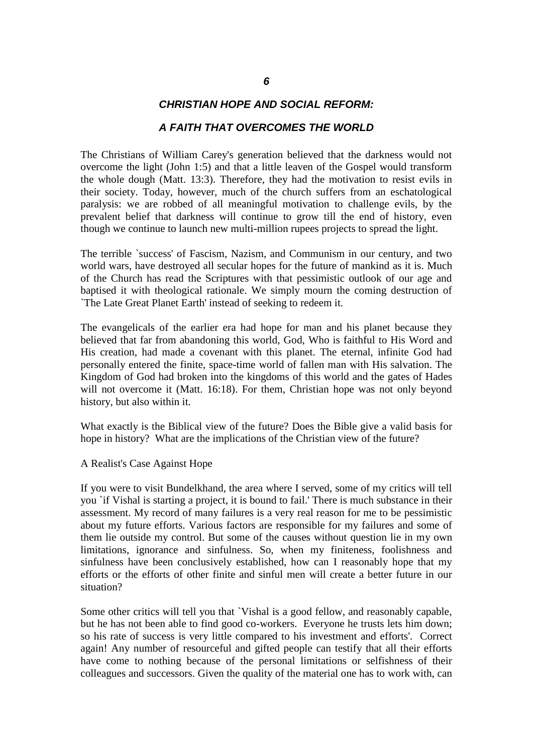## *CHRISTIAN HOPE AND SOCIAL REFORM:*

#### *A FAITH THAT OVERCOMES THE WORLD*

The Christians of William Carey's generation believed that the darkness would not overcome the light (John 1:5) and that a little leaven of the Gospel would transform the whole dough (Matt. 13:3). Therefore, they had the motivation to resist evils in their society. Today, however, much of the church suffers from an eschatological paralysis: we are robbed of all meaningful motivation to challenge evils, by the prevalent belief that darkness will continue to grow till the end of history, even though we continue to launch new multi-million rupees projects to spread the light.

The terrible `success' of Fascism, Nazism, and Communism in our century, and two world wars, have destroyed all secular hopes for the future of mankind as it is. Much of the Church has read the Scriptures with that pessimistic outlook of our age and baptised it with theological rationale. We simply mourn the coming destruction of `The Late Great Planet Earth' instead of seeking to redeem it.

The evangelicals of the earlier era had hope for man and his planet because they believed that far from abandoning this world, God, Who is faithful to His Word and His creation, had made a covenant with this planet. The eternal, infinite God had personally entered the finite, space-time world of fallen man with His salvation. The Kingdom of God had broken into the kingdoms of this world and the gates of Hades will not overcome it (Matt. 16:18). For them, Christian hope was not only beyond history, but also within it.

What exactly is the Biblical view of the future? Does the Bible give a valid basis for hope in history? What are the implications of the Christian view of the future?

#### A Realist's Case Against Hope

If you were to visit Bundelkhand, the area where I served, some of my critics will tell you `if Vishal is starting a project, it is bound to fail.' There is much substance in their assessment. My record of many failures is a very real reason for me to be pessimistic about my future efforts. Various factors are responsible for my failures and some of them lie outside my control. But some of the causes without question lie in my own limitations, ignorance and sinfulness. So, when my finiteness, foolishness and sinfulness have been conclusively established, how can I reasonably hope that my efforts or the efforts of other finite and sinful men will create a better future in our situation?

Some other critics will tell you that `Vishal is a good fellow, and reasonably capable, but he has not been able to find good co-workers. Everyone he trusts lets him down; so his rate of success is very little compared to his investment and efforts'. Correct again! Any number of resourceful and gifted people can testify that all their efforts have come to nothing because of the personal limitations or selfishness of their colleagues and successors. Given the quality of the material one has to work with, can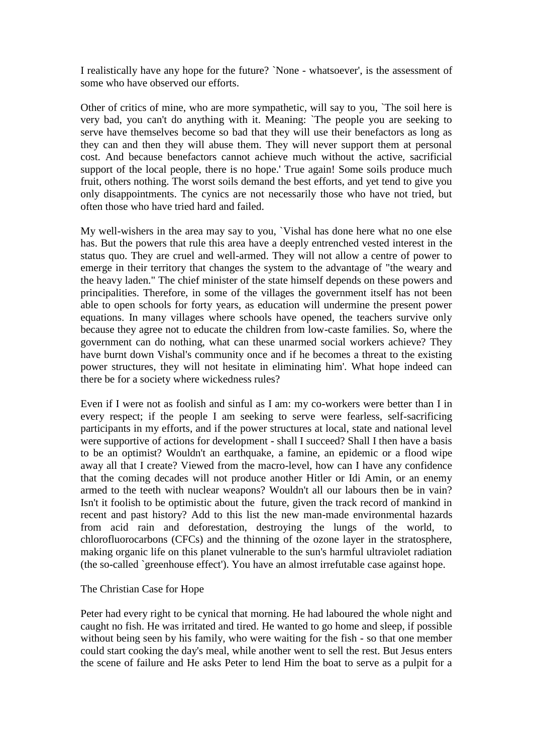I realistically have any hope for the future? `None - whatsoever', is the assessment of some who have observed our efforts.

Other of critics of mine, who are more sympathetic, will say to you, `The soil here is very bad, you can't do anything with it. Meaning: `The people you are seeking to serve have themselves become so bad that they will use their benefactors as long as they can and then they will abuse them. They will never support them at personal cost. And because benefactors cannot achieve much without the active, sacrificial support of the local people, there is no hope.' True again! Some soils produce much fruit, others nothing. The worst soils demand the best efforts, and yet tend to give you only disappointments. The cynics are not necessarily those who have not tried, but often those who have tried hard and failed.

My well-wishers in the area may say to you, `Vishal has done here what no one else has. But the powers that rule this area have a deeply entrenched vested interest in the status quo. They are cruel and well-armed. They will not allow a centre of power to emerge in their territory that changes the system to the advantage of "the weary and the heavy laden." The chief minister of the state himself depends on these powers and principalities. Therefore, in some of the villages the government itself has not been able to open schools for forty years, as education will undermine the present power equations. In many villages where schools have opened, the teachers survive only because they agree not to educate the children from low-caste families. So, where the government can do nothing, what can these unarmed social workers achieve? They have burnt down Vishal's community once and if he becomes a threat to the existing power structures, they will not hesitate in eliminating him'. What hope indeed can there be for a society where wickedness rules?

Even if I were not as foolish and sinful as I am: my co-workers were better than I in every respect; if the people I am seeking to serve were fearless, self-sacrificing participants in my efforts, and if the power structures at local, state and national level were supportive of actions for development - shall I succeed? Shall I then have a basis to be an optimist? Wouldn't an earthquake, a famine, an epidemic or a flood wipe away all that I create? Viewed from the macro-level, how can I have any confidence that the coming decades will not produce another Hitler or Idi Amin, or an enemy armed to the teeth with nuclear weapons? Wouldn't all our labours then be in vain? Isn't it foolish to be optimistic about the future, given the track record of mankind in recent and past history? Add to this list the new man-made environmental hazards from acid rain and deforestation, destroying the lungs of the world, to chlorofluorocarbons (CFCs) and the thinning of the ozone layer in the stratosphere, making organic life on this planet vulnerable to the sun's harmful ultraviolet radiation (the so-called `greenhouse effect'). You have an almost irrefutable case against hope.

#### The Christian Case for Hope

Peter had every right to be cynical that morning. He had laboured the whole night and caught no fish. He was irritated and tired. He wanted to go home and sleep, if possible without being seen by his family, who were waiting for the fish - so that one member could start cooking the day's meal, while another went to sell the rest. But Jesus enters the scene of failure and He asks Peter to lend Him the boat to serve as a pulpit for a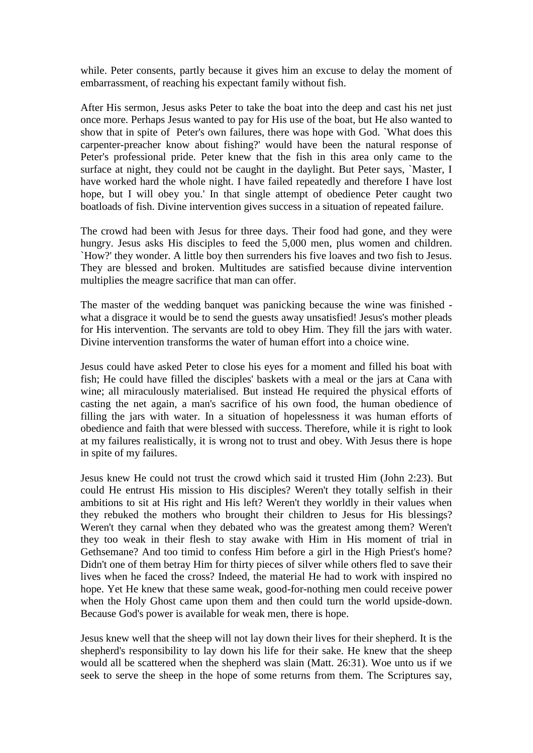while. Peter consents, partly because it gives him an excuse to delay the moment of embarrassment, of reaching his expectant family without fish.

After His sermon, Jesus asks Peter to take the boat into the deep and cast his net just once more. Perhaps Jesus wanted to pay for His use of the boat, but He also wanted to show that in spite of Peter's own failures, there was hope with God. `What does this carpenter-preacher know about fishing?' would have been the natural response of Peter's professional pride. Peter knew that the fish in this area only came to the surface at night, they could not be caught in the daylight. But Peter says, `Master, I have worked hard the whole night. I have failed repeatedly and therefore I have lost hope, but I will obey you.' In that single attempt of obedience Peter caught two boatloads of fish. Divine intervention gives success in a situation of repeated failure.

The crowd had been with Jesus for three days. Their food had gone, and they were hungry. Jesus asks His disciples to feed the 5,000 men, plus women and children. `How?' they wonder. A little boy then surrenders his five loaves and two fish to Jesus. They are blessed and broken. Multitudes are satisfied because divine intervention multiplies the meagre sacrifice that man can offer.

The master of the wedding banquet was panicking because the wine was finished what a disgrace it would be to send the guests away unsatisfied! Jesus's mother pleads for His intervention. The servants are told to obey Him. They fill the jars with water. Divine intervention transforms the water of human effort into a choice wine.

Jesus could have asked Peter to close his eyes for a moment and filled his boat with fish; He could have filled the disciples' baskets with a meal or the jars at Cana with wine; all miraculously materialised. But instead He required the physical efforts of casting the net again, a man's sacrifice of his own food, the human obedience of filling the jars with water. In a situation of hopelessness it was human efforts of obedience and faith that were blessed with success. Therefore, while it is right to look at my failures realistically, it is wrong not to trust and obey. With Jesus there is hope in spite of my failures.

Jesus knew He could not trust the crowd which said it trusted Him (John 2:23). But could He entrust His mission to His disciples? Weren't they totally selfish in their ambitions to sit at His right and His left? Weren't they worldly in their values when they rebuked the mothers who brought their children to Jesus for His blessings? Weren't they carnal when they debated who was the greatest among them? Weren't they too weak in their flesh to stay awake with Him in His moment of trial in Gethsemane? And too timid to confess Him before a girl in the High Priest's home? Didn't one of them betray Him for thirty pieces of silver while others fled to save their lives when he faced the cross? Indeed, the material He had to work with inspired no hope. Yet He knew that these same weak, good-for-nothing men could receive power when the Holy Ghost came upon them and then could turn the world upside-down. Because God's power is available for weak men, there is hope.

Jesus knew well that the sheep will not lay down their lives for their shepherd. It is the shepherd's responsibility to lay down his life for their sake. He knew that the sheep would all be scattered when the shepherd was slain (Matt. 26:31). Woe unto us if we seek to serve the sheep in the hope of some returns from them. The Scriptures say,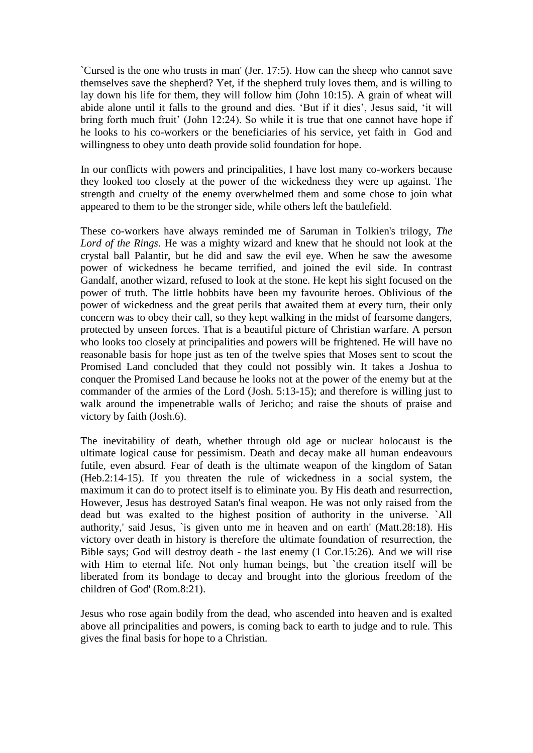`Cursed is the one who trusts in man' (Jer. 17:5). How can the sheep who cannot save themselves save the shepherd? Yet, if the shepherd truly loves them, and is willing to lay down his life for them, they will follow him (John 10:15). A grain of wheat will abide alone until it falls to the ground and dies. "But if it dies", Jesus said, "it will bring forth much fruit' (John 12:24). So while it is true that one cannot have hope if he looks to his co-workers or the beneficiaries of his service, yet faith in God and willingness to obey unto death provide solid foundation for hope.

In our conflicts with powers and principalities, I have lost many co-workers because they looked too closely at the power of the wickedness they were up against. The strength and cruelty of the enemy overwhelmed them and some chose to join what appeared to them to be the stronger side, while others left the battlefield.

These co-workers have always reminded me of Saruman in Tolkien's trilogy, *The Lord of the Rings*. He was a mighty wizard and knew that he should not look at the crystal ball Palantir, but he did and saw the evil eye. When he saw the awesome power of wickedness he became terrified, and joined the evil side. In contrast Gandalf, another wizard, refused to look at the stone. He kept his sight focused on the power of truth. The little hobbits have been my favourite heroes. Oblivious of the power of wickedness and the great perils that awaited them at every turn, their only concern was to obey their call, so they kept walking in the midst of fearsome dangers, protected by unseen forces. That is a beautiful picture of Christian warfare. A person who looks too closely at principalities and powers will be frightened. He will have no reasonable basis for hope just as ten of the twelve spies that Moses sent to scout the Promised Land concluded that they could not possibly win. It takes a Joshua to conquer the Promised Land because he looks not at the power of the enemy but at the commander of the armies of the Lord (Josh. 5:13-15); and therefore is willing just to walk around the impenetrable walls of Jericho; and raise the shouts of praise and victory by faith (Josh.6).

The inevitability of death, whether through old age or nuclear holocaust is the ultimate logical cause for pessimism. Death and decay make all human endeavours futile, even absurd. Fear of death is the ultimate weapon of the kingdom of Satan (Heb.2:14-15). If you threaten the rule of wickedness in a social system, the maximum it can do to protect itself is to eliminate you. By His death and resurrection, However, Jesus has destroyed Satan's final weapon. He was not only raised from the dead but was exalted to the highest position of authority in the universe. `All authority,' said Jesus, `is given unto me in heaven and on earth' (Matt.28:18). His victory over death in history is therefore the ultimate foundation of resurrection, the Bible says; God will destroy death - the last enemy (1 Cor.15:26). And we will rise with Him to eternal life. Not only human beings, but 'the creation itself will be liberated from its bondage to decay and brought into the glorious freedom of the children of God' (Rom.8:21).

Jesus who rose again bodily from the dead, who ascended into heaven and is exalted above all principalities and powers, is coming back to earth to judge and to rule. This gives the final basis for hope to a Christian.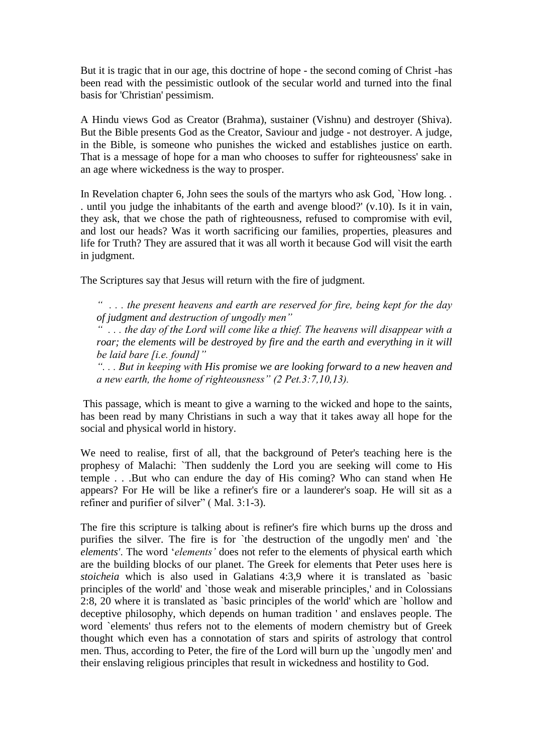But it is tragic that in our age, this doctrine of hope - the second coming of Christ -has been read with the pessimistic outlook of the secular world and turned into the final basis for 'Christian' pessimism.

A Hindu views God as Creator (Brahma), sustainer (Vishnu) and destroyer (Shiva). But the Bible presents God as the Creator, Saviour and judge - not destroyer. A judge, in the Bible, is someone who punishes the wicked and establishes justice on earth. That is a message of hope for a man who chooses to suffer for righteousness' sake in an age where wickedness is the way to prosper.

In Revelation chapter 6, John sees the souls of the martyrs who ask God, `How long. . . until you judge the inhabitants of the earth and avenge blood?' (v.10). Is it in vain, they ask, that we chose the path of righteousness, refused to compromise with evil, and lost our heads? Was it worth sacrificing our families, properties, pleasures and life for Truth? They are assured that it was all worth it because God will visit the earth in judgment.

The Scriptures say that Jesus will return with the fire of judgment.

*― . . . the present heavens and earth are reserved for fire, being kept for the day of judgment and destruction of ungodly men‖*

*― . . . the day of the Lord will come like a thief. The heavens will disappear with a roar; the elements will be destroyed by fire and the earth and everything in it will be laid bare [i.e. found]‖* 

*―. . . But in keeping with His promise we are looking forward to a new heaven and a new earth, the home of righteousness*" (2 Pet.3:7,10,13).

This passage, which is meant to give a warning to the wicked and hope to the saints, has been read by many Christians in such a way that it takes away all hope for the social and physical world in history.

We need to realise, first of all, that the background of Peter's teaching here is the prophesy of Malachi: `Then suddenly the Lord you are seeking will come to His temple . . .But who can endure the day of His coming? Who can stand when He appears? For He will be like a refiner's fire or a launderer's soap. He will sit as a refiner and purifier of silver" ( Mal. 3:1-3).

The fire this scripture is talking about is refiner's fire which burns up the dross and purifies the silver. The fire is for `the destruction of the ungodly men' and `the *elements'*. The word "*elements'* does not refer to the elements of physical earth which are the building blocks of our planet. The Greek for elements that Peter uses here is *stoicheia* which is also used in Galatians 4:3,9 where it is translated as `basic principles of the world' and `those weak and miserable principles,' and in Colossians 2:8, 20 where it is translated as `basic principles of the world' which are `hollow and deceptive philosophy, which depends on human tradition ' and enslaves people. The word `elements' thus refers not to the elements of modern chemistry but of Greek thought which even has a connotation of stars and spirits of astrology that control men. Thus, according to Peter, the fire of the Lord will burn up the `ungodly men' and their enslaving religious principles that result in wickedness and hostility to God.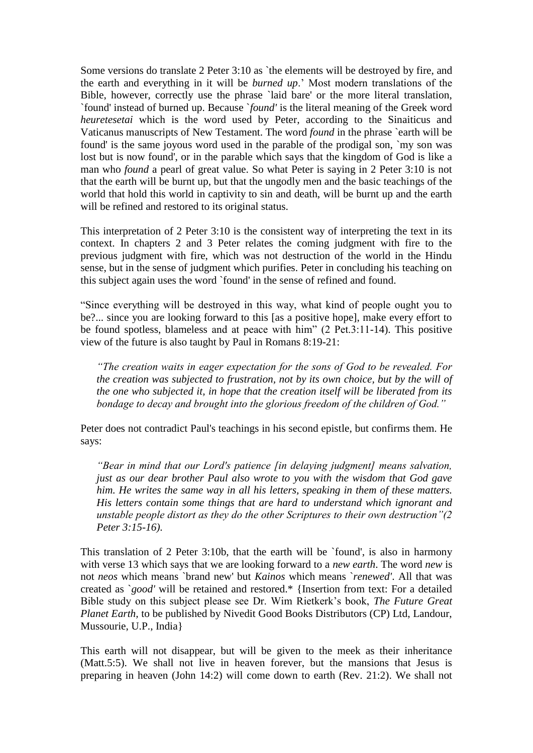Some versions do translate 2 Peter 3:10 as `the elements will be destroyed by fire, and the earth and everything in it will be *burned up*." Most modern translations of the Bible, however, correctly use the phrase `laid bare' or the more literal translation, `found' instead of burned up. Because `*found'* is the literal meaning of the Greek word *heuretesetai* which is the word used by Peter, according to the Sinaiticus and Vaticanus manuscripts of New Testament. The word *found* in the phrase `earth will be found' is the same joyous word used in the parable of the prodigal son, `my son was lost but is now found', or in the parable which says that the kingdom of God is like a man who *found* a pearl of great value. So what Peter is saying in 2 Peter 3:10 is not that the earth will be burnt up, but that the ungodly men and the basic teachings of the world that hold this world in captivity to sin and death, will be burnt up and the earth will be refined and restored to its original status.

This interpretation of 2 Peter 3:10 is the consistent way of interpreting the text in its context. In chapters 2 and 3 Peter relates the coming judgment with fire to the previous judgment with fire, which was not destruction of the world in the Hindu sense, but in the sense of judgment which purifies. Peter in concluding his teaching on this subject again uses the word `found' in the sense of refined and found.

"Since everything will be destroyed in this way, what kind of people ought you to be?... since you are looking forward to this [as a positive hope], make every effort to be found spotless, blameless and at peace with him" (2 Pet.3:11-14). This positive view of the future is also taught by Paul in Romans 8:19-21:

*―The creation waits in eager expectation for the sons of God to be revealed. For the creation was subjected to frustration, not by its own choice, but by the will of the one who subjected it, in hope that the creation itself will be liberated from its bondage to decay and brought into the glorious freedom of the children of God.*"

Peter does not contradict Paul's teachings in his second epistle, but confirms them. He says:

*―Bear in mind that our Lord's patience [in delaying judgment] means salvation, just as our dear brother Paul also wrote to you with the wisdom that God gave him. He writes the same way in all his letters, speaking in them of these matters. His letters contain some things that are hard to understand which ignorant and unstable people distort as they do the other Scriptures to their own destruction*  $\frac{7}{2}$ *Peter 3:15-16).*

This translation of 2 Peter 3:10b, that the earth will be `found', is also in harmony with verse 13 which says that we are looking forward to a *new earth*. The word *new* is not *neos* which means `brand new' but *Kainos* which means `*renewed'*. All that was created as `*good'* will be retained and restored.\* {Insertion from text: For a detailed Bible study on this subject please see Dr. Wim Rietkerk"s book, *The Future Great Planet Earth,* to be published by Nivedit Good Books Distributors (CP) Ltd, Landour, Mussourie, U.P., India}

This earth will not disappear, but will be given to the meek as their inheritance (Matt.5:5). We shall not live in heaven forever, but the mansions that Jesus is preparing in heaven (John 14:2) will come down to earth (Rev. 21:2). We shall not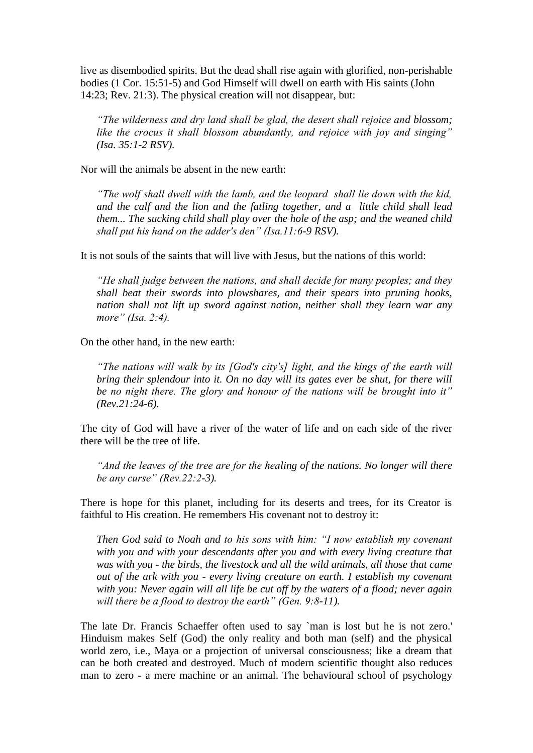live as disembodied spirits. But the dead shall rise again with glorified, non-perishable bodies (1 Cor. 15:51-5) and God Himself will dwell on earth with His saints (John 14:23; Rev. 21:3). The physical creation will not disappear, but:

*―The wilderness and dry land shall be glad, the desert shall rejoice and blossom; like the crocus it shall blossom abundantly, and rejoice with joy and singing*" *(Isa. 35:1-2 RSV).*

Nor will the animals be absent in the new earth:

*―The wolf shall dwell with the lamb, and the leopard shall lie down with the kid, and the calf and the lion and the fatling together, and a little child shall lead them... The sucking child shall play over the hole of the asp; and the weaned child shall put his hand on the adder's den" (Isa.11:6-9 RSV).* 

It is not souls of the saints that will live with Jesus, but the nations of this world:

*―He shall judge between the nations, and shall decide for many peoples; and they shall beat their swords into plowshares, and their spears into pruning hooks, nation shall not lift up sword against nation, neither shall they learn war any more*" (*Isa.* 2:4).

On the other hand, in the new earth:

*―The nations will walk by its [God's city's] light, and the kings of the earth will bring their splendour into it. On no day will its gates ever be shut, for there will be* no night there. The glory and honour of the nations will be brought into it" *(Rev.21:24-6).* 

The city of God will have a river of the water of life and on each side of the river there will be the tree of life.

*―And the leaves of the tree are for the healing of the nations. No longer will there be any curse*" (*Rev.22:2-3*).

There is hope for this planet, including for its deserts and trees, for its Creator is faithful to His creation. He remembers His covenant not to destroy it:

*Then God said to Noah and to his sons with him: "I now establish my covenant with you and with your descendants after you and with every living creature that was with you - the birds, the livestock and all the wild animals, all those that came out of the ark with you - every living creature on earth. I establish my covenant with you: Never again will all life be cut off by the waters of a flood; never again*  will there be a flood to destroy the earth" (Gen. 9:8-11).

The late Dr. Francis Schaeffer often used to say `man is lost but he is not zero.' Hinduism makes Self (God) the only reality and both man (self) and the physical world zero, i.e., Maya or a projection of universal consciousness; like a dream that can be both created and destroyed. Much of modern scientific thought also reduces man to zero - a mere machine or an animal. The behavioural school of psychology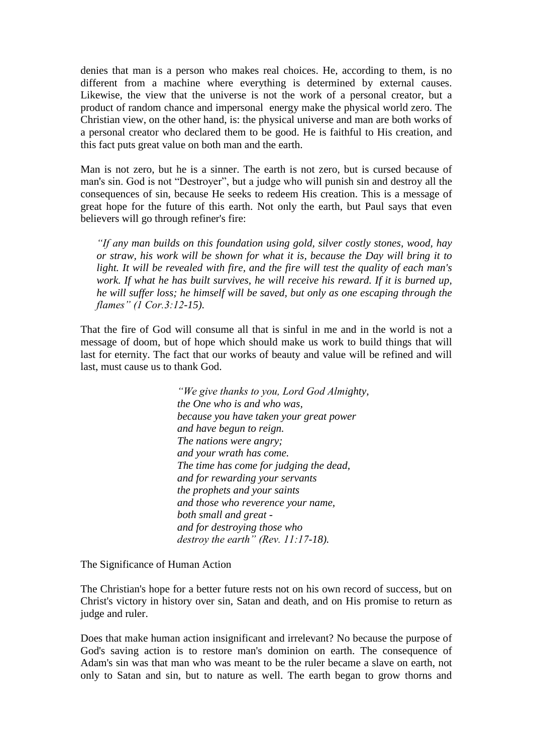denies that man is a person who makes real choices. He, according to them, is no different from a machine where everything is determined by external causes. Likewise, the view that the universe is not the work of a personal creator, but a product of random chance and impersonal energy make the physical world zero. The Christian view, on the other hand, is: the physical universe and man are both works of a personal creator who declared them to be good. He is faithful to His creation, and this fact puts great value on both man and the earth.

Man is not zero, but he is a sinner. The earth is not zero, but is cursed because of man's sin. God is not "Destroyer", but a judge who will punish sin and destroy all the consequences of sin, because He seeks to redeem His creation. This is a message of great hope for the future of this earth. Not only the earth, but Paul says that even believers will go through refiner's fire:

*―If any man builds on this foundation using gold, silver costly stones, wood, hay or straw, his work will be shown for what it is, because the Day will bring it to light. It will be revealed with fire, and the fire will test the quality of each man's work. If what he has built survives, he will receive his reward. If it is burned up, he will suffer loss; he himself will be saved, but only as one escaping through the flames‖ (1 Cor.3:12-15).*

That the fire of God will consume all that is sinful in me and in the world is not a message of doom, but of hope which should make us work to build things that will last for eternity. The fact that our works of beauty and value will be refined and will last, must cause us to thank God.

> *―We give thanks to you, Lord God Almighty, the One who is and who was, because you have taken your great power and have begun to reign. The nations were angry; and your wrath has come. The time has come for judging the dead, and for rewarding your servants the prophets and your saints and those who reverence your name, both small and great and for destroying those who destroy the earth*" (Rev. 11:17-18).

The Significance of Human Action

The Christian's hope for a better future rests not on his own record of success, but on Christ's victory in history over sin, Satan and death, and on His promise to return as judge and ruler.

Does that make human action insignificant and irrelevant? No because the purpose of God's saving action is to restore man's dominion on earth. The consequence of Adam's sin was that man who was meant to be the ruler became a slave on earth, not only to Satan and sin, but to nature as well. The earth began to grow thorns and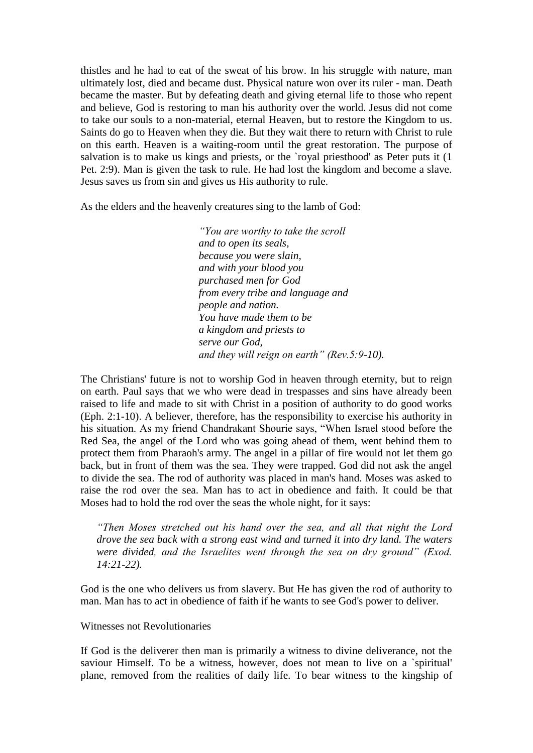thistles and he had to eat of the sweat of his brow. In his struggle with nature, man ultimately lost, died and became dust. Physical nature won over its ruler - man. Death became the master. But by defeating death and giving eternal life to those who repent and believe, God is restoring to man his authority over the world. Jesus did not come to take our souls to a non-material, eternal Heaven, but to restore the Kingdom to us. Saints do go to Heaven when they die. But they wait there to return with Christ to rule on this earth. Heaven is a waiting-room until the great restoration. The purpose of salvation is to make us kings and priests, or the `royal priesthood' as Peter puts it (1) Pet. 2:9). Man is given the task to rule. He had lost the kingdom and become a slave. Jesus saves us from sin and gives us His authority to rule.

As the elders and the heavenly creatures sing to the lamb of God:

 *―You are worthy to take the scroll and to open its seals, because you were slain, and with your blood you purchased men for God from every tribe and language and people and nation. You have made them to be a kingdom and priests to serve our God, and they will reign on earth*" (Rev.5:9-10).

The Christians' future is not to worship God in heaven through eternity, but to reign on earth. Paul says that we who were dead in trespasses and sins have already been raised to life and made to sit with Christ in a position of authority to do good works (Eph. 2:1-10). A believer, therefore, has the responsibility to exercise his authority in his situation. As my friend Chandrakant Shourie says, "When Israel stood before the Red Sea, the angel of the Lord who was going ahead of them, went behind them to protect them from Pharaoh's army. The angel in a pillar of fire would not let them go back, but in front of them was the sea. They were trapped. God did not ask the angel to divide the sea. The rod of authority was placed in man's hand. Moses was asked to raise the rod over the sea. Man has to act in obedience and faith. It could be that Moses had to hold the rod over the seas the whole night, for it says:

*―Then Moses stretched out his hand over the sea, and all that night the Lord drove the sea back with a strong east wind and turned it into dry land. The waters were divided, and the Israelites went through the sea on dry ground" (Exod. 14:21-22).*

God is the one who delivers us from slavery. But He has given the rod of authority to man. Man has to act in obedience of faith if he wants to see God's power to deliver.

Witnesses not Revolutionaries

If God is the deliverer then man is primarily a witness to divine deliverance, not the saviour Himself. To be a witness, however, does not mean to live on a `spiritual' plane, removed from the realities of daily life. To bear witness to the kingship of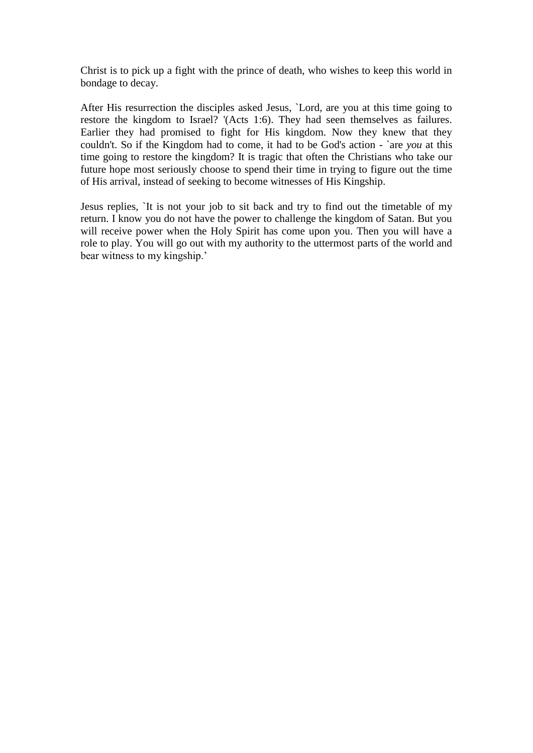Christ is to pick up a fight with the prince of death, who wishes to keep this world in bondage to decay.

After His resurrection the disciples asked Jesus, `Lord, are you at this time going to restore the kingdom to Israel? '(Acts 1:6). They had seen themselves as failures. Earlier they had promised to fight for His kingdom. Now they knew that they couldn't. So if the Kingdom had to come, it had to be God's action - `are *you* at this time going to restore the kingdom? It is tragic that often the Christians who take our future hope most seriously choose to spend their time in trying to figure out the time of His arrival, instead of seeking to become witnesses of His Kingship.

Jesus replies, `It is not your job to sit back and try to find out the timetable of my return. I know you do not have the power to challenge the kingdom of Satan. But you will receive power when the Holy Spirit has come upon you. Then you will have a role to play. You will go out with my authority to the uttermost parts of the world and bear witness to my kingship.'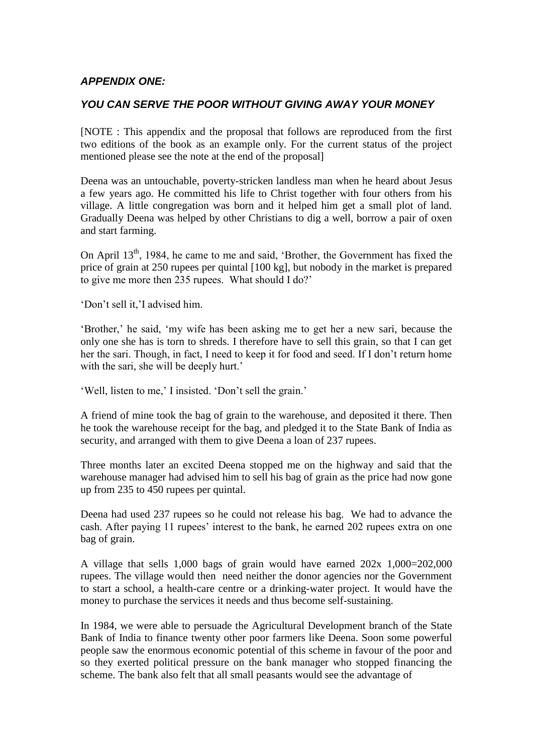# *APPENDIX ONE:*

## *YOU CAN SERVE THE POOR WITHOUT GIVING AWAY YOUR MONEY*

[NOTE : This appendix and the proposal that follows are reproduced from the first two editions of the book as an example only. For the current status of the project mentioned please see the note at the end of the proposal]

Deena was an untouchable, poverty-stricken landless man when he heard about Jesus a few years ago. He committed his life to Christ together with four others from his village. A little congregation was born and it helped him get a small plot of land. Gradually Deena was helped by other Christians to dig a well, borrow a pair of oxen and start farming.

On April 13<sup>th</sup>, 1984, he came to me and said, 'Brother, the Government has fixed the price of grain at 250 rupees per quintal [100 kg], but nobody in the market is prepared to give me more then 235 rupees. What should I do?'

"Don"t sell it,"I advised him.

"Brother," he said, "my wife has been asking me to get her a new sari, because the only one she has is torn to shreds. I therefore have to sell this grain, so that I can get her the sari. Though, in fact, I need to keep it for food and seed. If I don"t return home with the sari, she will be deeply hurt.'

'Well, listen to me,' I insisted. 'Don't sell the grain.'

A friend of mine took the bag of grain to the warehouse, and deposited it there. Then he took the warehouse receipt for the bag, and pledged it to the State Bank of India as security, and arranged with them to give Deena a loan of 237 rupees.

Three months later an excited Deena stopped me on the highway and said that the warehouse manager had advised him to sell his bag of grain as the price had now gone up from 235 to 450 rupees per quintal.

Deena had used 237 rupees so he could not release his bag. We had to advance the cash. After paying 11 rupees" interest to the bank, he earned 202 rupees extra on one bag of grain.

A village that sells 1,000 bags of grain would have earned 202x 1,000=202,000 rupees. The village would then need neither the donor agencies nor the Government to start a school, a health-care centre or a drinking-water project. It would have the money to purchase the services it needs and thus become self-sustaining.

In 1984, we were able to persuade the Agricultural Development branch of the State Bank of India to finance twenty other poor farmers like Deena. Soon some powerful people saw the enormous economic potential of this scheme in favour of the poor and so they exerted political pressure on the bank manager who stopped financing the scheme. The bank also felt that all small peasants would see the advantage of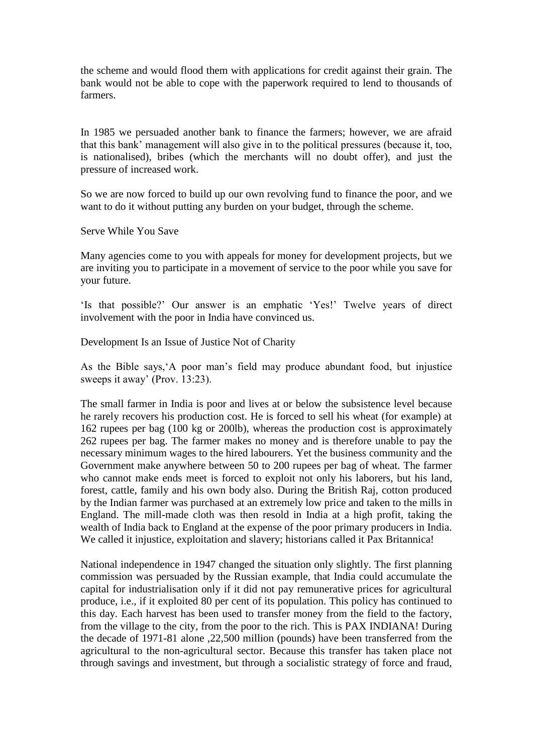the scheme and would flood them with applications for credit against their grain. The bank would not be able to cope with the paperwork required to lend to thousands of farmers.

In 1985 we persuaded another bank to finance the farmers; however, we are afraid that this bank" management will also give in to the political pressures (because it, too, is nationalised), bribes (which the merchants will no doubt offer), and just the pressure of increased work.

So we are now forced to build up our own revolving fund to finance the poor, and we want to do it without putting any burden on your budget, through the scheme.

Serve While You Save

Many agencies come to you with appeals for money for development projects, but we are inviting you to participate in a movement of service to the poor while you save for your future.

'Is that possible?' Our answer is an emphatic 'Yes!' Twelve years of direct involvement with the poor in India have convinced us.

Development Is an Issue of Justice Not of Charity

As the Bible says,"A poor man"s field may produce abundant food, but injustice sweeps it away' (Prov. 13:23).

The small farmer in India is poor and lives at or below the subsistence level because he rarely recovers his production cost. He is forced to sell his wheat (for example) at 162 rupees per bag (100 kg or 200lb), whereas the production cost is approximately 262 rupees per bag. The farmer makes no money and is therefore unable to pay the necessary minimum wages to the hired labourers. Yet the business community and the Government make anywhere between 50 to 200 rupees per bag of wheat. The farmer who cannot make ends meet is forced to exploit not only his laborers, but his land, forest, cattle, family and his own body also. During the British Raj, cotton produced by the Indian farmer was purchased at an extremely low price and taken to the mills in England. The mill-made cloth was then resold in India at a high profit, taking the wealth of India back to England at the expense of the poor primary producers in India. We called it injustice, exploitation and slavery; historians called it Pax Britannica!

National independence in 1947 changed the situation only slightly. The first planning commission was persuaded by the Russian example, that India could accumulate the capital for industrialisation only if it did not pay remunerative prices for agricultural produce, i.e., if it exploited 80 per cent of its population. This policy has continued to this day. Each harvest has been used to transfer money from the field to the factory, from the village to the city, from the poor to the rich. This is PAX INDIANA! During the decade of 1971-81 alone ,22,500 million (pounds) have been transferred from the agricultural to the non-agricultural sector. Because this transfer has taken place not through savings and investment, but through a socialistic strategy of force and fraud,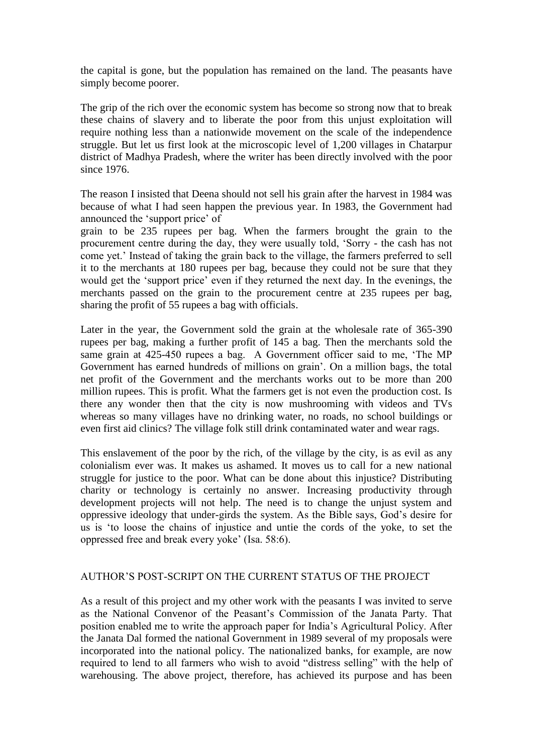the capital is gone, but the population has remained on the land. The peasants have simply become poorer.

The grip of the rich over the economic system has become so strong now that to break these chains of slavery and to liberate the poor from this unjust exploitation will require nothing less than a nationwide movement on the scale of the independence struggle. But let us first look at the microscopic level of 1,200 villages in Chatarpur district of Madhya Pradesh, where the writer has been directly involved with the poor since 1976.

The reason I insisted that Deena should not sell his grain after the harvest in 1984 was because of what I had seen happen the previous year. In 1983, the Government had announced the "support price" of

grain to be 235 rupees per bag. When the farmers brought the grain to the procurement centre during the day, they were usually told, "Sorry - the cash has not come yet." Instead of taking the grain back to the village, the farmers preferred to sell it to the merchants at 180 rupees per bag, because they could not be sure that they would get the 'support price' even if they returned the next day. In the evenings, the merchants passed on the grain to the procurement centre at 235 rupees per bag, sharing the profit of 55 rupees a bag with officials.

Later in the year, the Government sold the grain at the wholesale rate of 365-390 rupees per bag, making a further profit of 145 a bag. Then the merchants sold the same grain at 425-450 rupees a bag. A Government officer said to me, "The MP Government has earned hundreds of millions on grain". On a million bags, the total net profit of the Government and the merchants works out to be more than 200 million rupees. This is profit. What the farmers get is not even the production cost. Is there any wonder then that the city is now mushrooming with videos and TVs whereas so many villages have no drinking water, no roads, no school buildings or even first aid clinics? The village folk still drink contaminated water and wear rags.

This enslavement of the poor by the rich, of the village by the city, is as evil as any colonialism ever was. It makes us ashamed. It moves us to call for a new national struggle for justice to the poor. What can be done about this injustice? Distributing charity or technology is certainly no answer. Increasing productivity through development projects will not help. The need is to change the unjust system and oppressive ideology that under-girds the system. As the Bible says, God"s desire for us is "to loose the chains of injustice and untie the cords of the yoke, to set the oppressed free and break every yoke" (Isa. 58:6).

### AUTHOR"S POST-SCRIPT ON THE CURRENT STATUS OF THE PROJECT

As a result of this project and my other work with the peasants I was invited to serve as the National Convenor of the Peasant"s Commission of the Janata Party. That position enabled me to write the approach paper for India"s Agricultural Policy. After the Janata Dal formed the national Government in 1989 several of my proposals were incorporated into the national policy. The nationalized banks, for example, are now required to lend to all farmers who wish to avoid "distress selling" with the help of warehousing. The above project, therefore, has achieved its purpose and has been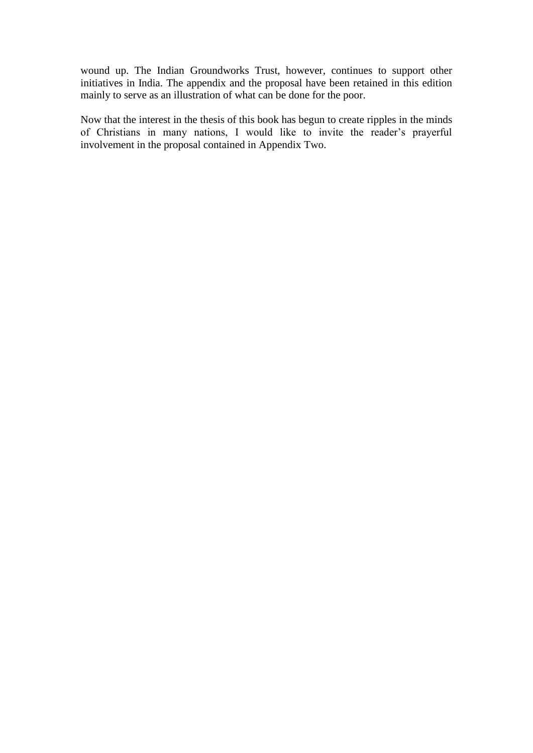wound up. The Indian Groundworks Trust, however, continues to support other initiatives in India. The appendix and the proposal have been retained in this edition mainly to serve as an illustration of what can be done for the poor.

Now that the interest in the thesis of this book has begun to create ripples in the minds of Christians in many nations, I would like to invite the reader"s prayerful involvement in the proposal contained in Appendix Two.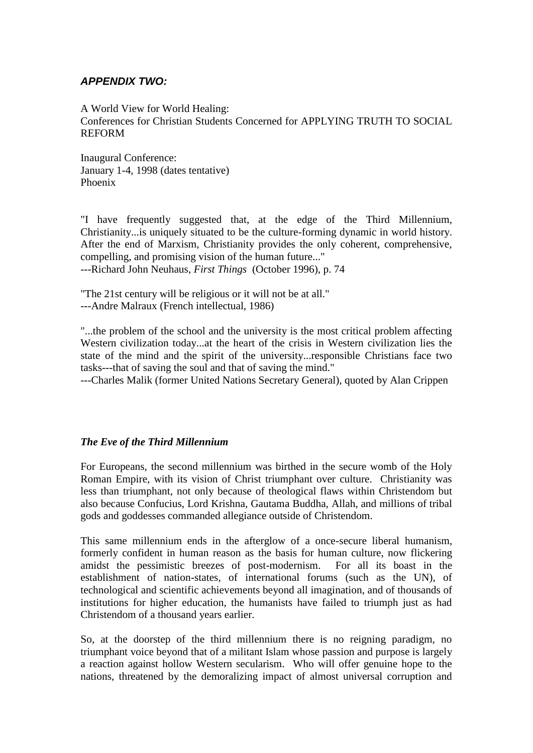## *APPENDIX TWO:*

A World View for World Healing: Conferences for Christian Students Concerned for APPLYING TRUTH TO SOCIAL REFORM

Inaugural Conference: January 1-4, 1998 (dates tentative) Phoenix

"I have frequently suggested that, at the edge of the Third Millennium, Christianity...is uniquely situated to be the culture-forming dynamic in world history. After the end of Marxism, Christianity provides the only coherent, comprehensive, compelling, and promising vision of the human future..."

---Richard John Neuhaus, *First Things* (October 1996), p. 74

"The 21st century will be religious or it will not be at all." ---Andre Malraux (French intellectual, 1986)

"...the problem of the school and the university is the most critical problem affecting Western civilization today...at the heart of the crisis in Western civilization lies the state of the mind and the spirit of the university...responsible Christians face two tasks---that of saving the soul and that of saving the mind."

---Charles Malik (former United Nations Secretary General), quoted by Alan Crippen

## *The Eve of the Third Millennium*

For Europeans, the second millennium was birthed in the secure womb of the Holy Roman Empire, with its vision of Christ triumphant over culture. Christianity was less than triumphant, not only because of theological flaws within Christendom but also because Confucius, Lord Krishna, Gautama Buddha, Allah, and millions of tribal gods and goddesses commanded allegiance outside of Christendom.

This same millennium ends in the afterglow of a once-secure liberal humanism, formerly confident in human reason as the basis for human culture, now flickering amidst the pessimistic breezes of post-modernism. For all its boast in the establishment of nation-states, of international forums (such as the UN), of technological and scientific achievements beyond all imagination, and of thousands of institutions for higher education, the humanists have failed to triumph just as had Christendom of a thousand years earlier.

So, at the doorstep of the third millennium there is no reigning paradigm, no triumphant voice beyond that of a militant Islam whose passion and purpose is largely a reaction against hollow Western secularism. Who will offer genuine hope to the nations, threatened by the demoralizing impact of almost universal corruption and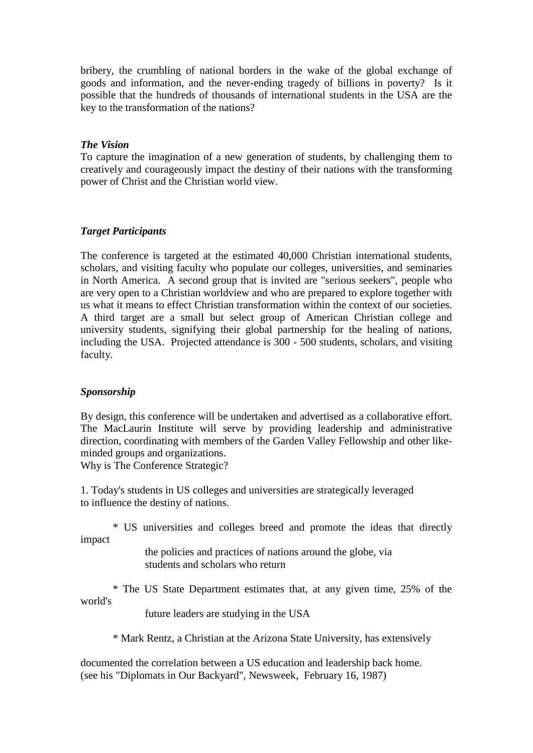bribery, the crumbling of national borders in the wake of the global exchange of goods and information, and the never-ending tragedy of billions in poverty? Is it possible that the hundreds of thousands of international students in the USA are the key to the transformation of the nations?

## *The Vision*

To capture the imagination of a new generation of students, by challenging them to creatively and courageously impact the destiny of their nations with the transforming power of Christ and the Christian world view.

## *Target Participants*

The conference is targeted at the estimated 40,000 Christian international students, scholars, and visiting faculty who populate our colleges, universities, and seminaries in North America. A second group that is invited are "serious seekers", people who are very open to a Christian worldview and who are prepared to explore together with us what it means to effect Christian transformation within the context of our societies. A third target are a small but select group of American Christian college and university students, signifying their global partnership for the healing of nations, including the USA. Projected attendance is 300 - 500 students, scholars, and visiting faculty.

### *Sponsorship*

By design, this conference will be undertaken and advertised as a collaborative effort. The MacLaurin Institute will serve by providing leadership and administrative direction, coordinating with members of the Garden Valley Fellowship and other likeminded groups and organizations.

Why is The Conference Strategic?

1. Today's students in US colleges and universities are strategically leveraged to influence the destiny of nations.

\* US universities and colleges breed and promote the ideas that directly impact

> the policies and practices of nations around the globe, via students and scholars who return

\* The US State Department estimates that, at any given time, 25% of the world's

future leaders are studying in the USA

\* Mark Rentz, a Christian at the Arizona State University, has extensively

documented the correlation between a US education and leadership back home. (see his "Diplomats in Our Backyard", Newsweek, February 16, 1987)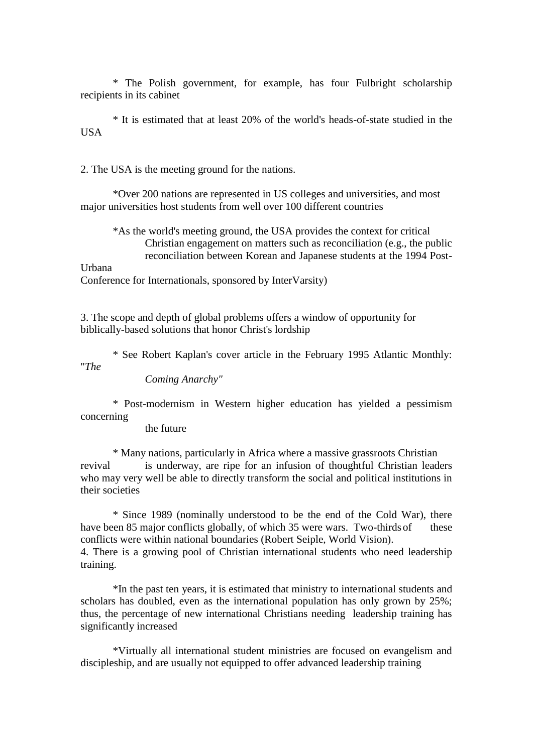\* The Polish government, for example, has four Fulbright scholarship recipients in its cabinet

\* It is estimated that at least 20% of the world's heads-of-state studied in the USA

2. The USA is the meeting ground for the nations.

\*Over 200 nations are represented in US colleges and universities, and most major universities host students from well over 100 different countries

\*As the world's meeting ground, the USA provides the context for critical Christian engagement on matters such as reconciliation (e.g., the public reconciliation between Korean and Japanese students at the 1994 Post-

Urbana

Conference for Internationals, sponsored by InterVarsity)

3. The scope and depth of global problems offers a window of opportunity for biblically-based solutions that honor Christ's lordship

\* See Robert Kaplan's cover article in the February 1995 Atlantic Monthly: "*The*

*Coming Anarchy"*

\* Post-modernism in Western higher education has yielded a pessimism concerning

the future

\* Many nations, particularly in Africa where a massive grassroots Christian revival is underway, are ripe for an infusion of thoughtful Christian leaders who may very well be able to directly transform the social and political institutions in their societies

\* Since 1989 (nominally understood to be the end of the Cold War), there have been 85 major conflicts globally, of which 35 were wars. Two-thirds of these conflicts were within national boundaries (Robert Seiple, World Vision). 4. There is a growing pool of Christian international students who need leadership training.

\*In the past ten years, it is estimated that ministry to international students and scholars has doubled, even as the international population has only grown by 25%; thus, the percentage of new international Christians needing leadership training has significantly increased

\*Virtually all international student ministries are focused on evangelism and discipleship, and are usually not equipped to offer advanced leadership training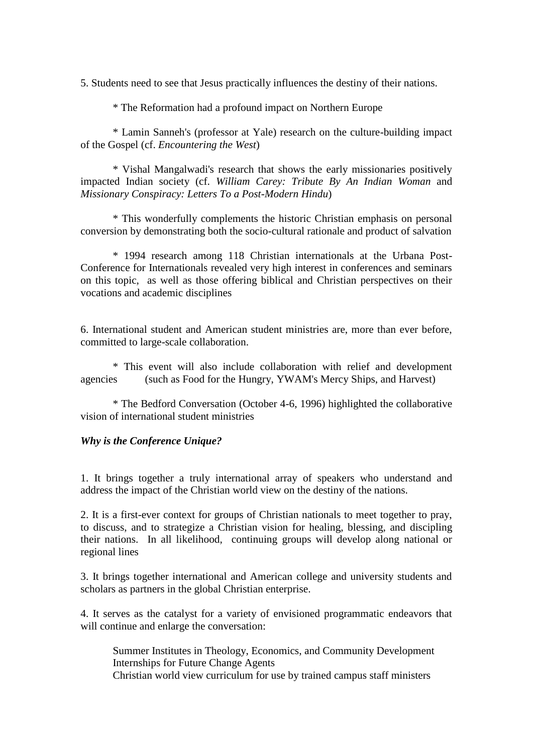5. Students need to see that Jesus practically influences the destiny of their nations.

\* The Reformation had a profound impact on Northern Europe

\* Lamin Sanneh's (professor at Yale) research on the culture-building impact of the Gospel (cf. *Encountering the West*)

\* Vishal Mangalwadi's research that shows the early missionaries positively impacted Indian society (cf. *William Carey: Tribute By An Indian Woman* and *Missionary Conspiracy: Letters To a Post-Modern Hindu*)

\* This wonderfully complements the historic Christian emphasis on personal conversion by demonstrating both the socio-cultural rationale and product of salvation

\* 1994 research among 118 Christian internationals at the Urbana Post-Conference for Internationals revealed very high interest in conferences and seminars on this topic, as well as those offering biblical and Christian perspectives on their vocations and academic disciplines

6. International student and American student ministries are, more than ever before, committed to large-scale collaboration.

\* This event will also include collaboration with relief and development agencies (such as Food for the Hungry, YWAM's Mercy Ships, and Harvest)

\* The Bedford Conversation (October 4-6, 1996) highlighted the collaborative vision of international student ministries

#### *Why is the Conference Unique?*

1. It brings together a truly international array of speakers who understand and address the impact of the Christian world view on the destiny of the nations.

2. It is a first-ever context for groups of Christian nationals to meet together to pray, to discuss, and to strategize a Christian vision for healing, blessing, and discipling their nations. In all likelihood, continuing groups will develop along national or regional lines

3. It brings together international and American college and university students and scholars as partners in the global Christian enterprise.

4. It serves as the catalyst for a variety of envisioned programmatic endeavors that will continue and enlarge the conversation:

Summer Institutes in Theology, Economics, and Community Development Internships for Future Change Agents Christian world view curriculum for use by trained campus staff ministers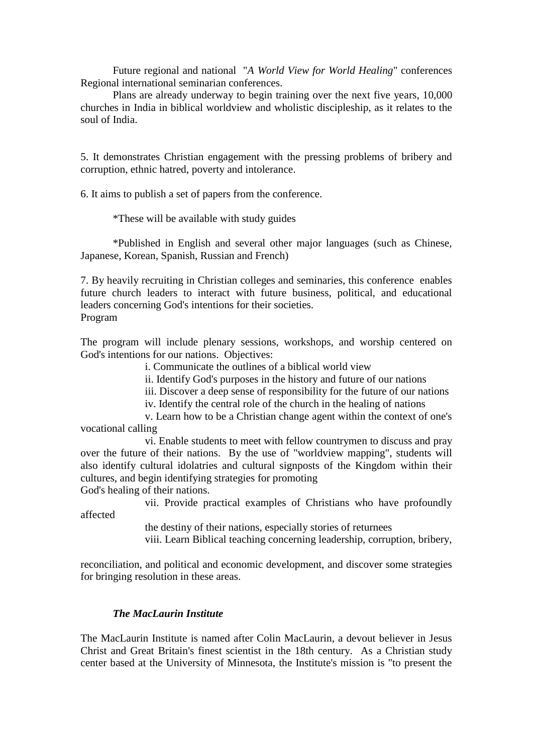Future regional and national "*A World View for World Healing*" conferences Regional international seminarian conferences.

Plans are already underway to begin training over the next five years, 10,000 churches in India in biblical worldview and wholistic discipleship, as it relates to the soul of India.

5. It demonstrates Christian engagement with the pressing problems of bribery and corruption, ethnic hatred, poverty and intolerance.

6. It aims to publish a set of papers from the conference.

\*These will be available with study guides

\*Published in English and several other major languages (such as Chinese, Japanese, Korean, Spanish, Russian and French)

7. By heavily recruiting in Christian colleges and seminaries, this conference enables future church leaders to interact with future business, political, and educational leaders concerning God's intentions for their societies.

Program

The program will include plenary sessions, workshops, and worship centered on God's intentions for our nations. Objectives:

i. Communicate the outlines of a biblical world view

ii. Identify God's purposes in the history and future of our nations

iii. Discover a deep sense of responsibility for the future of our nations

iv. Identify the central role of the church in the healing of nations

v. Learn how to be a Christian change agent within the context of one's vocational calling

vi. Enable students to meet with fellow countrymen to discuss and pray over the future of their nations. By the use of "worldview mapping", students will also identify cultural idolatries and cultural signposts of the Kingdom within their cultures, and begin identifying strategies for promoting

God's healing of their nations.

vii. Provide practical examples of Christians who have profoundly

affected

the destiny of their nations, especially stories of returnees

viii. Learn Biblical teaching concerning leadership, corruption, bribery,

reconciliation, and political and economic development, and discover some strategies for bringing resolution in these areas.

## *The MacLaurin Institute*

The MacLaurin Institute is named after Colin MacLaurin, a devout believer in Jesus Christ and Great Britain's finest scientist in the 18th century. As a Christian study center based at the University of Minnesota, the Institute's mission is "to present the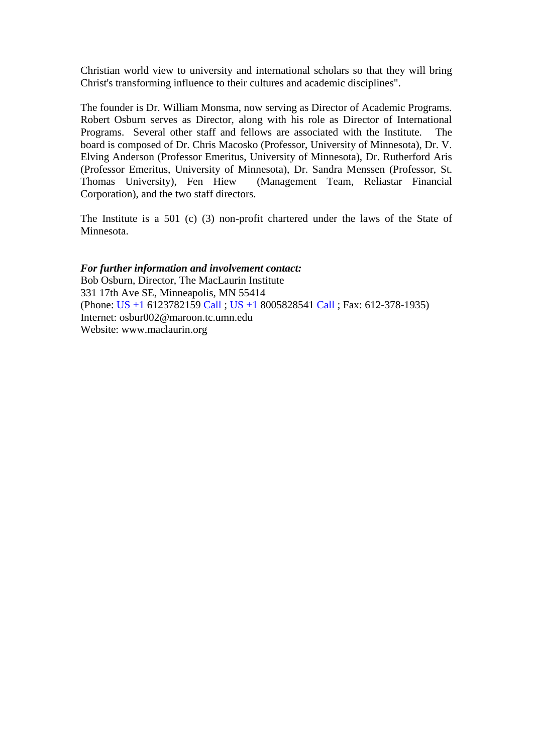Christian world view to university and international scholars so that they will bring Christ's transforming influence to their cultures and academic disciplines".

The founder is Dr. William Monsma, now serving as Director of Academic Programs. Robert Osburn serves as Director, along with his role as Director of International Programs. Several other staff and fellows are associated with the Institute. The board is composed of Dr. Chris Macosko (Professor, University of Minnesota), Dr. V. Elving Anderson (Professor Emeritus, University of Minnesota), Dr. Rutherford Aris (Professor Emeritus, University of Minnesota), Dr. Sandra Menssen (Professor, St. Thomas University), Fen Hiew (Management Team, Reliastar Financial Corporation), and the two staff directors.

The Institute is a 501 (c) (3) non-profit chartered under the laws of the State of Minnesota.

### *For further information and involvement contact:*

Bob Osburn, Director, The MacLaurin Institute 331 17th Ave SE, Minneapolis, MN 55414 (Phone:  $\frac{US + 1}{10}$  6123782159 [Call](javascript:void(0);) ;  $\frac{US + 1}{10}$  8005828541 Call ; Fax: 612-378-1935) Internet: osbur002@maroon.tc.umn.edu Website: www.maclaurin.org